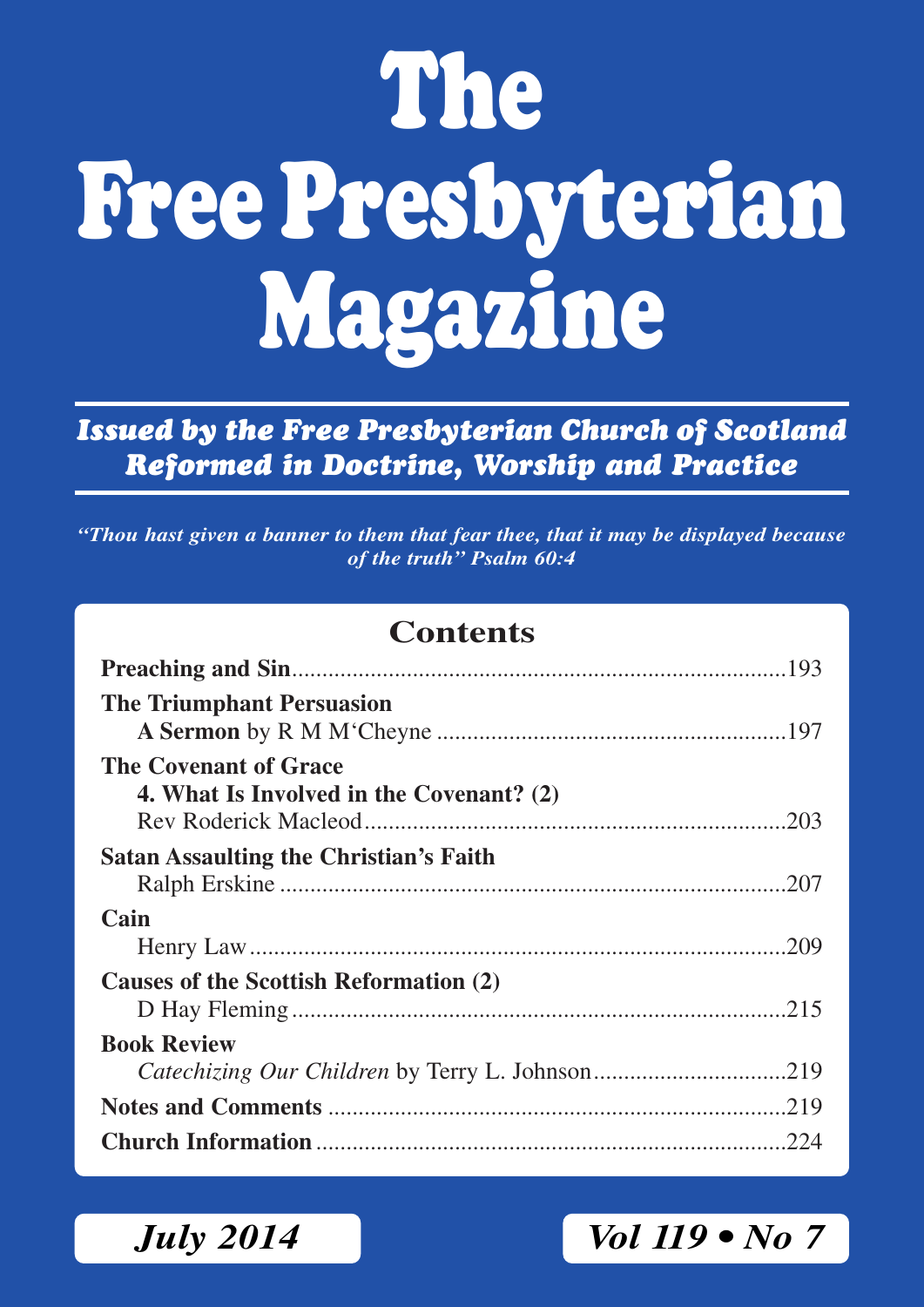# **The Free Presbyterian Magazine**

*Issued by the Free Presbyterian Church of Scotland Reformed in Doctrine, Worship and Practice*

*"Thou hast given a banner to them that fear thee, that it may be displayed because of the truth" Psalm 60:4*

### **Contents**

| <b>The Triumphant Persuasion</b>                                  |  |
|-------------------------------------------------------------------|--|
| The Covenant of Grace<br>4. What Is Involved in the Covenant? (2) |  |
| <b>Satan Assaulting the Christian's Faith</b>                     |  |
| Cain                                                              |  |
|                                                                   |  |
| Causes of the Scottish Reformation (2)                            |  |
| <b>Book Review</b>                                                |  |
|                                                                   |  |
|                                                                   |  |
|                                                                   |  |

## *July 2014 Vol 119 • No 7*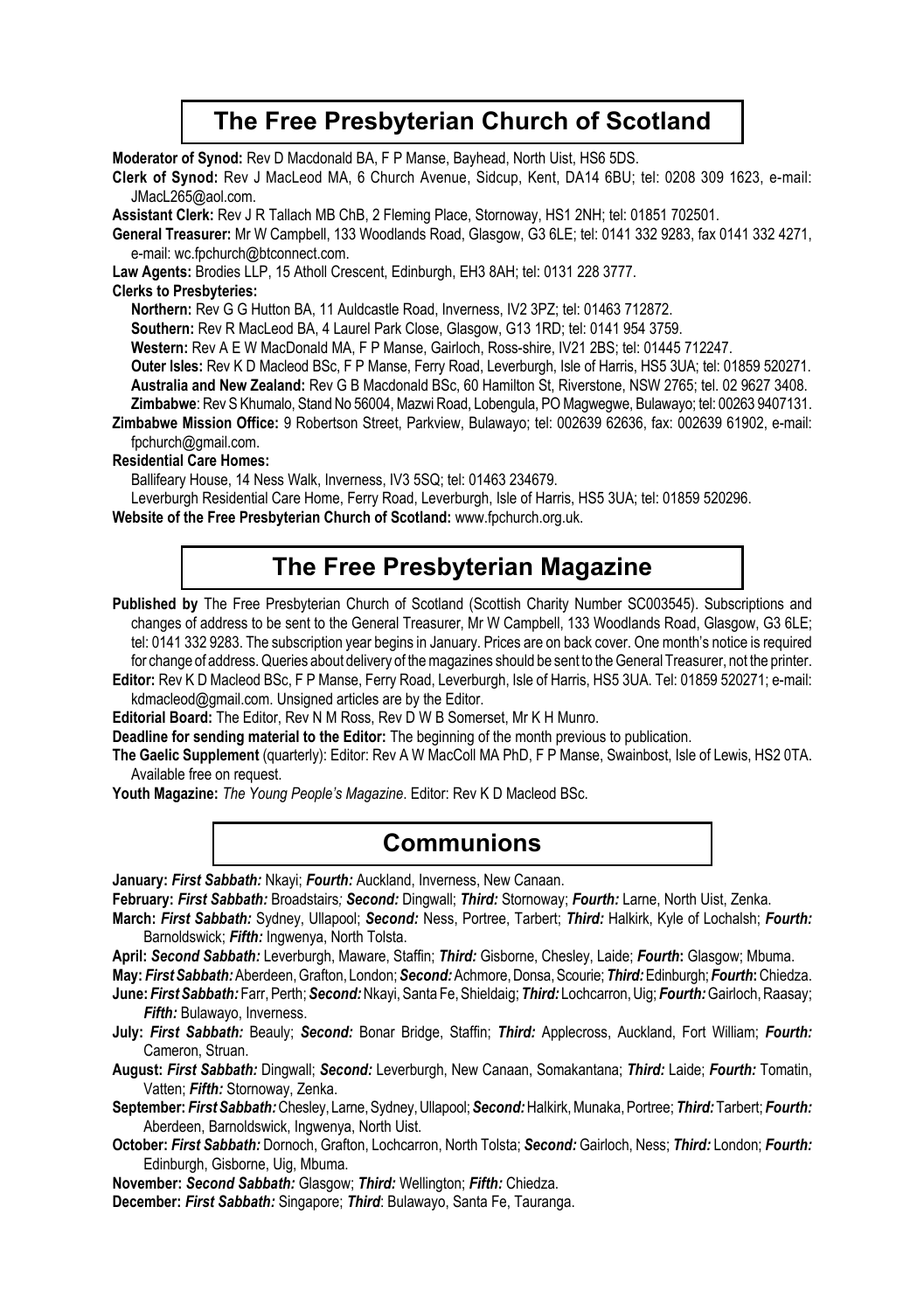### **The Free Presbyterian Church of Scotland**

**Moderator of Synod: Rev D Macdonald BA, F P Manse, Bayhead, North Uist, HS6 5DS.** 

**Clerk of Synod:** Rev J MacLeod MA, 6 Church Avenue, Sidcup, Kent, DA14 6BU; tel: 0208 309 1623, e-mail: JMacL265@aol.com.

**Assistant Clerk:** Rev J R Tallach MB ChB, 2 Fleming Place, Stornoway, HS1 2NH; tel: 01851 702501.

**General Treasurer:** Mr W Campbell, 133 Woodlands Road, Glasgow, G3 6LE; tel: 0141 332 9283, fax 0141 332 4271, e-mail: wc.fpchurch@btconnect.com.

**Law Agents:** Brodies LLP, 15 Atholl Crescent, Edinburgh, EH3 8AH; tel: 0131 228 3777.

### **Clerks to Presbyteries:**

**Northern:** Rev G G Hutton BA, 11 Auldcastle Road, Inverness, IV2 3PZ; tel: 01463 712872.

**Southern:** Rev R MacLeod BA, 4 Laurel Park Close, Glasgow, G13 1RD; tel: 0141 954 3759.

**Western:** Rev A E W MacDonald MA, F P Manse, Gairloch, Ross-shire, IV21 2BS; tel: 01445 712247.

**Outer lsles:** Rev K D Macleod BSc, F P Manse, Ferry Road, Leverburgh, Isle of Harris, HS5 3UA; tel: 01859 520271.

**Australia and New Zealand:** Rev G B Macdonald BSc, 60 Hamilton St, Riverstone, NSW 2765; tel. 02 9627 3408.

**Zimbabwe**: Rev S Khumalo, Stand No 56004, Mazwi Road, Lobengula, PO Magwegwe, Bulawayo; tel: 00263 9407131. **Zimbabwe Mission Office:** 9 Robertson Street, Parkview, Bulawayo; tel: 002639 62636, fax: 002639 61902, e-mail:

#### fpchurch@gmail.com. **Residential Care Homes:**

Ballifeary House, 14 Ness Walk, Inverness, IV3 5SQ; tel: 01463 234679.

Leverburgh Residential Care Home, Ferry Road, Leverburgh, Isle of Harris, HS5 3UA; tel: 01859 520296.

**Website of the Free Presbyterian Church of Scotland:** www.fpchurch.org.uk.

### **The Free Presbyterian Magazine**

Published by The Free Presbyterian Church of Scotland (Scottish Charity Number SC003545). Subscriptions and changes of address to be sent to the General Treasurer, Mr W Campbell, 133 Woodlands Road, Glasgow, G3 6LE; tel: 0141 332 9283. The subscription year begins in January. Prices are on back cover. One month's notice is required for change of address. Queries about delivery of the magazines should be sent to the General Treasurer, not the printer.

**Editor:** Rev K D Macleod BSc, F P Manse, Ferry Road, Leverburgh, Isle of Harris, HS5 3UA. Tel: 01859 520271; e-mail: kdmacleod@gmail.com. Unsigned articles are by the Editor.

**Editorial Board:** The Editor, Rev N M Ross, Rev D W B Somerset, Mr K H Munro.

**Deadline for sending material to the Editor:** The beginning of the month previous to publication.

**The Gaelic Supplement** (quarterly): Editor: Rev A W MacColl MA PhD, F P Manse, Swainbost, Isle of Lewis, HS2 0TA. Available free on request.

**Youth Magazine:** *The Young People's Magazine*. Editor: Rev K D Macleod BSc.

### **Communions**

**January:** *First Sabbath:* Nkayi; *Fourth:* Auckland, Inverness, New Canaan.

**February:** *First Sabbath:* Broadstairs*; Second:* Dingwall; *Third:* Stornoway; *Fourth:* Larne, North Uist, Zenka.

**March:** *First Sabbath:* Sydney, Ullapool; *Second:* Ness, Portree, Tarbert; *Third:* Halkirk, Kyle of Lochalsh; *Fourth:* Barnoldswick; *Fifth:* Ingwenya, North Tolsta.

**April:** *Second Sabbath:* Leverburgh, Maware, Staffin; *Third:* Gisborne, Chesley, Laide; *Fourth***:** Glasgow; Mbuma.

**May:** *First Sabbath:* Aberdeen, Grafton, London; *Second:* Achmore, Donsa, Scourie; *Third:* Edinburgh; *Fourth***:** Chiedza. **June:** *First Sabbath:* Farr, Perth; *Second:* Nkayi, Santa Fe, Shieldaig; *Third:* Lochcarron, Uig; *Fourth:* Gairloch, Raasay;

*Fifth:* Bulawayo, Inverness.

**July:** *First Sabbath:* Beauly; *Second:* Bonar Bridge, Staffin; *Third:* Applecross, Auckland, Fort William; *Fourth:* Cameron, Struan.

**August:** *First Sabbath:* Dingwall; *Second:* Leverburgh, New Canaan, Somakantana; *Third:* Laide; *Fourth:* Tomatin, Vatten; *Fifth:* Stornoway, Zenka.

**September:** *First Sabbath:* Chesley, Larne, Sydney, Ullapool; *Second:* Halkirk, Munaka, Portree; *Third:* Tarbert; *Fourth:* Aberdeen, Barnoldswick, Ingwenya, North Uist.

**October:** *First Sabbath:* Dornoch, Grafton, Lochcarron, North Tolsta; *Second:* Gairloch, Ness; *Third:* London; *Fourth:* Edinburgh, Gisborne, Uig, Mbuma.

**November:** *Second Sabbath:* Glasgow; *Third:* Wellington; *Fifth:* Chiedza.

**December:** *First Sabbath:* Singapore; *Third*: Bulawayo, Santa Fe, Tauranga.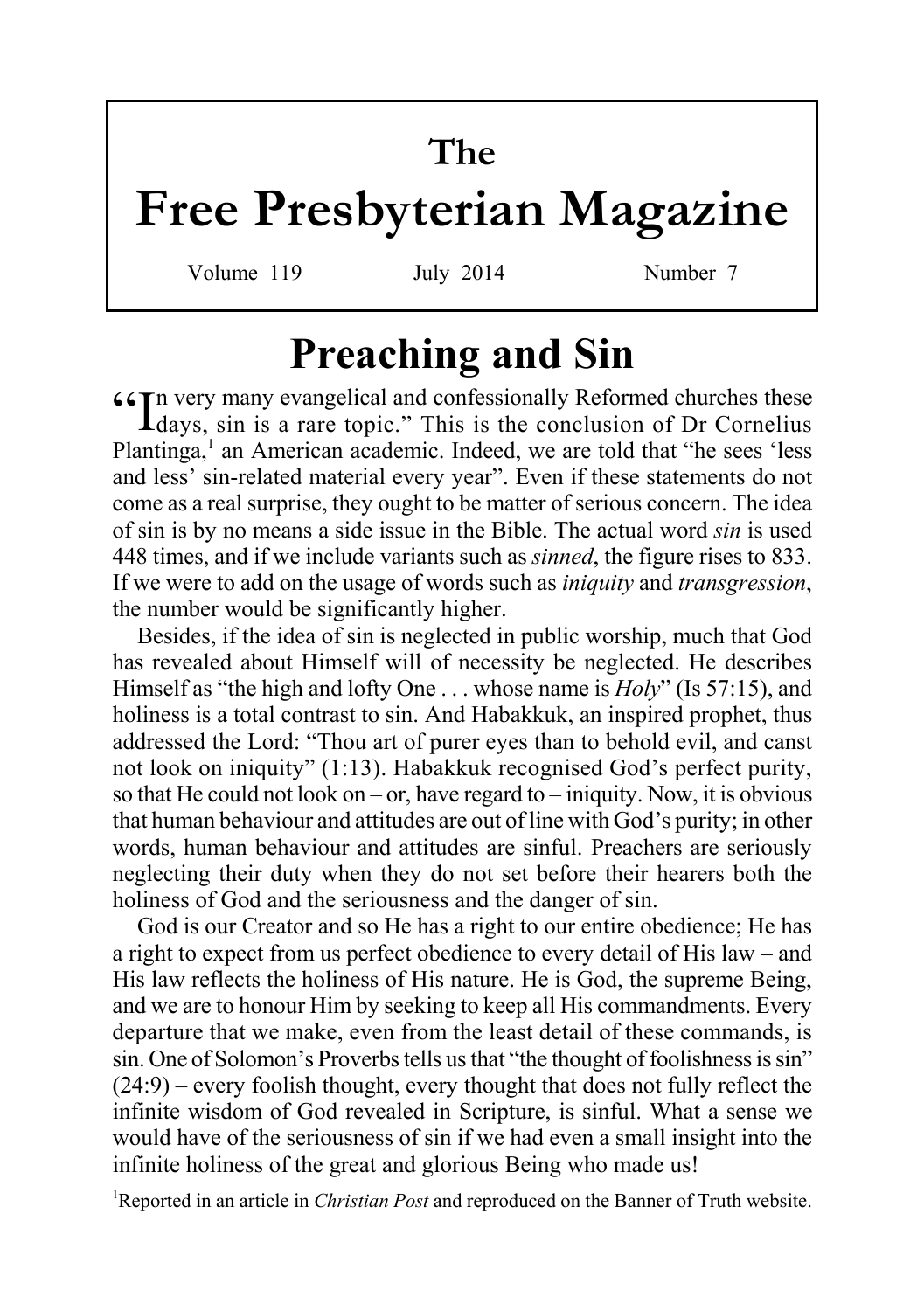# **The**

# **Free Presbyterian Magazine**

Volume 119 July 2014 Number 7

# **Preaching and Sin**

"In very many evangelical and confessionally Reformed churches these days, sin is a rare topic." This is the conclusion of Dr Cornelius Plantinga,<sup>1</sup> an American academic. Indeed, we are told that "he sees 'less and less' sin-related material every year". Even if these statements do not come as a real surprise, they ought to be matter of serious concern. The idea of sin is by no means a side issue in the Bible. The actual word *sin* is used 448 times, and if we include variants such as *sinned*, the figure rises to 833. If we were to add on the usage of words such as *iniquity* and *transgression*, the number would be significantly higher.

Besides, if the idea of sin is neglected in public worship, much that God has revealed about Himself will of necessity be neglected. He describes Himself as "the high and lofty One . . . whose name is *Holy*" (Is 57:15), and holiness is a total contrast to sin. And Habakkuk, an inspired prophet, thus addressed the Lord: "Thou art of purer eyes than to behold evil, and canst not look on iniquity" (1:13). Habakkuk recognised God's perfect purity, so that He could not look on – or, have regard to – iniquity. Now, it is obvious that human behaviour and attitudes are out of line with God's purity; in other words, human behaviour and attitudes are sinful. Preachers are seriously neglecting their duty when they do not set before their hearers both the holiness of God and the seriousness and the danger of sin.

God is our Creator and so He has a right to our entire obedience; He has a right to expect from us perfect obedience to every detail of His law – and His law reflects the holiness of His nature. He is God, the supreme Being, and we are to honour Him by seeking to keep all His commandments. Every departure that we make, even from the least detail of these commands, is sin. One of Solomon's Proverbs tells us that "the thought of foolishness is sin" (24:9) – every foolish thought, every thought that does not fully reflect the infinite wisdom of God revealed in Scripture, is sinful. What a sense we would have of the seriousness of sin if we had even a small insight into the infinite holiness of the great and glorious Being who made us!

<sup>1</sup>Reported in an article in *Christian Post* and reproduced on the Banner of Truth website.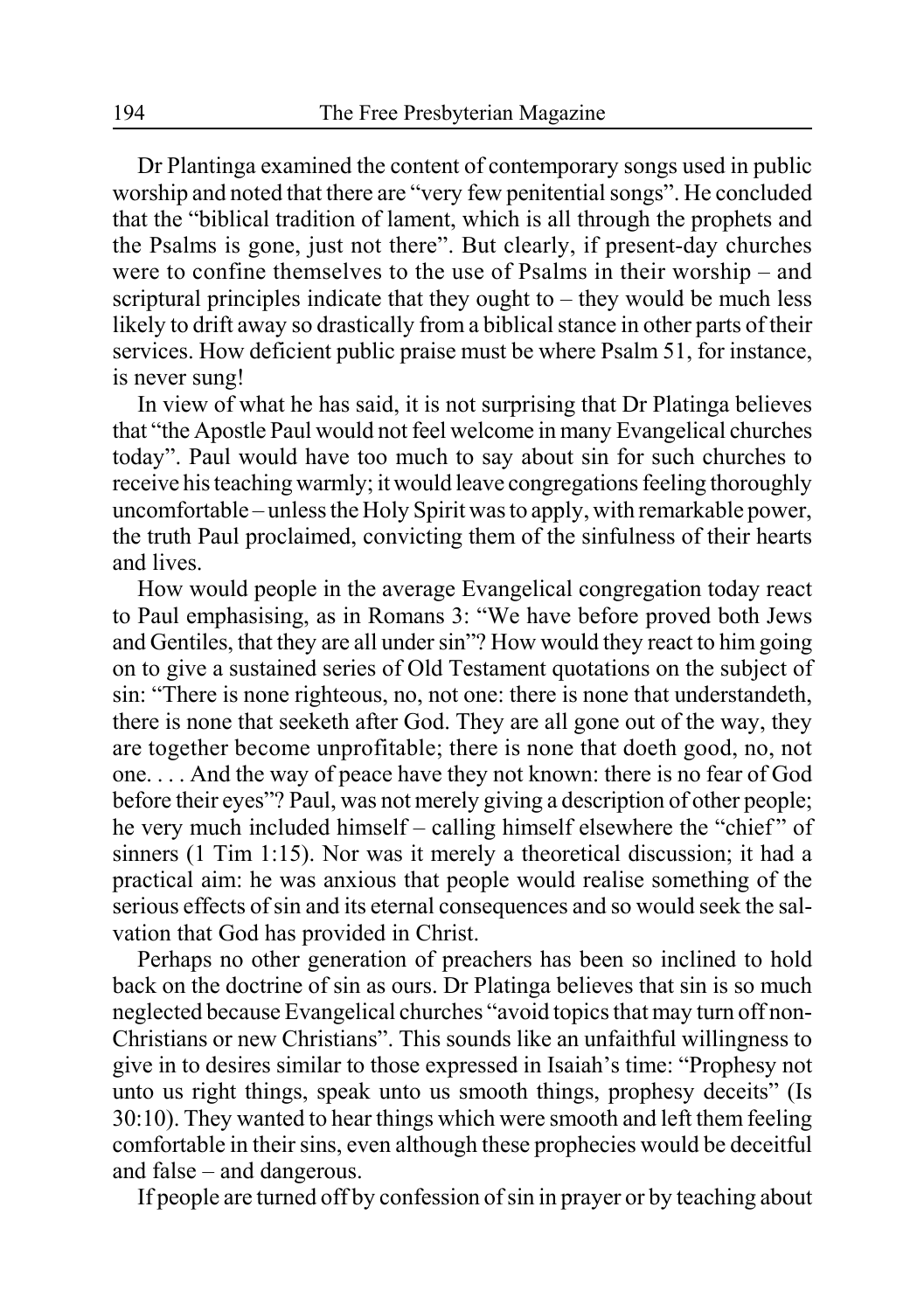Dr Plantinga examined the content of contemporary songs used in public worship and noted that there are "very few penitential songs". He concluded that the "biblical tradition of lament, which is all through the prophets and the Psalms is gone, just not there". But clearly, if present-day churches were to confine themselves to the use of Psalms in their worship – and scriptural principles indicate that they ought to – they would be much less likely to drift away so drastically from a biblical stance in other parts of their services. How deficient public praise must be where Psalm 51, for instance, is never sung!

In view of what he has said, it is not surprising that Dr Platinga believes that "the Apostle Paul would not feel welcome in many Evangelical churches today". Paul would have too much to say about sin for such churches to receive his teaching warmly; it would leave congregations feeling thoroughly uncomfortable – unless the Holy Spirit was to apply, with remarkable power, the truth Paul proclaimed, convicting them of the sinfulness of their hearts and lives.

How would people in the average Evangelical congregation today react to Paul emphasising, as in Romans 3: "We have before proved both Jews and Gentiles, that they are all under sin"? How would they react to him going on to give a sustained series of Old Testament quotations on the subject of sin: "There is none righteous, no, not one: there is none that understandeth, there is none that seeketh after God. They are all gone out of the way, they are together become unprofitable; there is none that doeth good, no, not one. . . . And the way of peace have they not known: there is no fear of God before their eyes"? Paul, was not merely giving a description of other people; he very much included himself – calling himself elsewhere the "chief" of sinners (1 Tim 1:15). Nor was it merely a theoretical discussion; it had a practical aim: he was anxious that people would realise something of the serious effects of sin and its eternal consequences and so would seek the salvation that God has provided in Christ.

Perhaps no other generation of preachers has been so inclined to hold back on the doctrine of sin as ours. Dr Platinga believes that sin is so much neglected because Evangelical churches "avoid topics that may turn off non-Christians or new Christians". This sounds like an unfaithful willingness to give in to desires similar to those expressed in Isaiah's time: "Prophesy not unto us right things, speak unto us smooth things, prophesy deceits" (Is 30:10). They wanted to hear things which were smooth and left them feeling comfortable in their sins, even although these prophecies would be deceitful and false – and dangerous.

If people are turned off by confession of sin in prayer or by teaching about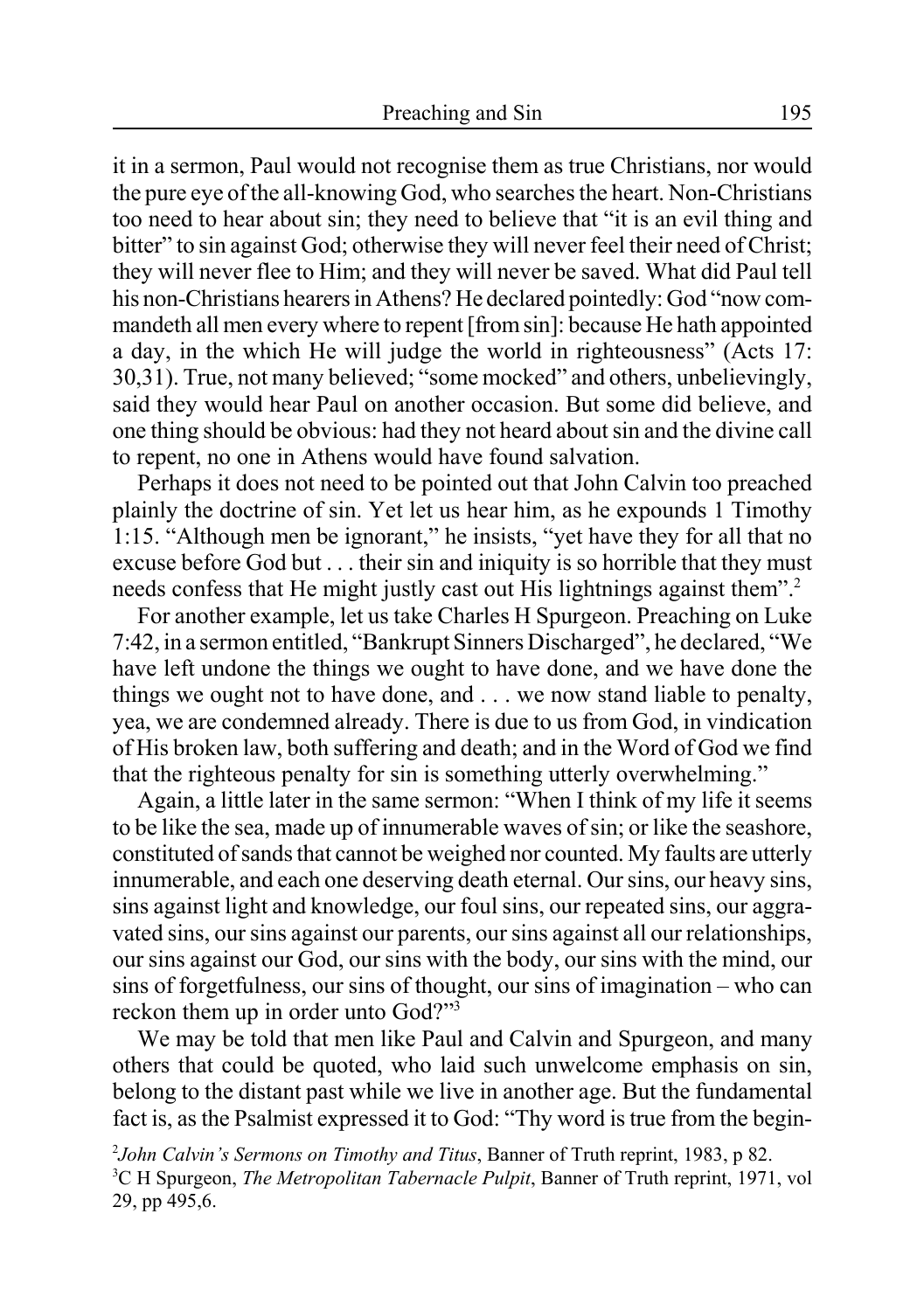it in a sermon, Paul would not recognise them as true Christians, nor would the pure eye of the all-knowing God, who searches the heart. Non-Christians too need to hear about sin; they need to believe that "it is an evil thing and bitter" to sin against God; otherwise they will never feel their need of Christ; they will never flee to Him; and they will never be saved. What did Paul tell his non-Christians hearers in Athens? He declared pointedly: God "now commandeth all men every where to repent [from sin]: because He hath appointed a day, in the which He will judge the world in righteousness" (Acts 17: 30,31). True, not many believed; "some mocked" and others, unbelievingly, said they would hear Paul on another occasion. But some did believe, and one thing should be obvious: had they not heard about sin and the divine call to repent, no one in Athens would have found salvation.

Perhaps it does not need to be pointed out that John Calvin too preached plainly the doctrine of sin. Yet let us hear him, as he expounds 1 Timothy 1:15. "Although men be ignorant," he insists, "yet have they for all that no excuse before God but . . . their sin and iniquity is so horrible that they must needs confess that He might justly cast out His lightnings against them".<sup>2</sup>

For another example, let us take Charles H Spurgeon. Preaching on Luke 7:42, in a sermon entitled, "Bankrupt Sinners Discharged", he declared, "We have left undone the things we ought to have done, and we have done the things we ought not to have done, and . . . we now stand liable to penalty, yea, we are condemned already. There is due to us from God, in vindication of His broken law, both suffering and death; and in the Word of God we find that the righteous penalty for sin is something utterly overwhelming."

Again, a little later in the same sermon: "When I think of my life it seems to be like the sea, made up of innumerable waves of sin; or like the seashore, constituted of sands that cannot be weighed nor counted. My faults are utterly innumerable, and each one deserving death eternal. Our sins, our heavy sins, sins against light and knowledge, our foul sins, our repeated sins, our aggravated sins, our sins against our parents, our sins against all our relationships, our sins against our God, our sins with the body, our sins with the mind, our sins of forgetfulness, our sins of thought, our sins of imagination – who can reckon them up in order unto God?"<sup>3</sup>

We may be told that men like Paul and Calvin and Spurgeon, and many others that could be quoted, who laid such unwelcome emphasis on sin, belong to the distant past while we live in another age. But the fundamental fact is, as the Psalmist expressed it to God: "Thy word is true from the begin-

2 *John Calvin's Sermons on Timothy and Titus*, Banner of Truth reprint, 1983, p 82. 3 C H Spurgeon, *The Metropolitan Tabernacle Pulpit*, Banner of Truth reprint, 1971, vol 29, pp 495,6.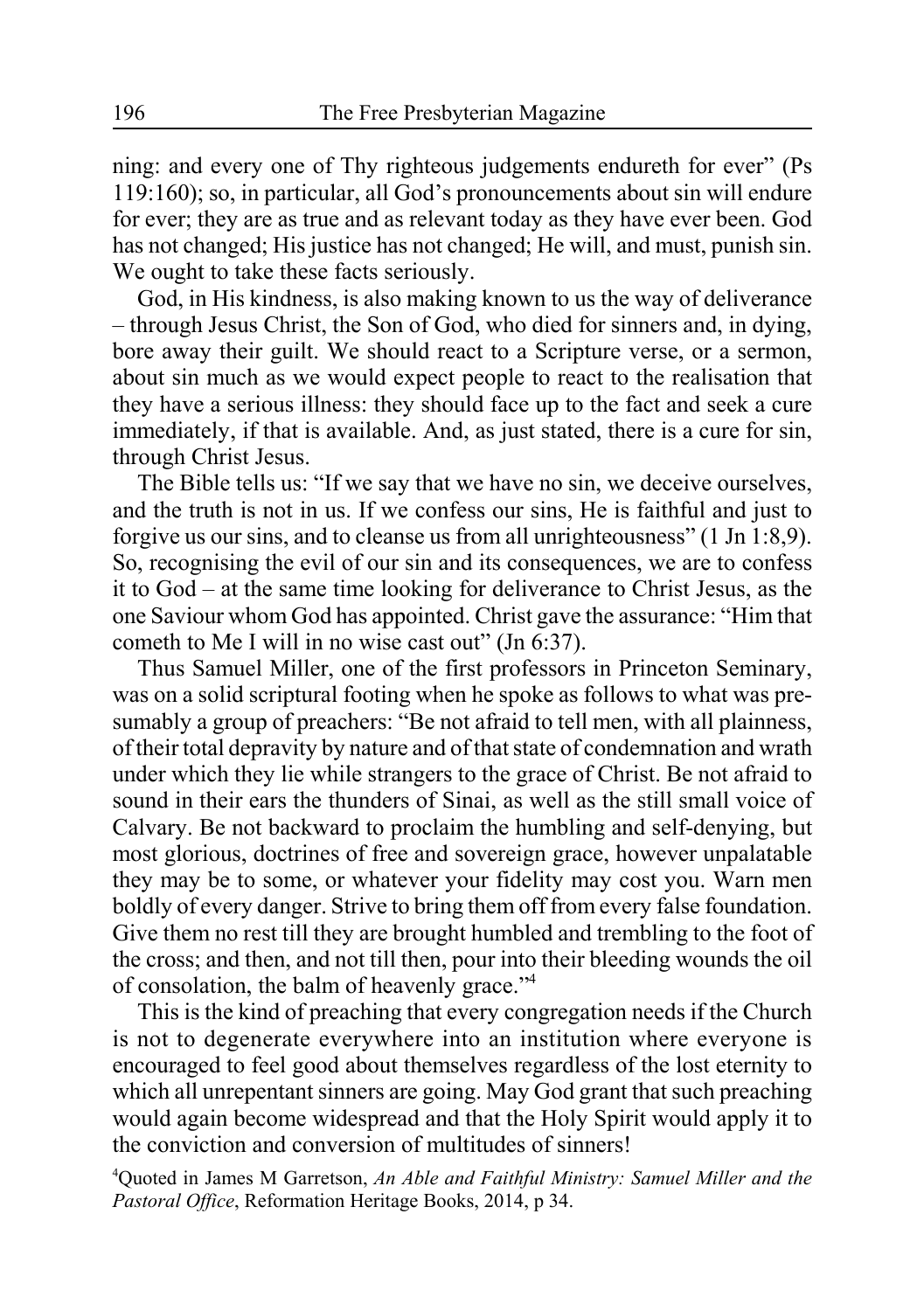ning: and every one of Thy righteous judgements endureth for ever" (Ps 119:160); so, in particular, all God's pronouncements about sin will endure for ever; they are as true and as relevant today as they have ever been. God has not changed; His justice has not changed; He will, and must, punish sin. We ought to take these facts seriously.

God, in His kindness, is also making known to us the way of deliverance – through Jesus Christ, the Son of God, who died for sinners and, in dying, bore away their guilt. We should react to a Scripture verse, or a sermon, about sin much as we would expect people to react to the realisation that they have a serious illness: they should face up to the fact and seek a cure immediately, if that is available. And, as just stated, there is a cure for sin, through Christ Jesus.

The Bible tells us: "If we say that we have no sin, we deceive ourselves, and the truth is not in us. If we confess our sins, He is faithful and just to forgive us our sins, and to cleanse us from all unrighteousness" (1 Jn 1:8,9). So, recognising the evil of our sin and its consequences, we are to confess it to God – at the same time looking for deliverance to Christ Jesus, as the one Saviour whom God has appointed. Christ gave the assurance: "Him that cometh to Me I will in no wise cast out" (Jn 6:37).

Thus Samuel Miller, one of the first professors in Princeton Seminary, was on a solid scriptural footing when he spoke as follows to what was presumably a group of preachers: "Be not afraid to tell men, with all plainness, of their total depravity by nature and of that state of condemnation and wrath under which they lie while strangers to the grace of Christ. Be not afraid to sound in their ears the thunders of Sinai, as well as the still small voice of Calvary. Be not backward to proclaim the humbling and self-denying, but most glorious, doctrines of free and sovereign grace, however unpalatable they may be to some, or whatever your fidelity may cost you. Warn men boldly of every danger. Strive to bring them off from every false foundation. Give them no rest till they are brought humbled and trembling to the foot of the cross; and then, and not till then, pour into their bleeding wounds the oil of consolation, the balm of heavenly grace."4

This is the kind of preaching that every congregation needs if the Church is not to degenerate everywhere into an institution where everyone is encouraged to feel good about themselves regardless of the lost eternity to which all unrepentant sinners are going. May God grant that such preaching would again become widespread and that the Holy Spirit would apply it to the conviction and conversion of multitudes of sinners!

4 Quoted in James M Garretson, *An Able and Faithful Ministry: Samuel Miller and the Pastoral Office*, Reformation Heritage Books, 2014, p 34.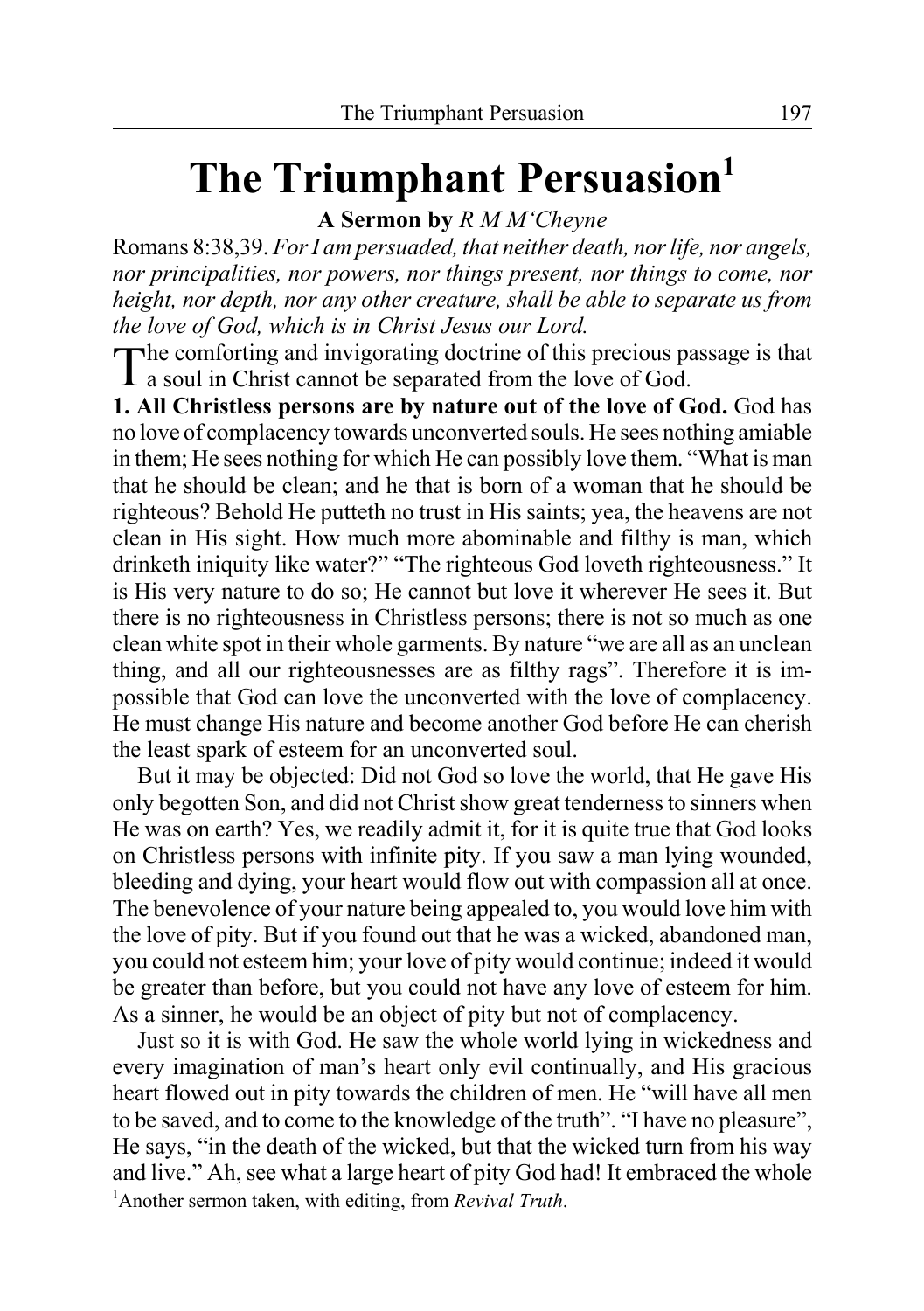# **The Triumphant Persuasion**<sup>1</sup>

**A Sermon by** *R M M'Cheyne*

Romans 8:38,39. *For I am persuaded, that neither death, nor life, nor angels, nor principalities, nor powers, nor things present, nor things to come, nor height, nor depth, nor any other creature, shall be able to separate us from the love of God, which is in Christ Jesus our Lord.*

The comforting and invigorating doctrine of this precious passage is that a soul in Christ cannot be separated from the love of God.

**1. All Christless persons are by nature out of the love of God.** God has no love of complacency towards unconverted souls. He sees nothing amiable in them; He sees nothing for which He can possibly love them. "What is man that he should be clean; and he that is born of a woman that he should be righteous? Behold He putteth no trust in His saints; yea, the heavens are not clean in His sight. How much more abominable and filthy is man, which drinketh iniquity like water?" "The righteous God loveth righteousness." It is His very nature to do so; He cannot but love it wherever He sees it. But there is no righteousness in Christless persons; there is not so much as one clean white spot in their whole garments. By nature "we are all as an unclean thing, and all our righteousnesses are as filthy rags". Therefore it is impossible that God can love the unconverted with the love of complacency. He must change His nature and become another God before He can cherish the least spark of esteem for an unconverted soul.

But it may be objected: Did not God so love the world, that He gave His only begotten Son, and did not Christ show great tenderness to sinners when He was on earth? Yes, we readily admit it, for it is quite true that God looks on Christless persons with infinite pity. If you saw a man lying wounded, bleeding and dying, your heart would flow out with compassion all at once. The benevolence of your nature being appealed to, you would love him with the love of pity. But if you found out that he was a wicked, abandoned man, you could not esteem him; your love of pity would continue; indeed it would be greater than before, but you could not have any love of esteem for him. As a sinner, he would be an object of pity but not of complacency.

Just so it is with God. He saw the whole world lying in wickedness and every imagination of man's heart only evil continually, and His gracious heart flowed out in pity towards the children of men. He "will have all men to be saved, and to come to the knowledge of the truth". "I have no pleasure", He says, "in the death of the wicked, but that the wicked turn from his way and live." Ah, see what a large heart of pity God had! It embraced the whole 1 Another sermon taken, with editing, from *Revival Truth*.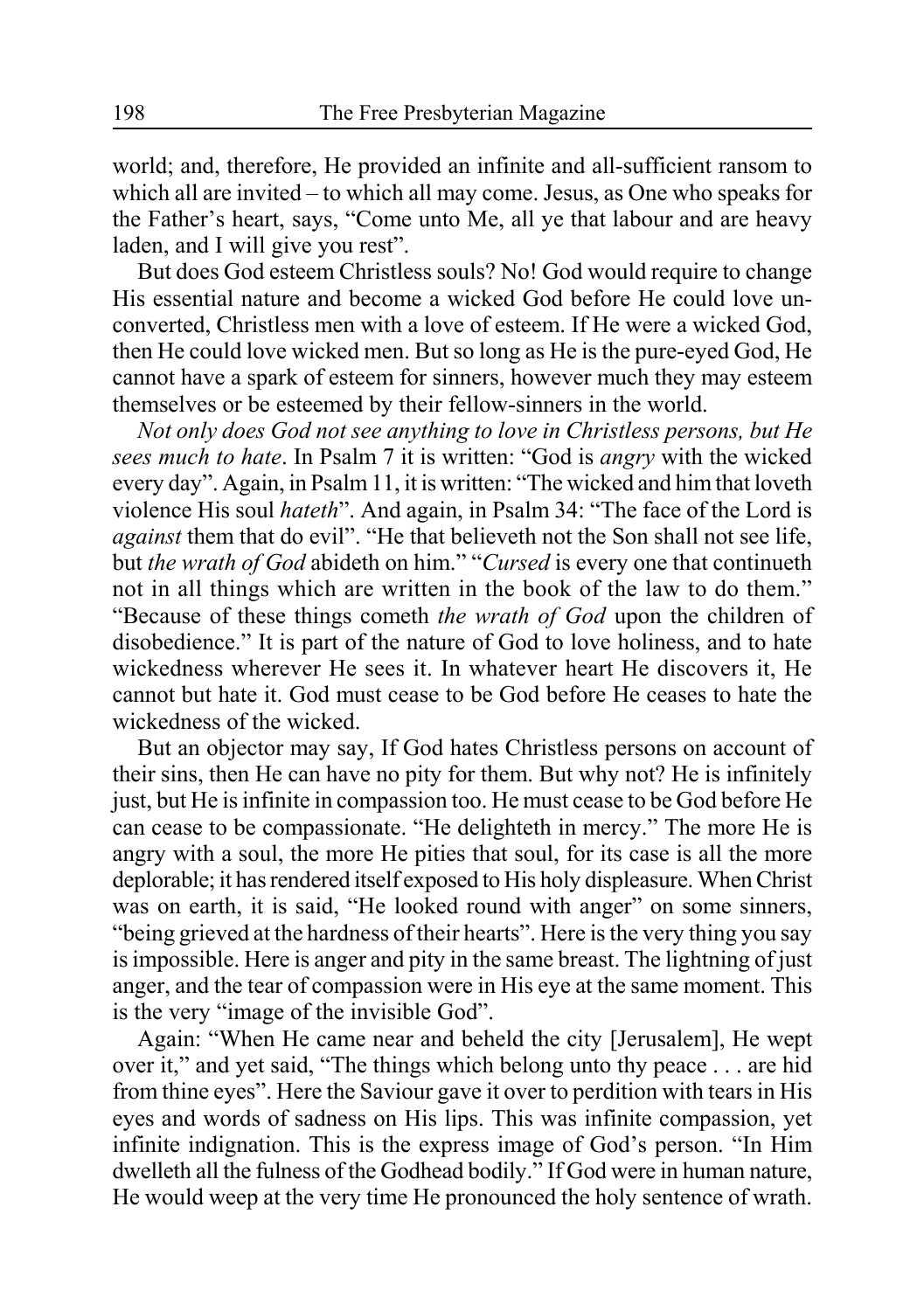world; and, therefore, He provided an infinite and all-sufficient ransom to which all are invited – to which all may come. Jesus, as One who speaks for the Father's heart, says, "Come unto Me, all ye that labour and are heavy laden, and I will give you rest".

But does God esteem Christless souls? No! God would require to change His essential nature and become a wicked God before He could love unconverted, Christless men with a love of esteem. If He were a wicked God, then He could love wicked men. But so long as He is the pure-eyed God, He cannot have a spark of esteem for sinners, however much they may esteem themselves or be esteemed by their fellow-sinners in the world.

*Not only does God not see anything to love in Christless persons, but He sees much to hate*. In Psalm 7 it is written: "God is *angry* with the wicked every day". Again, in Psalm 11, it is written: "The wicked and him that loveth violence His soul *hateth*". And again, in Psalm 34: "The face of the Lord is *against* them that do evil". "He that believeth not the Son shall not see life, but *the wrath of God* abideth on him." "*Cursed* is every one that continueth not in all things which are written in the book of the law to do them." "Because of these things cometh *the wrath of God* upon the children of disobedience." It is part of the nature of God to love holiness, and to hate wickedness wherever He sees it. In whatever heart He discovers it, He cannot but hate it. God must cease to be God before He ceases to hate the wickedness of the wicked.

But an objector may say, If God hates Christless persons on account of their sins, then He can have no pity for them. But why not? He is infinitely just, but He is infinite in compassion too. He must cease to be God before He can cease to be compassionate. "He delighteth in mercy." The more He is angry with a soul, the more He pities that soul, for its case is all the more deplorable; it has rendered itself exposed to His holy displeasure. When Christ was on earth, it is said, "He looked round with anger" on some sinners, "being grieved at the hardness of their hearts". Here is the very thing you say is impossible. Here is anger and pity in the same breast. The lightning of just anger, and the tear of compassion were in His eye at the same moment. This is the very "image of the invisible God".

Again: "When He came near and beheld the city [Jerusalem], He wept over it," and yet said, "The things which belong unto thy peace . . . are hid from thine eyes". Here the Saviour gave it over to perdition with tears in His eyes and words of sadness on His lips. This was infinite compassion, yet infinite indignation. This is the express image of God's person. "In Him dwelleth all the fulness of the Godhead bodily." If God were in human nature, He would weep at the very time He pronounced the holy sentence of wrath.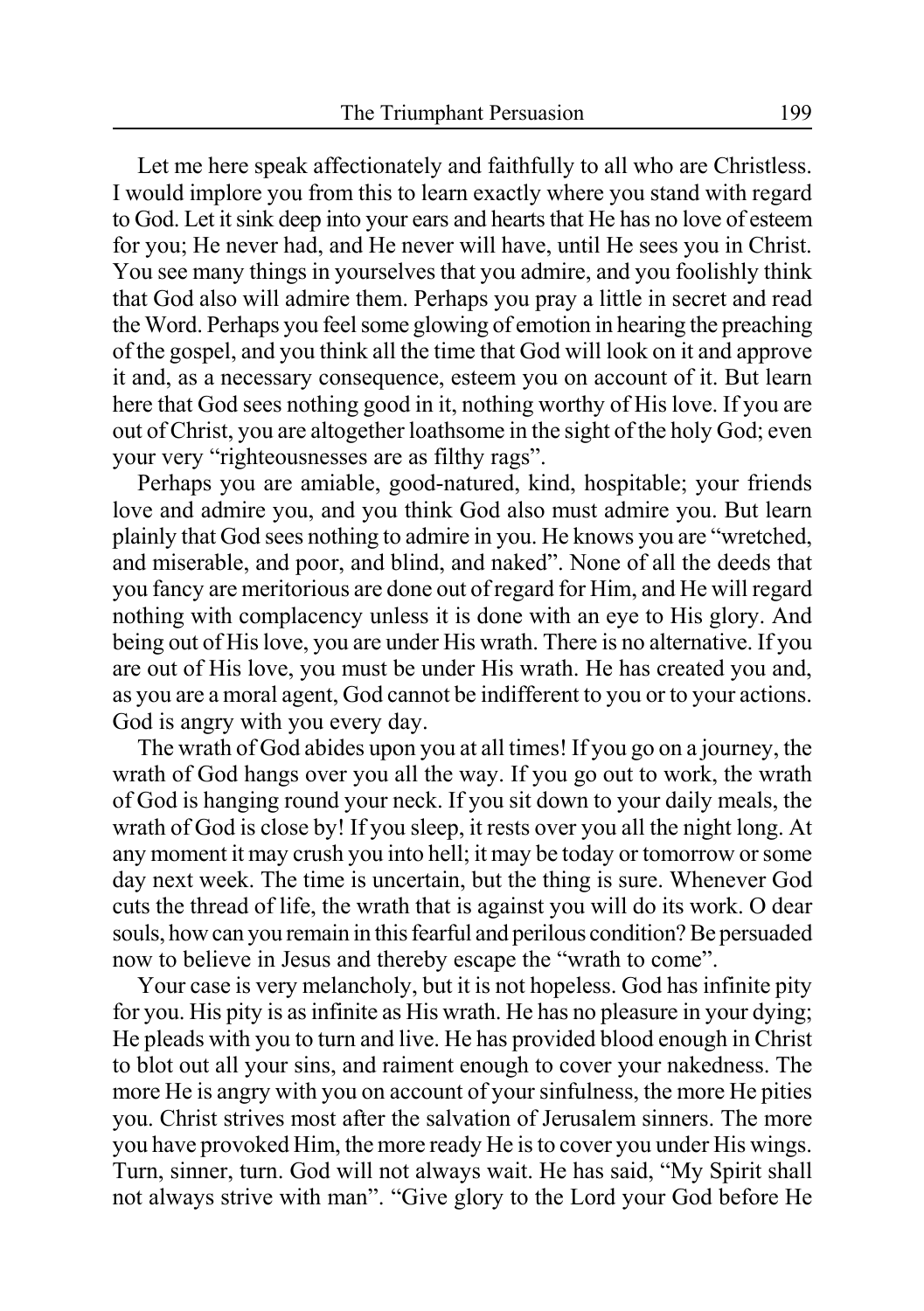Let me here speak affectionately and faithfully to all who are Christless. I would implore you from this to learn exactly where you stand with regard to God. Let it sink deep into your ears and hearts that He has no love of esteem for you; He never had, and He never will have, until He sees you in Christ. You see many things in yourselves that you admire, and you foolishly think that God also will admire them. Perhaps you pray a little in secret and read the Word. Perhaps you feel some glowing of emotion in hearing the preaching of the gospel, and you think all the time that God will look on it and approve it and, as a necessary consequence, esteem you on account of it. But learn here that God sees nothing good in it, nothing worthy of His love. If you are out of Christ, you are altogether loathsome in the sight of the holy God; even your very "righteousnesses are as filthy rags".

Perhaps you are amiable, good-natured, kind, hospitable; your friends love and admire you, and you think God also must admire you. But learn plainly that God sees nothing to admire in you. He knows you are "wretched, and miserable, and poor, and blind, and naked". None of all the deeds that you fancy are meritorious are done out of regard for Him, and He will regard nothing with complacency unless it is done with an eye to His glory. And being out of His love, you are under His wrath. There is no alternative. If you are out of His love, you must be under His wrath. He has created you and, as you are a moral agent, God cannot be indifferent to you or to your actions. God is angry with you every day.

The wrath of God abides upon you at all times! If you go on a journey, the wrath of God hangs over you all the way. If you go out to work, the wrath of God is hanging round your neck. If you sit down to your daily meals, the wrath of God is close by! If you sleep, it rests over you all the night long. At any moment it may crush you into hell; it may be today or tomorrow or some day next week. The time is uncertain, but the thing is sure. Whenever God cuts the thread of life, the wrath that is against you will do its work. O dear souls, how can you remain in this fearful and perilous condition? Be persuaded now to believe in Jesus and thereby escape the "wrath to come".

Your case is very melancholy, but it is not hopeless. God has infinite pity for you. His pity is as infinite as His wrath. He has no pleasure in your dying; He pleads with you to turn and live. He has provided blood enough in Christ to blot out all your sins, and raiment enough to cover your nakedness. The more He is angry with you on account of your sinfulness, the more He pities you. Christ strives most after the salvation of Jerusalem sinners. The more you have provoked Him, the more ready He is to cover you under His wings. Turn, sinner, turn. God will not always wait. He has said, "My Spirit shall not always strive with man". "Give glory to the Lord your God before He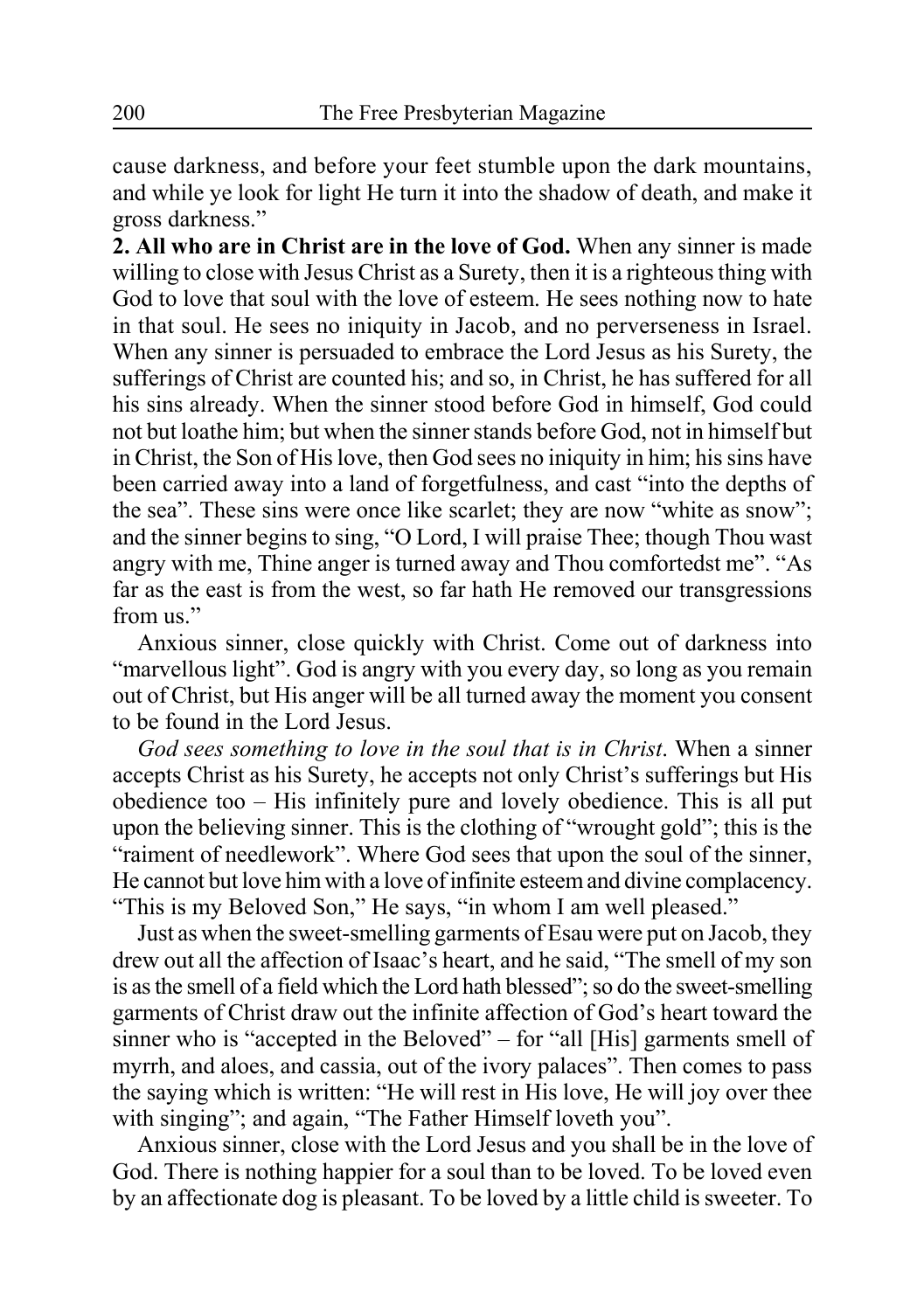cause darkness, and before your feet stumble upon the dark mountains, and while ye look for light He turn it into the shadow of death, and make it gross darkness."

**2. All who are in Christ are in the love of God.** When any sinner is made willing to close with Jesus Christ as a Surety, then it is a righteous thing with God to love that soul with the love of esteem. He sees nothing now to hate in that soul. He sees no iniquity in Jacob, and no perverseness in Israel. When any sinner is persuaded to embrace the Lord Jesus as his Surety, the sufferings of Christ are counted his; and so, in Christ, he has suffered for all his sins already. When the sinner stood before God in himself, God could not but loathe him; but when the sinner stands before God, not in himself but in Christ, the Son of His love, then God sees no iniquity in him; his sins have been carried away into a land of forgetfulness, and cast "into the depths of the sea". These sins were once like scarlet; they are now "white as snow"; and the sinner begins to sing, "O Lord, I will praise Thee; though Thou wast angry with me, Thine anger is turned away and Thou comfortedst me". "As far as the east is from the west, so far hath He removed our transgressions from us"

Anxious sinner, close quickly with Christ. Come out of darkness into "marvellous light". God is angry with you every day, so long as you remain out of Christ, but His anger will be all turned away the moment you consent to be found in the Lord Jesus.

*God sees something to love in the soul that is in Christ*. When a sinner accepts Christ as his Surety, he accepts not only Christ's sufferings but His obedience too – His infinitely pure and lovely obedience. This is all put upon the believing sinner. This is the clothing of "wrought gold"; this is the "raiment of needlework". Where God sees that upon the soul of the sinner, He cannot but love him with a love of infinite esteem and divine complacency. "This is my Beloved Son," He says, "in whom I am well pleased."

Just as when the sweet-smelling garments of Esau were put on Jacob, they drew out all the affection of Isaac's heart, and he said, "The smell of my son is as the smell of a field which the Lord hath blessed"; so do the sweet-smelling garments of Christ draw out the infinite affection of God's heart toward the sinner who is "accepted in the Beloved" – for "all [His] garments smell of myrrh, and aloes, and cassia, out of the ivory palaces". Then comes to pass the saying which is written: "He will rest in His love, He will joy over thee with singing"; and again, "The Father Himself loveth you".

Anxious sinner, close with the Lord Jesus and you shall be in the love of God. There is nothing happier for a soul than to be loved. To be loved even by an affectionate dog is pleasant. To be loved by a little child is sweeter. To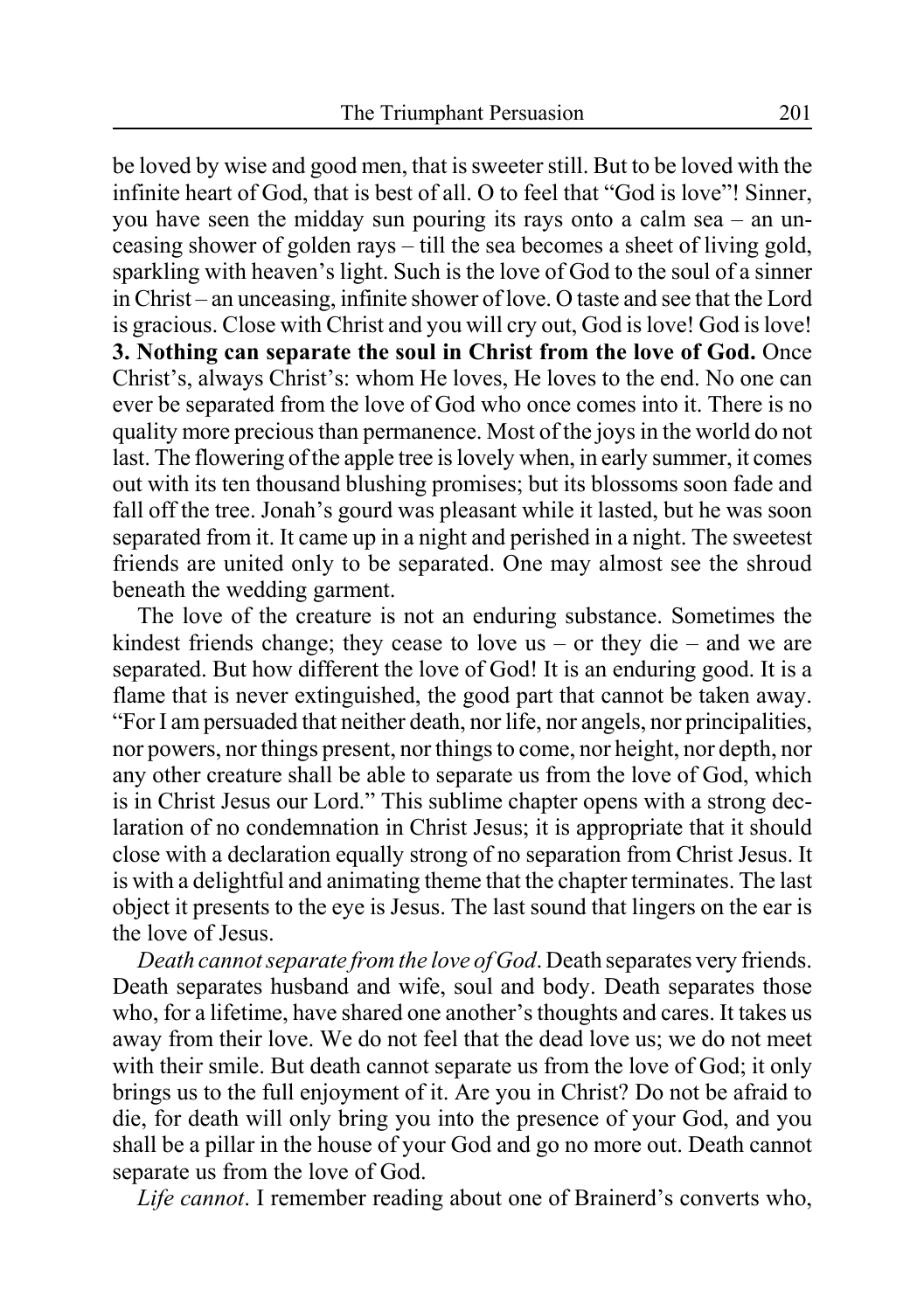be loved by wise and good men, that is sweeter still. But to be loved with the infinite heart of God, that is best of all. O to feel that "God is love"! Sinner, you have seen the midday sun pouring its rays onto a calm sea – an unceasing shower of golden rays – till the sea becomes a sheet of living gold, sparkling with heaven's light. Such is the love of God to the soul of a sinner in Christ – an unceasing, infinite shower of love. O taste and see that the Lord is gracious. Close with Christ and you will cry out, God is love! God is love! **3. Nothing can separate the soul in Christ from the love of God.** Once Christ's, always Christ's: whom He loves, He loves to the end. No one can ever be separated from the love of God who once comes into it. There is no quality more precious than permanence. Most of the joys in the world do not last. The flowering of the apple tree is lovely when, in early summer, it comes out with its ten thousand blushing promises; but its blossoms soon fade and fall off the tree. Jonah's gourd was pleasant while it lasted, but he was soon separated from it. It came up in a night and perished in a night. The sweetest friends are united only to be separated. One may almost see the shroud beneath the wedding garment.

The love of the creature is not an enduring substance. Sometimes the kindest friends change; they cease to love us – or they die – and we are separated. But how different the love of God! It is an enduring good. It is a flame that is never extinguished, the good part that cannot be taken away. "For I am persuaded that neither death, nor life, nor angels, nor principalities, nor powers, nor things present, nor things to come, nor height, nor depth, nor any other creature shall be able to separate us from the love of God, which is in Christ Jesus our Lord." This sublime chapter opens with a strong declaration of no condemnation in Christ Jesus; it is appropriate that it should close with a declaration equally strong of no separation from Christ Jesus. It is with a delightful and animating theme that the chapter terminates. The last object it presents to the eye is Jesus. The last sound that lingers on the ear is the love of Jesus.

*Death cannot separate from the love of God*. Death separates very friends. Death separates husband and wife, soul and body. Death separates those who, for a lifetime, have shared one another's thoughts and cares. It takes us away from their love. We do not feel that the dead love us; we do not meet with their smile. But death cannot separate us from the love of God; it only brings us to the full enjoyment of it. Are you in Christ? Do not be afraid to die, for death will only bring you into the presence of your God, and you shall be a pillar in the house of your God and go no more out. Death cannot separate us from the love of God.

*Life cannot*. I remember reading about one of Brainerd's converts who,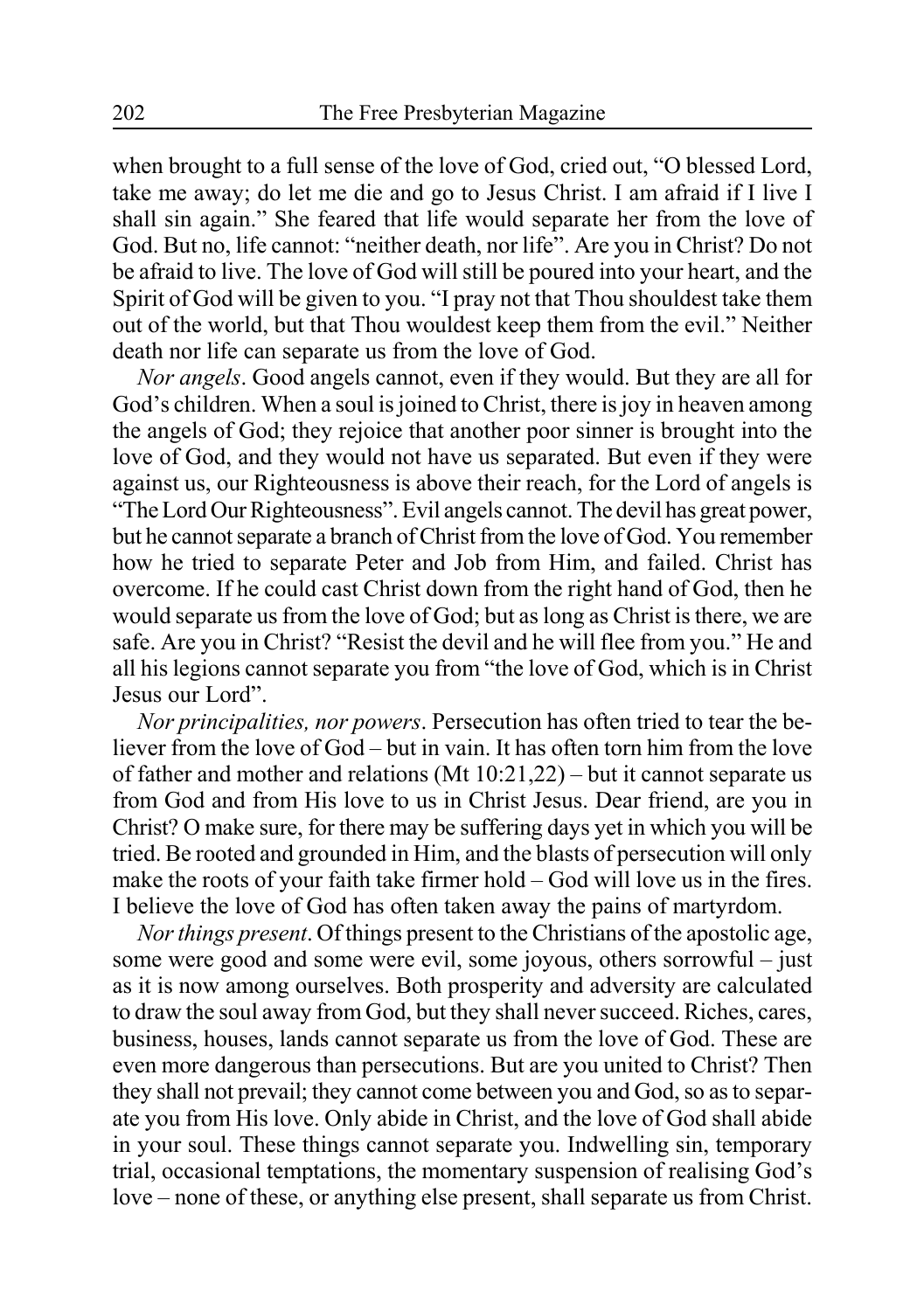when brought to a full sense of the love of God, cried out, "O blessed Lord, take me away; do let me die and go to Jesus Christ. I am afraid if I live I shall sin again." She feared that life would separate her from the love of God. But no, life cannot: "neither death, nor life". Are you in Christ? Do not be afraid to live. The love of God will still be poured into your heart, and the Spirit of God will be given to you. "I pray not that Thou shouldest take them out of the world, but that Thou wouldest keep them from the evil." Neither death nor life can separate us from the love of God.

*Nor angels*. Good angels cannot, even if they would. But they are all for God's children. When a soul is joined to Christ, there is joy in heaven among the angels of God; they rejoice that another poor sinner is brought into the love of God, and they would not have us separated. But even if they were against us, our Righteousness is above their reach, for the Lord of angels is "The Lord Our Righteousness". Evil angels cannot. The devil has great power, but he cannot separate a branch of Christ from the love of God. You remember how he tried to separate Peter and Job from Him, and failed. Christ has overcome. If he could cast Christ down from the right hand of God, then he would separate us from the love of God; but as long as Christ is there, we are safe. Are you in Christ? "Resist the devil and he will flee from you." He and all his legions cannot separate you from "the love of God, which is in Christ Jesus our Lord".

*Nor principalities, nor powers*. Persecution has often tried to tear the believer from the love of God – but in vain. It has often torn him from the love of father and mother and relations (Mt 10:21,22) – but it cannot separate us from God and from His love to us in Christ Jesus. Dear friend, are you in Christ? O make sure, for there may be suffering days yet in which you will be tried. Be rooted and grounded in Him, and the blasts of persecution will only make the roots of your faith take firmer hold – God will love us in the fires. I believe the love of God has often taken away the pains of martyrdom.

*Nor things present*. Of things present to the Christians of the apostolic age, some were good and some were evil, some joyous, others sorrowful – just as it is now among ourselves. Both prosperity and adversity are calculated to draw the soul away from God, but they shall never succeed. Riches, cares, business, houses, lands cannot separate us from the love of God. These are even more dangerous than persecutions. But are you united to Christ? Then they shall not prevail; they cannot come between you and God, so as to separate you from His love. Only abide in Christ, and the love of God shall abide in your soul. These things cannot separate you. Indwelling sin, temporary trial, occasional temptations, the momentary suspension of realising God's love – none of these, or anything else present, shall separate us from Christ.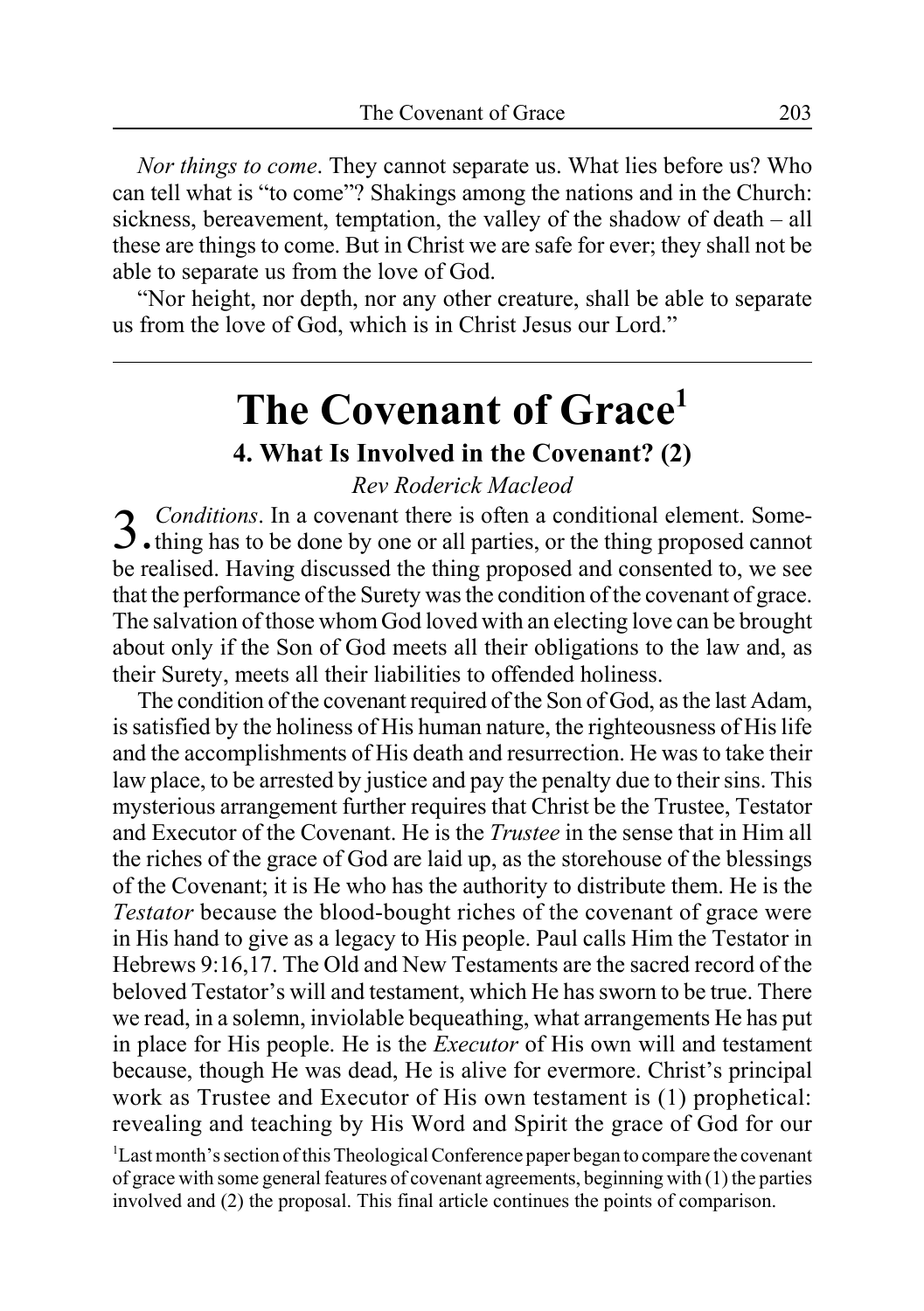*Nor things to come*. They cannot separate us. What lies before us? Who can tell what is "to come"? Shakings among the nations and in the Church: sickness, bereavement, temptation, the valley of the shadow of death – all these are things to come. But in Christ we are safe for ever; they shall not be able to separate us from the love of God.

"Nor height, nor depth, nor any other creature, shall be able to separate us from the love of God, which is in Christ Jesus our Lord."

# **The Covenant of Grace1**

### **4. What Is Involved in the Covenant? (2)**

### *Rev Roderick Macleod*

3. *Conditions*. In a covenant there is often a conditional element. Some-<br>3. thing has to be done by one or all parties, or the thing proposed cannot be realised. Having discussed the thing proposed and consented to, we see that the performance of the Surety was the condition of the covenant of grace. The salvation of those whom God loved with an electing love can be brought about only if the Son of God meets all their obligations to the law and, as their Surety, meets all their liabilities to offended holiness.

The condition of the covenant required of the Son of God, as the last Adam, is satisfied by the holiness of His human nature, the righteousness of His life and the accomplishments of His death and resurrection. He was to take their law place, to be arrested by justice and pay the penalty due to their sins. This mysterious arrangement further requires that Christ be the Trustee, Testator and Executor of the Covenant. He is the *Trustee* in the sense that in Him all the riches of the grace of God are laid up, as the storehouse of the blessings of the Covenant; it is He who has the authority to distribute them. He is the *Testator* because the blood-bought riches of the covenant of grace were in His hand to give as a legacy to His people. Paul calls Him the Testator in Hebrews 9:16,17. The Old and New Testaments are the sacred record of the beloved Testator's will and testament, which He has sworn to be true. There we read, in a solemn, inviolable bequeathing, what arrangements He has put in place for His people. He is the *Executor* of His own will and testament because, though He was dead, He is alive for evermore. Christ's principal work as Trustee and Executor of His own testament is (1) prophetical: revealing and teaching by His Word and Spirit the grace of God for our

<sup>1</sup>Last month's section of this Theological Conference paper began to compare the covenant of grace with some general features of covenant agreements, beginning with (1) the parties involved and (2) the proposal. This final article continues the points of comparison.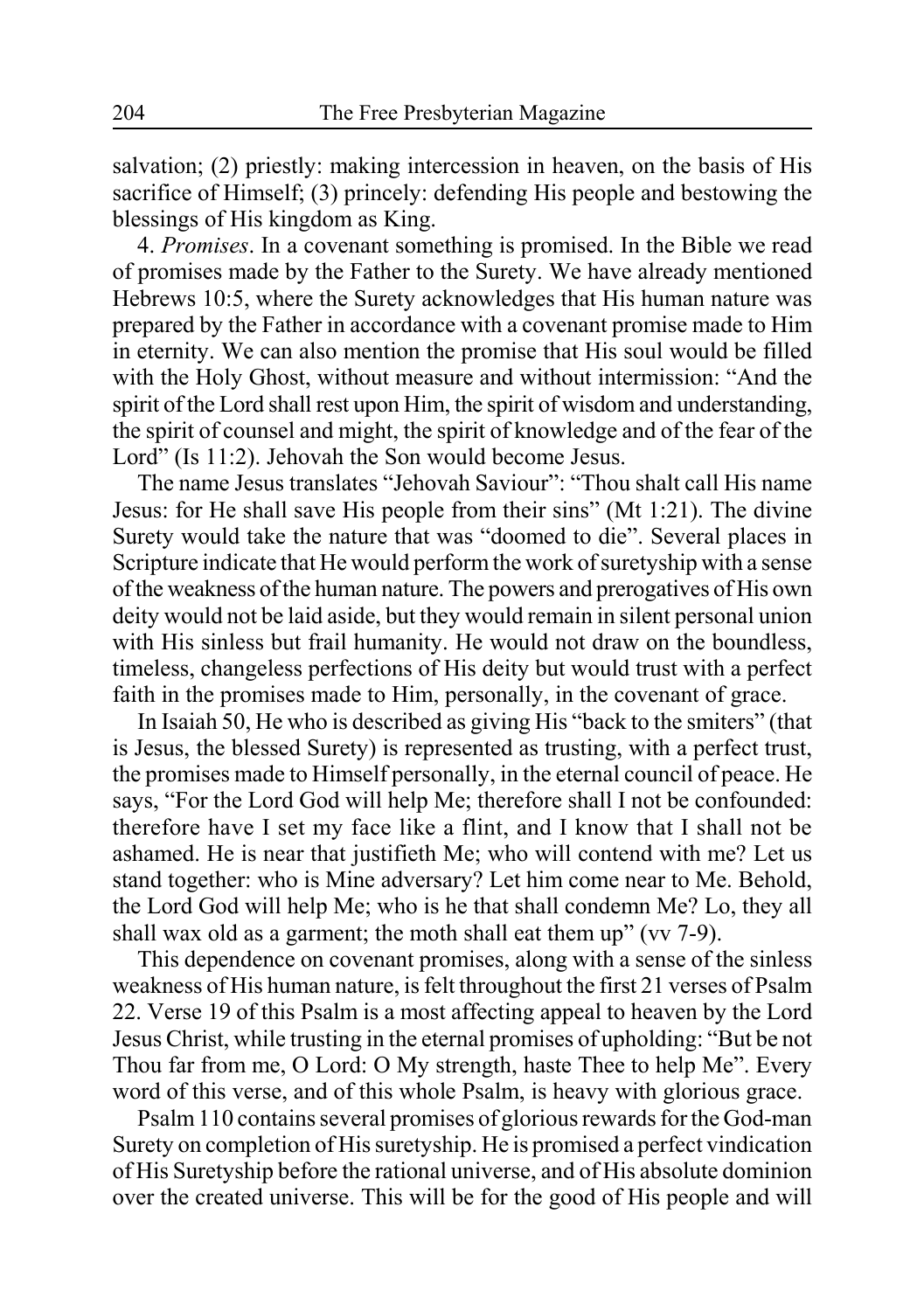salvation; (2) priestly: making intercession in heaven, on the basis of His sacrifice of Himself; (3) princely: defending His people and bestowing the blessings of His kingdom as King.

4. *Promises*. In a covenant something is promised. In the Bible we read of promises made by the Father to the Surety. We have already mentioned Hebrews 10:5, where the Surety acknowledges that His human nature was prepared by the Father in accordance with a covenant promise made to Him in eternity. We can also mention the promise that His soul would be filled with the Holy Ghost, without measure and without intermission: "And the spirit of the Lord shall rest upon Him, the spirit of wisdom and understanding, the spirit of counsel and might, the spirit of knowledge and of the fear of the Lord" (Is 11:2). Jehovah the Son would become Jesus.

The name Jesus translates "Jehovah Saviour": "Thou shalt call His name Jesus: for He shall save His people from their sins" (Mt 1:21). The divine Surety would take the nature that was "doomed to die". Several places in Scripture indicate that He would perform the work of suretyship with a sense of the weakness of the human nature. The powers and prerogatives of His own deity would not be laid aside, but they would remain in silent personal union with His sinless but frail humanity. He would not draw on the boundless, timeless, changeless perfections of His deity but would trust with a perfect faith in the promises made to Him, personally, in the covenant of grace.

In Isaiah 50, He who is described as giving His "back to the smiters" (that is Jesus, the blessed Surety) is represented as trusting, with a perfect trust, the promises made to Himself personally, in the eternal council of peace. He says, "For the Lord God will help Me; therefore shall I not be confounded: therefore have I set my face like a flint, and I know that I shall not be ashamed. He is near that justifieth Me; who will contend with me? Let us stand together: who is Mine adversary? Let him come near to Me. Behold, the Lord God will help Me; who is he that shall condemn Me? Lo, they all shall wax old as a garment; the moth shall eat them up" (vv 7-9).

This dependence on covenant promises, along with a sense of the sinless weakness of His human nature, is felt throughout the first 21 verses of Psalm 22. Verse 19 of this Psalm is a most affecting appeal to heaven by the Lord Jesus Christ, while trusting in the eternal promises of upholding: "But be not Thou far from me, O Lord: O My strength, haste Thee to help Me". Every word of this verse, and of this whole Psalm, is heavy with glorious grace.

Psalm 110 contains several promises of glorious rewards for the God-man Surety on completion of His suretyship. He is promised a perfect vindication of His Suretyship before the rational universe, and of His absolute dominion over the created universe. This will be for the good of His people and will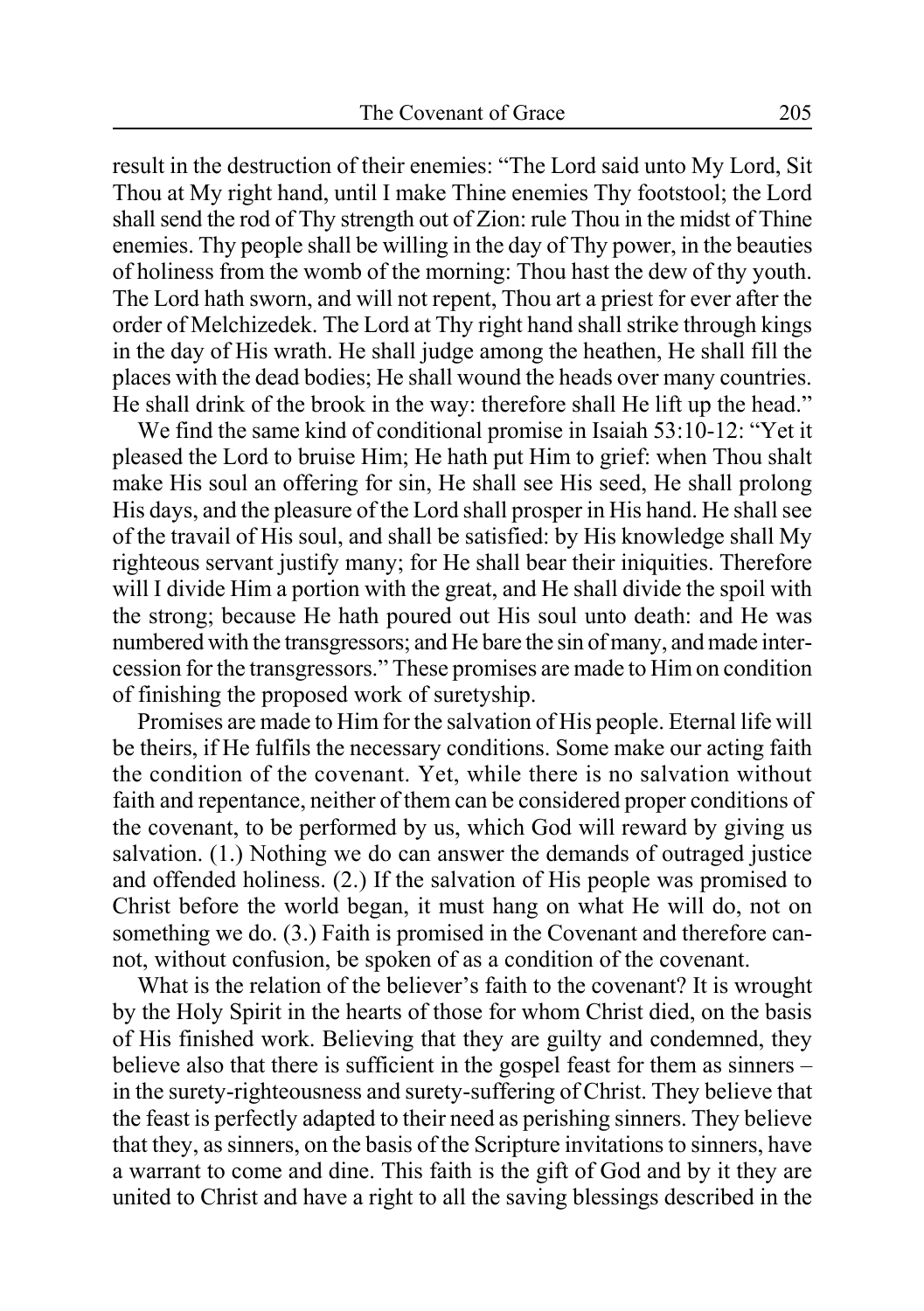result in the destruction of their enemies: "The Lord said unto My Lord, Sit Thou at My right hand, until I make Thine enemies Thy footstool; the Lord shall send the rod of Thy strength out of Zion: rule Thou in the midst of Thine enemies. Thy people shall be willing in the day of Thy power, in the beauties of holiness from the womb of the morning: Thou hast the dew of thy youth. The Lord hath sworn, and will not repent, Thou art a priest for ever after the order of Melchizedek. The Lord at Thy right hand shall strike through kings in the day of His wrath. He shall judge among the heathen, He shall fill the places with the dead bodies; He shall wound the heads over many countries. He shall drink of the brook in the way: therefore shall He lift up the head."

We find the same kind of conditional promise in Isaiah 53:10-12: "Yet it pleased the Lord to bruise Him; He hath put Him to grief: when Thou shalt make His soul an offering for sin, He shall see His seed, He shall prolong His days, and the pleasure of the Lord shall prosper in His hand. He shall see of the travail of His soul, and shall be satisfied: by His knowledge shall My righteous servant justify many; for He shall bear their iniquities. Therefore will I divide Him a portion with the great, and He shall divide the spoil with the strong; because He hath poured out His soul unto death: and He was numbered with the transgressors; and He bare the sin of many, and made intercession for the transgressors." These promises are made to Him on condition of finishing the proposed work of suretyship.

Promises are made to Him for the salvation of His people. Eternal life will be theirs, if He fulfils the necessary conditions. Some make our acting faith the condition of the covenant. Yet, while there is no salvation without faith and repentance, neither of them can be considered proper conditions of the covenant, to be performed by us, which God will reward by giving us salvation. (1.) Nothing we do can answer the demands of outraged justice and offended holiness. (2.) If the salvation of His people was promised to Christ before the world began, it must hang on what He will do, not on something we do. (3.) Faith is promised in the Covenant and therefore cannot, without confusion, be spoken of as a condition of the covenant.

What is the relation of the believer's faith to the covenant? It is wrought by the Holy Spirit in the hearts of those for whom Christ died, on the basis of His finished work. Believing that they are guilty and condemned, they believe also that there is sufficient in the gospel feast for them as sinners – in the surety-righteousness and surety-suffering of Christ. They believe that the feast is perfectly adapted to their need as perishing sinners. They believe that they, as sinners, on the basis of the Scripture invitations to sinners, have a warrant to come and dine. This faith is the gift of God and by it they are united to Christ and have a right to all the saving blessings described in the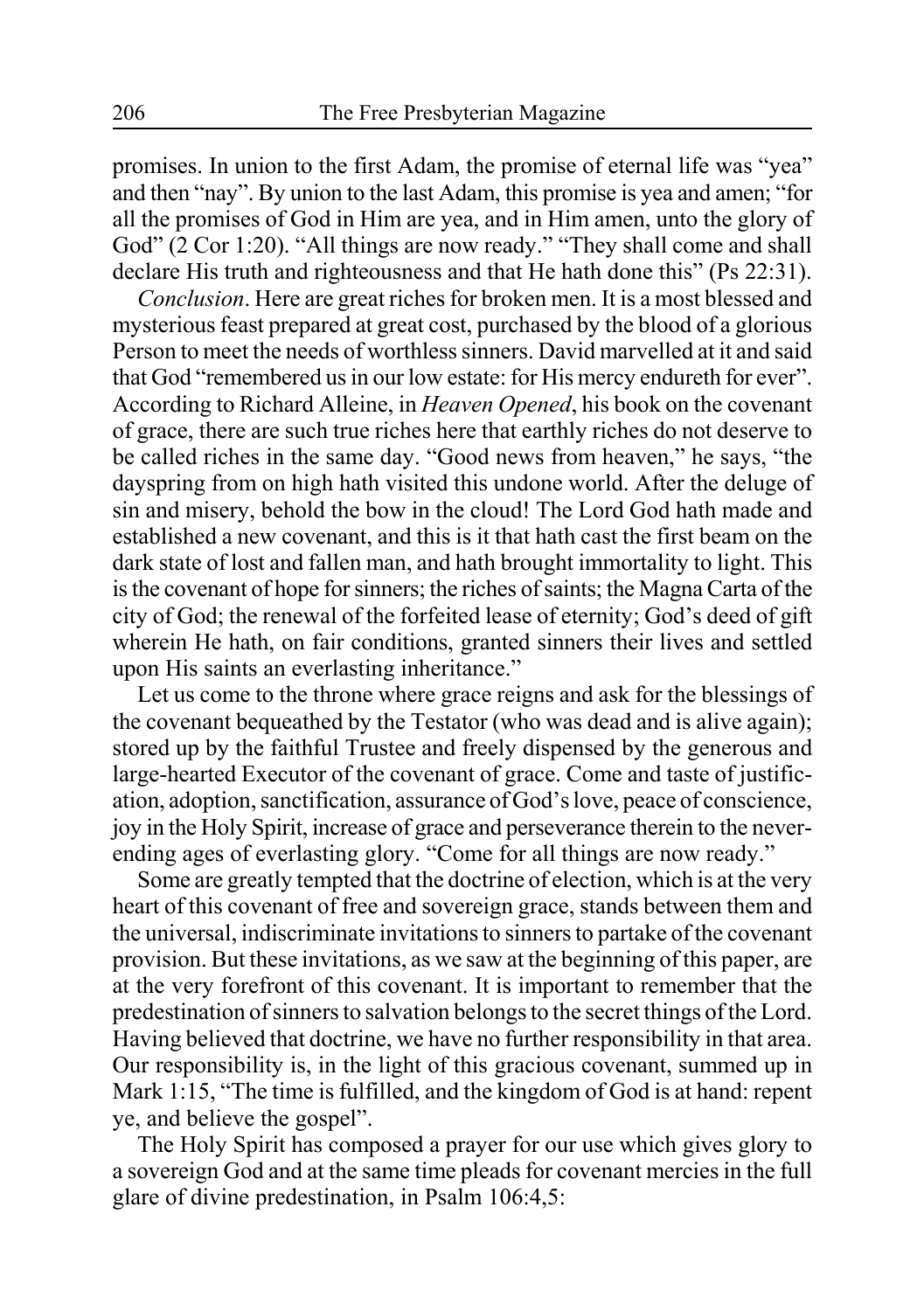promises. In union to the first Adam, the promise of eternal life was "yea" and then "nay". By union to the last Adam, this promise is yea and amen; "for all the promises of God in Him are yea, and in Him amen, unto the glory of God" (2 Cor 1:20). "All things are now ready." "They shall come and shall declare His truth and righteousness and that He hath done this" (Ps 22:31).

*Conclusion*. Here are great riches for broken men. It is a most blessed and mysterious feast prepared at great cost, purchased by the blood of a glorious Person to meet the needs of worthless sinners. David marvelled at it and said that God "remembered us in our low estate: for His mercy endureth for ever". According to Richard Alleine, in *Heaven Opened*, his book on the covenant of grace, there are such true riches here that earthly riches do not deserve to be called riches in the same day. "Good news from heaven," he says, "the dayspring from on high hath visited this undone world. After the deluge of sin and misery, behold the bow in the cloud! The Lord God hath made and established a new covenant, and this is it that hath cast the first beam on the dark state of lost and fallen man, and hath brought immortality to light. This is the covenant of hope for sinners; the riches of saints; the Magna Carta of the city of God; the renewal of the forfeited lease of eternity; God's deed of gift wherein He hath, on fair conditions, granted sinners their lives and settled upon His saints an everlasting inheritance."

Let us come to the throne where grace reigns and ask for the blessings of the covenant bequeathed by the Testator (who was dead and is alive again); stored up by the faithful Trustee and freely dispensed by the generous and large-hearted Executor of the covenant of grace. Come and taste of justification, adoption, sanctification, assurance of God's love, peace of conscience, joy in the Holy Spirit, increase of grace and perseverance therein to the neverending ages of everlasting glory. "Come for all things are now ready."

Some are greatly tempted that the doctrine of election, which is at the very heart of this covenant of free and sovereign grace, stands between them and the universal, indiscriminate invitations to sinners to partake of the covenant provision. But these invitations, as we saw at the beginning of this paper, are at the very forefront of this covenant. It is important to remember that the predestination of sinners to salvation belongs to the secret things of the Lord. Having believed that doctrine, we have no further responsibility in that area. Our responsibility is, in the light of this gracious covenant, summed up in Mark 1:15, "The time is fulfilled, and the kingdom of God is at hand: repent ye, and believe the gospel".

The Holy Spirit has composed a prayer for our use which gives glory to a sovereign God and at the same time pleads for covenant mercies in the full glare of divine predestination, in Psalm 106:4,5: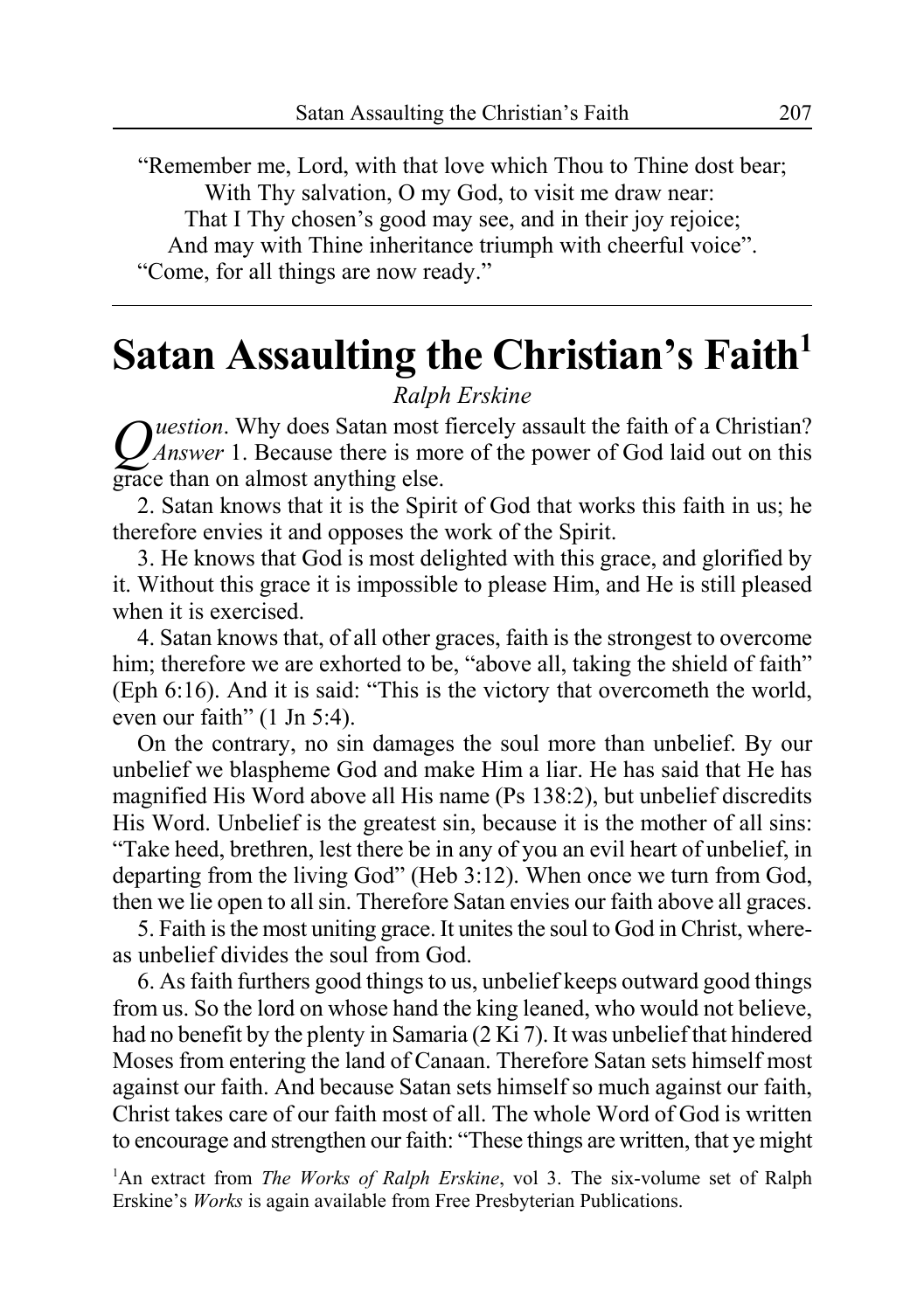"Remember me, Lord, with that love which Thou to Thine dost bear; With Thy salvation, O my God, to visit me draw near: That I Thy chosen's good may see, and in their joy rejoice; And may with Thine inheritance triumph with cheerful voice". "Come, for all things are now ready."

# **Satan Assaulting the Christian's Faith**<sup>1</sup>

### *Ralph Erskine*

*Question*. Why does Satan most fiercely assault the faith of a Christian? *Answer* 1. Because there is more of the power of God laid out on this grace than on almost anything else.

2. Satan knows that it is the Spirit of God that works this faith in us; he therefore envies it and opposes the work of the Spirit.

3. He knows that God is most delighted with this grace, and glorified by it. Without this grace it is impossible to please Him, and He is still pleased when it is exercised.

4. Satan knows that, of all other graces, faith is the strongest to overcome him; therefore we are exhorted to be, "above all, taking the shield of faith" (Eph 6:16). And it is said: "This is the victory that overcometh the world, even our faith" (1 Jn 5:4).

On the contrary, no sin damages the soul more than unbelief. By our unbelief we blaspheme God and make Him a liar. He has said that He has magnified His Word above all His name (Ps 138:2), but unbelief discredits His Word. Unbelief is the greatest sin, because it is the mother of all sins: "Take heed, brethren, lest there be in any of you an evil heart of unbelief, in departing from the living God" (Heb 3:12). When once we turn from God, then we lie open to all sin. Therefore Satan envies our faith above all graces.

5. Faith is the most uniting grace. It unites the soul to God in Christ, whereas unbelief divides the soul from God.

6. As faith furthers good things to us, unbelief keeps outward good things from us. So the lord on whose hand the king leaned, who would not believe, had no benefit by the plenty in Samaria (2 Ki 7). It was unbelief that hindered Moses from entering the land of Canaan. Therefore Satan sets himself most against our faith. And because Satan sets himself so much against our faith, Christ takes care of our faith most of all. The whole Word of God is written to encourage and strengthen our faith: "These things are written, that ye might

<sup>1</sup>An extract from *The Works of Ralph Erskine*, vol 3. The six-volume set of Ralph Erskine's *Works* is again available from Free Presbyterian Publications.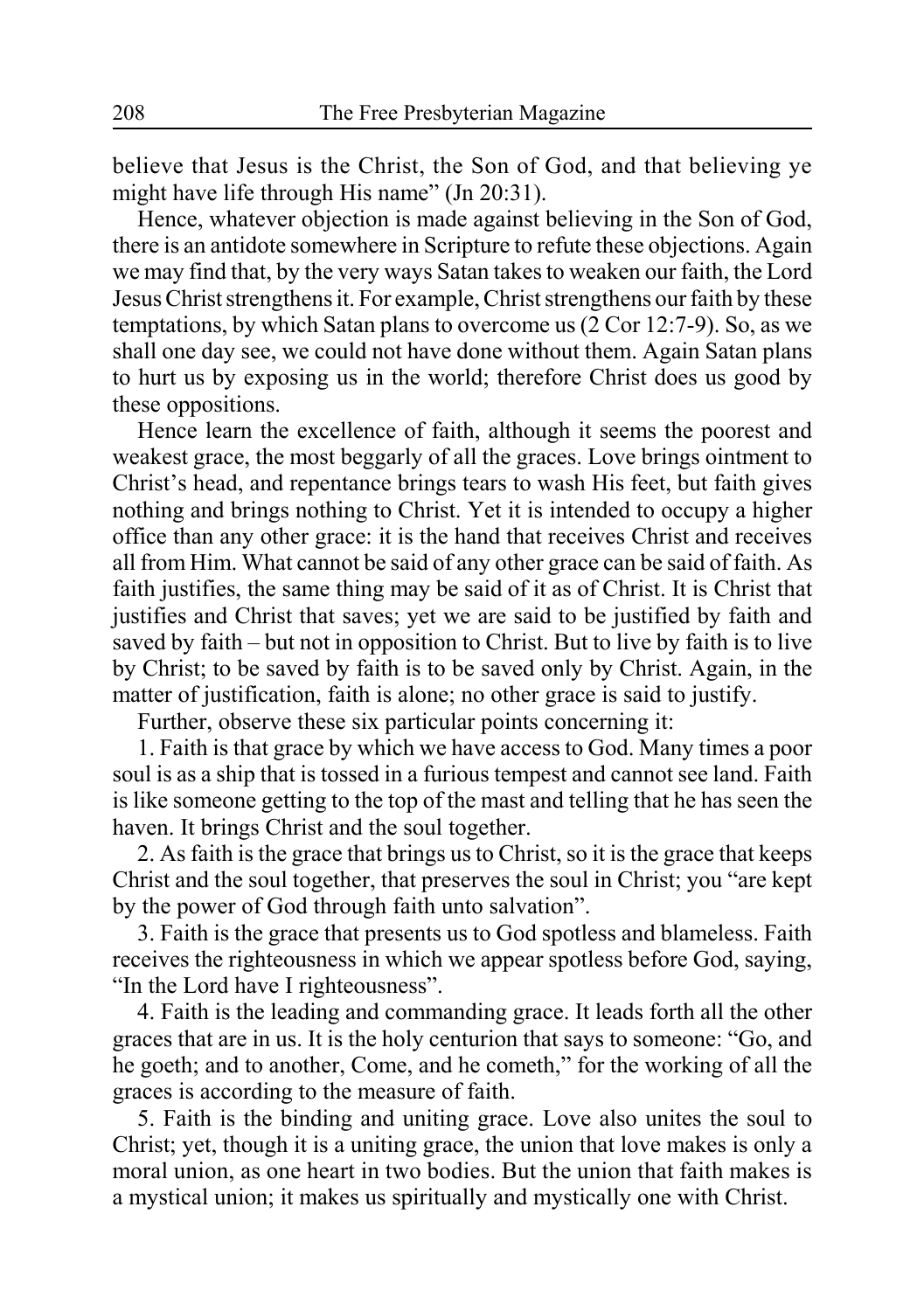believe that Jesus is the Christ, the Son of God, and that believing ye might have life through His name" (Jn 20:31).

Hence, whatever objection is made against believing in the Son of God, there is an antidote somewhere in Scripture to refute these objections. Again we may find that, by the very ways Satan takes to weaken our faith, the Lord Jesus Christ strengthens it. For example, Christ strengthens our faith by these temptations, by which Satan plans to overcome us (2 Cor 12:7-9). So, as we shall one day see, we could not have done without them. Again Satan plans to hurt us by exposing us in the world; therefore Christ does us good by these oppositions.

Hence learn the excellence of faith, although it seems the poorest and weakest grace, the most beggarly of all the graces. Love brings ointment to Christ's head, and repentance brings tears to wash His feet, but faith gives nothing and brings nothing to Christ. Yet it is intended to occupy a higher office than any other grace: it is the hand that receives Christ and receives all from Him. What cannot be said of any other grace can be said of faith. As faith justifies, the same thing may be said of it as of Christ. It is Christ that justifies and Christ that saves; yet we are said to be justified by faith and saved by faith – but not in opposition to Christ. But to live by faith is to live by Christ; to be saved by faith is to be saved only by Christ. Again, in the matter of justification, faith is alone; no other grace is said to justify.

Further, observe these six particular points concerning it:

1. Faith is that grace by which we have access to God. Many times a poor soul is as a ship that is tossed in a furious tempest and cannot see land. Faith is like someone getting to the top of the mast and telling that he has seen the haven. It brings Christ and the soul together.

2. As faith is the grace that brings us to Christ, so it is the grace that keeps Christ and the soul together, that preserves the soul in Christ; you "are kept by the power of God through faith unto salvation".

3. Faith is the grace that presents us to God spotless and blameless. Faith receives the righteousness in which we appear spotless before God, saying, "In the Lord have I righteousness".

4. Faith is the leading and commanding grace. It leads forth all the other graces that are in us. It is the holy centurion that says to someone: "Go, and he goeth; and to another, Come, and he cometh," for the working of all the graces is according to the measure of faith.

5. Faith is the binding and uniting grace. Love also unites the soul to Christ; yet, though it is a uniting grace, the union that love makes is only a moral union, as one heart in two bodies. But the union that faith makes is a mystical union; it makes us spiritually and mystically one with Christ.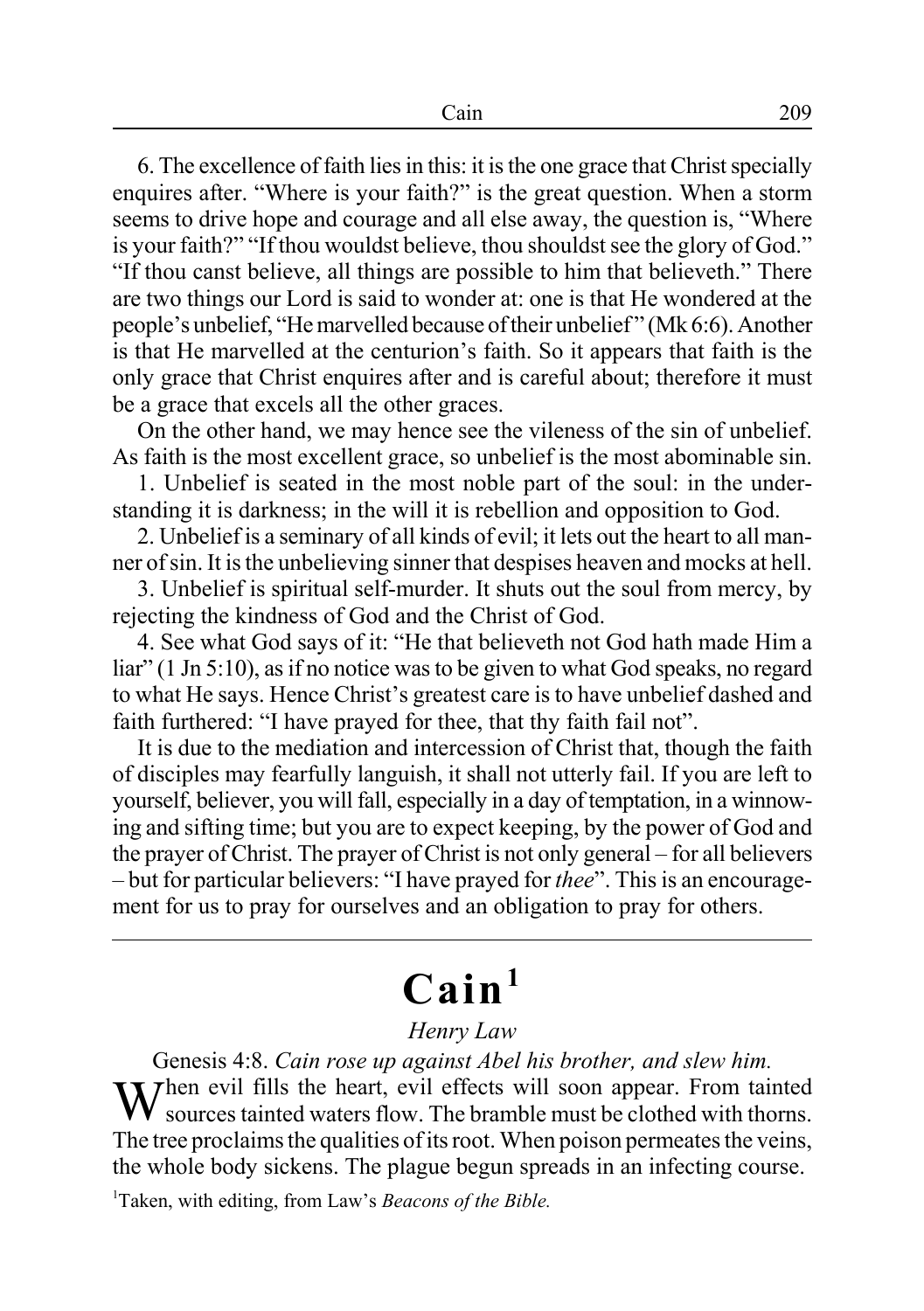6. The excellence of faith lies in this: it is the one grace that Christ specially enquires after. "Where is your faith?" is the great question. When a storm seems to drive hope and courage and all else away, the question is, "Where is your faith?" "If thou wouldst believe, thou shouldst see the glory of God." "If thou canst believe, all things are possible to him that believeth." There are two things our Lord is said to wonder at: one is that He wondered at the people's unbelief, "He marvelled because of their unbelief " (Mk 6:6). Another is that He marvelled at the centurion's faith. So it appears that faith is the only grace that Christ enquires after and is careful about; therefore it must be a grace that excels all the other graces.

On the other hand, we may hence see the vileness of the sin of unbelief. As faith is the most excellent grace, so unbelief is the most abominable sin.

1. Unbelief is seated in the most noble part of the soul: in the understanding it is darkness; in the will it is rebellion and opposition to God.

2. Unbelief is a seminary of all kinds of evil; it lets out the heart to all manner of sin. It is the unbelieving sinner that despises heaven and mocks at hell.

3. Unbelief is spiritual self-murder. It shuts out the soul from mercy, by rejecting the kindness of God and the Christ of God.

4. See what God says of it: "He that believeth not God hath made Him a liar" (1 Jn 5:10), as if no notice was to be given to what God speaks, no regard to what He says. Hence Christ's greatest care is to have unbelief dashed and faith furthered: "I have prayed for thee, that thy faith fail not".

It is due to the mediation and intercession of Christ that, though the faith of disciples may fearfully languish, it shall not utterly fail. If you are left to yourself, believer, you will fall, especially in a day of temptation, in a winnowing and sifting time; but you are to expect keeping, by the power of God and the prayer of Christ. The prayer of Christ is not only general – for all believers – but for particular believers: "I have prayed for *thee*". This is an encouragement for us to pray for ourselves and an obligation to pray for others.

# **Cain1**

### *Henry Law*

Genesis 4:8. *Cain rose up against Abel his brother, and slew him.* When evil fills the heart, evil effects will soon appear. From tainted sources tainted waters  $\alpha$ sources tainted waters flow. The bramble must be clothed with thorns. The tree proclaims the qualities of its root. When poison permeates the veins, the whole body sickens. The plague begun spreads in an infecting course.

1 Taken, with editing, from Law's *Beacons of the Bible.*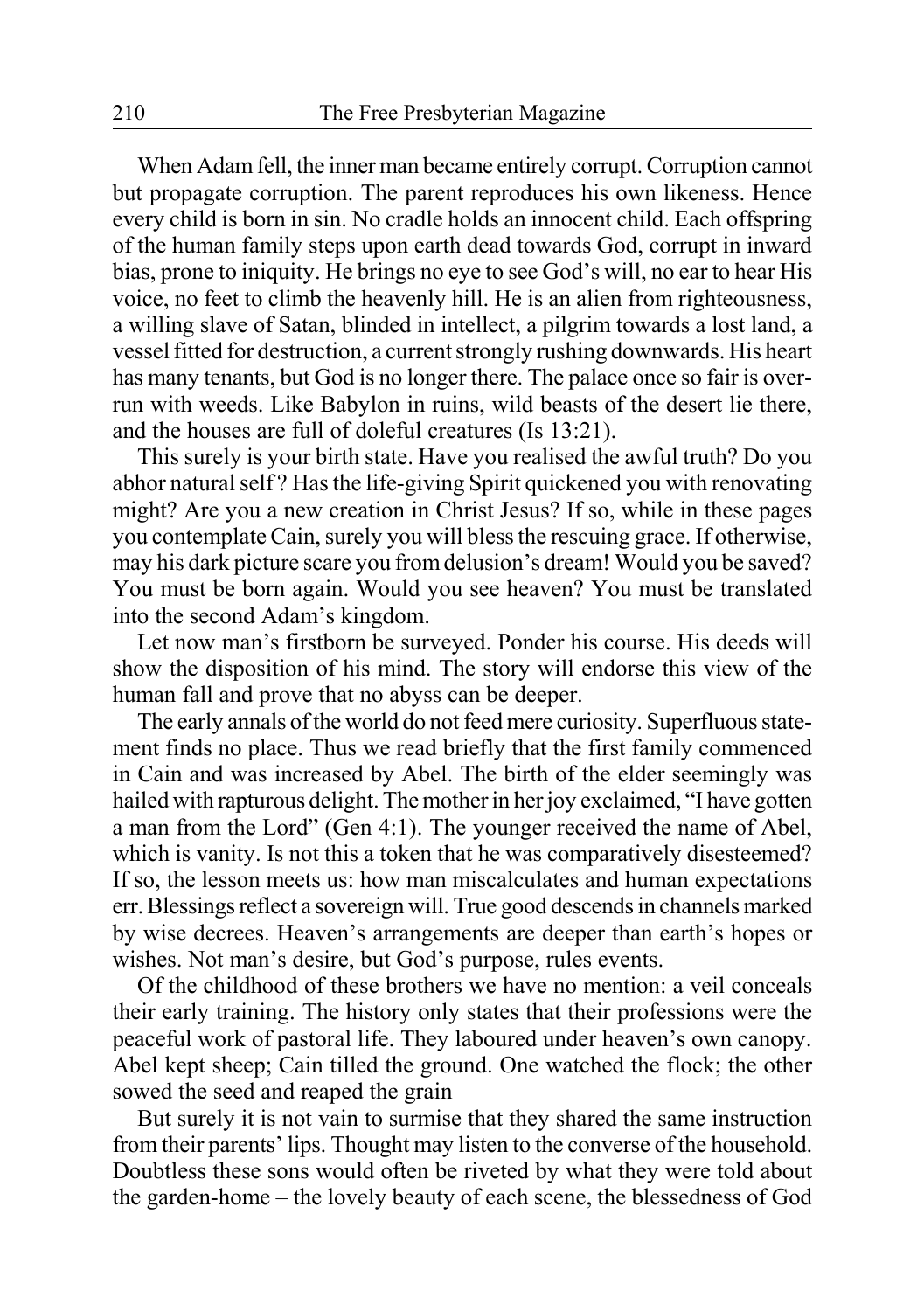When Adam fell, the inner man became entirely corrupt. Corruption cannot but propagate corruption. The parent reproduces his own likeness. Hence every child is born in sin. No cradle holds an innocent child. Each offspring of the human family steps upon earth dead towards God, corrupt in inward bias, prone to iniquity. He brings no eye to see God's will, no ear to hear His voice, no feet to climb the heavenly hill. He is an alien from righteousness, a willing slave of Satan, blinded in intellect, a pilgrim towards a lost land, a vessel fitted for destruction, a current strongly rushing downwards. His heart has many tenants, but God is no longer there. The palace once so fair is overrun with weeds. Like Babylon in ruins, wild beasts of the desert lie there, and the houses are full of doleful creatures (Is 13:21).

This surely is your birth state. Have you realised the awful truth? Do you abhor natural self ? Has the life-giving Spirit quickened you with renovating might? Are you a new creation in Christ Jesus? If so, while in these pages you contemplate Cain, surely you will bless the rescuing grace. If otherwise, may his dark picture scare you from delusion's dream! Would you be saved? You must be born again. Would you see heaven? You must be translated into the second Adam's kingdom.

Let now man's firstborn be surveyed. Ponder his course. His deeds will show the disposition of his mind. The story will endorse this view of the human fall and prove that no abyss can be deeper.

The early annals of the world do not feed mere curiosity. Superfluous statement finds no place. Thus we read briefly that the first family commenced in Cain and was increased by Abel. The birth of the elder seemingly was hailed with rapturous delight. The mother in her joy exclaimed, "I have gotten a man from the Lord" (Gen 4:1). The younger received the name of Abel, which is vanity. Is not this a token that he was comparatively disesteemed? If so, the lesson meets us: how man miscalculates and human expectations err. Blessings reflect a sovereign will. True good descends in channels marked by wise decrees. Heaven's arrangements are deeper than earth's hopes or wishes. Not man's desire, but God's purpose, rules events.

Of the childhood of these brothers we have no mention: a veil conceals their early training. The history only states that their professions were the peaceful work of pastoral life. They laboured under heaven's own canopy. Abel kept sheep; Cain tilled the ground. One watched the flock; the other sowed the seed and reaped the grain

But surely it is not vain to surmise that they shared the same instruction from their parents' lips. Thought may listen to the converse of the household. Doubtless these sons would often be riveted by what they were told about the garden-home – the lovely beauty of each scene, the blessedness of God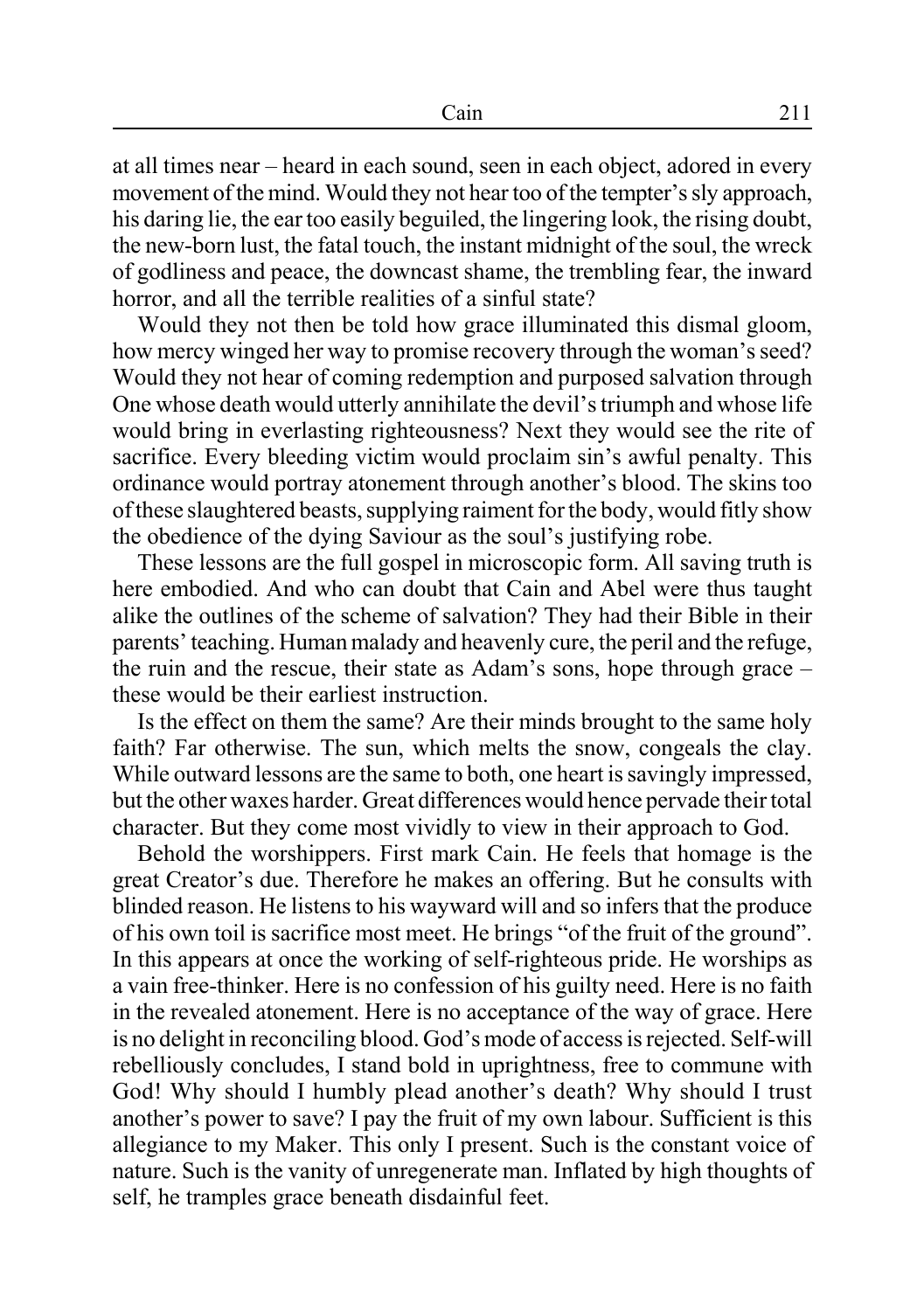at all times near – heard in each sound, seen in each object, adored in every movement of the mind. Would they not hear too of the tempter's sly approach, his daring lie, the ear too easily beguiled, the lingering look, the rising doubt, the new-born lust, the fatal touch, the instant midnight of the soul, the wreck of godliness and peace, the downcast shame, the trembling fear, the inward horror, and all the terrible realities of a sinful state?

Would they not then be told how grace illuminated this dismal gloom, how mercy winged her way to promise recovery through the woman's seed? Would they not hear of coming redemption and purposed salvation through One whose death would utterly annihilate the devil's triumph and whose life would bring in everlasting righteousness? Next they would see the rite of sacrifice. Every bleeding victim would proclaim sin's awful penalty. This ordinance would portray atonement through another's blood. The skins too of these slaughtered beasts, supplying raiment for the body, would fitly show the obedience of the dying Saviour as the soul's justifying robe.

These lessons are the full gospel in microscopic form. All saving truth is here embodied. And who can doubt that Cain and Abel were thus taught alike the outlines of the scheme of salvation? They had their Bible in their parents' teaching. Human malady and heavenly cure, the peril and the refuge, the ruin and the rescue, their state as Adam's sons, hope through grace – these would be their earliest instruction.

Is the effect on them the same? Are their minds brought to the same holy faith? Far otherwise. The sun, which melts the snow, congeals the clay. While outward lessons are the same to both, one heart is savingly impressed, but the other waxes harder. Great differences would hence pervade their total character. But they come most vividly to view in their approach to God.

Behold the worshippers. First mark Cain. He feels that homage is the great Creator's due. Therefore he makes an offering. But he consults with blinded reason. He listens to his wayward will and so infers that the produce of his own toil is sacrifice most meet. He brings "of the fruit of the ground". In this appears at once the working of self-righteous pride. He worships as a vain free-thinker. Here is no confession of his guilty need. Here is no faith in the revealed atonement. Here is no acceptance of the way of grace. Here is no delight in reconciling blood. God's mode of access is rejected. Self-will rebelliously concludes, I stand bold in uprightness, free to commune with God! Why should I humbly plead another's death? Why should I trust another's power to save? I pay the fruit of my own labour. Sufficient is this allegiance to my Maker. This only I present. Such is the constant voice of nature. Such is the vanity of unregenerate man. Inflated by high thoughts of self, he tramples grace beneath disdainful feet.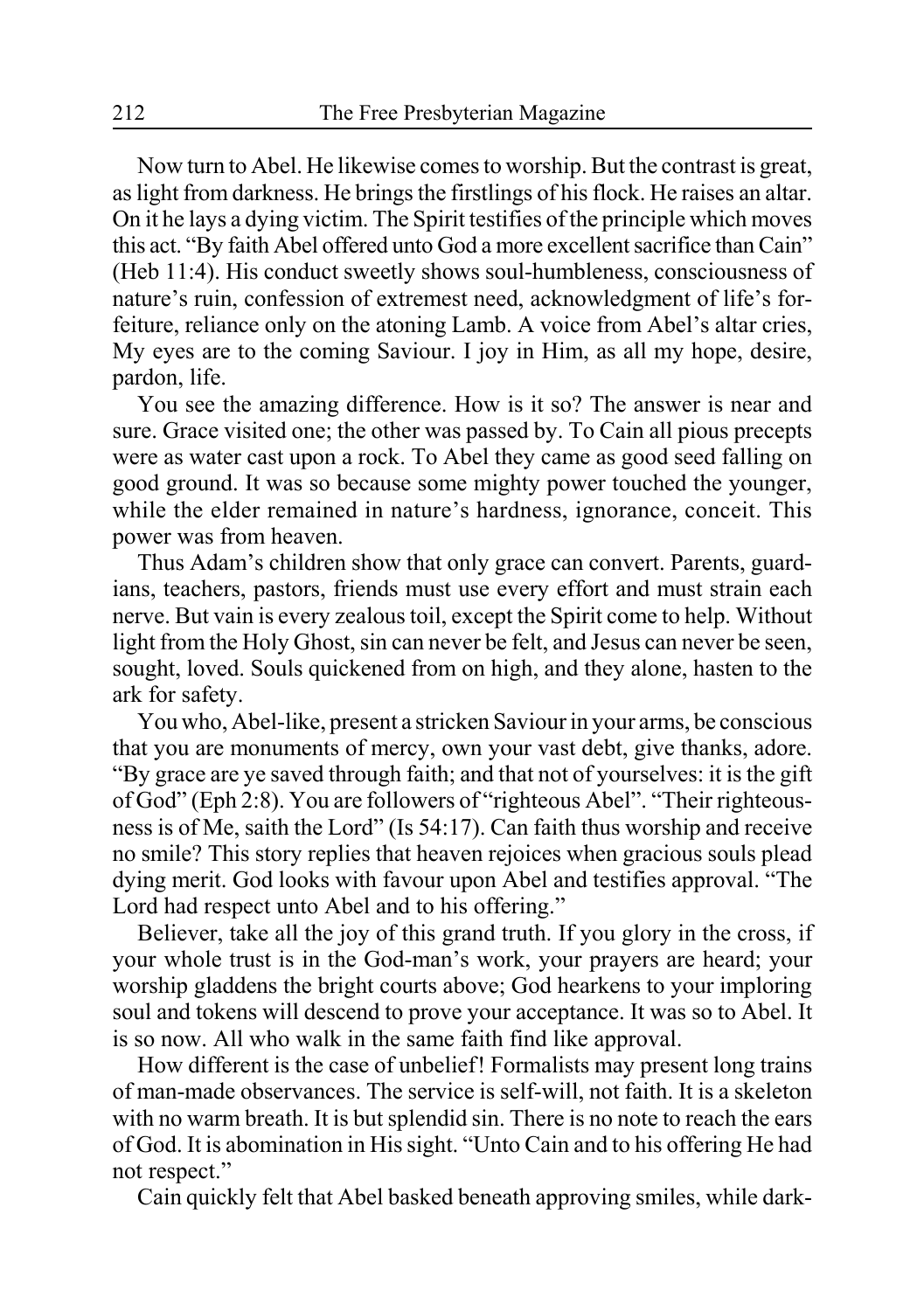Now turn to Abel. He likewise comes to worship. But the contrast is great, as light from darkness. He brings the firstlings of his flock. He raises an altar. On it he lays a dying victim. The Spirit testifies of the principle which moves this act. "By faith Abel offered unto God a more excellent sacrifice than Cain" (Heb 11:4). His conduct sweetly shows soul-humbleness, consciousness of nature's ruin, confession of extremest need, acknowledgment of life's forfeiture, reliance only on the atoning Lamb. A voice from Abel's altar cries, My eyes are to the coming Saviour. I joy in Him, as all my hope, desire, pardon, life.

You see the amazing difference. How is it so? The answer is near and sure. Grace visited one; the other was passed by. To Cain all pious precepts were as water cast upon a rock. To Abel they came as good seed falling on good ground. It was so because some mighty power touched the younger, while the elder remained in nature's hardness, ignorance, conceit. This power was from heaven.

Thus Adam's children show that only grace can convert. Parents, guardians, teachers, pastors, friends must use every effort and must strain each nerve. But vain is every zealous toil, except the Spirit come to help. Without light from the Holy Ghost, sin can never be felt, and Jesus can never be seen, sought, loved. Souls quickened from on high, and they alone, hasten to the ark for safety.

You who, Abel-like, present a stricken Saviour in your arms, be conscious that you are monuments of mercy, own your vast debt, give thanks, adore. "By grace are ye saved through faith; and that not of yourselves: it is the gift of God" (Eph 2:8). You are followers of "righteous Abel". "Their righteousness is of Me, saith the Lord" (Is 54:17). Can faith thus worship and receive no smile? This story replies that heaven rejoices when gracious souls plead dying merit. God looks with favour upon Abel and testifies approval. "The Lord had respect unto Abel and to his offering."

Believer, take all the joy of this grand truth. If you glory in the cross, if your whole trust is in the God-man's work, your prayers are heard; your worship gladdens the bright courts above; God hearkens to your imploring soul and tokens will descend to prove your acceptance. It was so to Abel. It is so now. All who walk in the same faith find like approval.

How different is the case of unbelief! Formalists may present long trains of man-made observances. The service is self-will, not faith. It is a skeleton with no warm breath. It is but splendid sin. There is no note to reach the ears of God. It is abomination in His sight. "Unto Cain and to his offering He had not respect."

Cain quickly felt that Abel basked beneath approving smiles, while dark-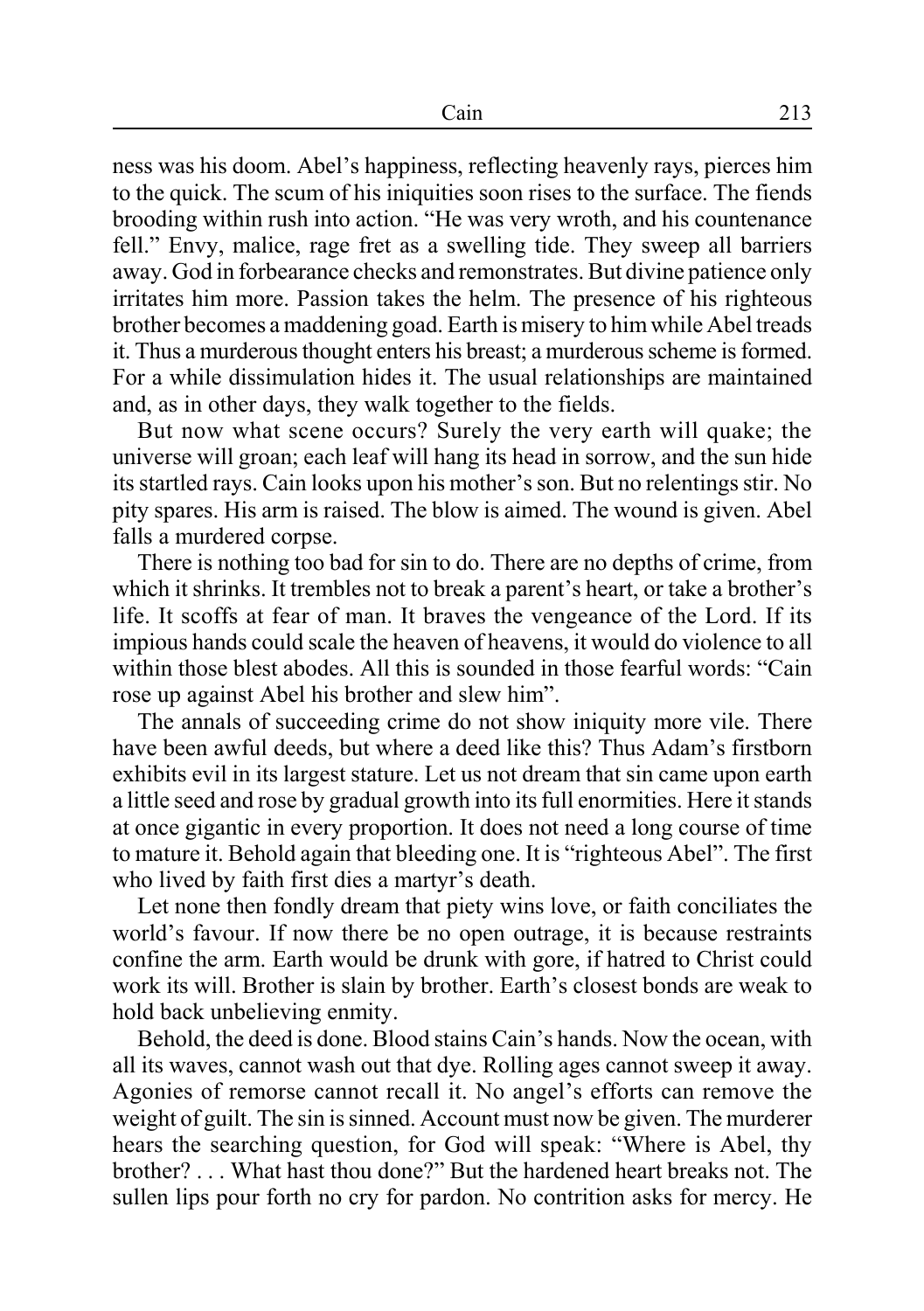ness was his doom. Abel's happiness, reflecting heavenly rays, pierces him to the quick. The scum of his iniquities soon rises to the surface. The fiends brooding within rush into action. "He was very wroth, and his countenance fell." Envy, malice, rage fret as a swelling tide. They sweep all barriers away. God in forbearance checks and remonstrates. But divine patience only irritates him more. Passion takes the helm. The presence of his righteous brother becomes a maddening goad. Earth is misery to him while Abel treads it. Thus a murderous thought enters his breast; a murderous scheme is formed. For a while dissimulation hides it. The usual relationships are maintained and, as in other days, they walk together to the fields.

But now what scene occurs? Surely the very earth will quake; the universe will groan; each leaf will hang its head in sorrow, and the sun hide its startled rays. Cain looks upon his mother's son. But no relentings stir. No pity spares. His arm is raised. The blow is aimed. The wound is given. Abel falls a murdered corpse.

There is nothing too bad for sin to do. There are no depths of crime, from which it shrinks. It trembles not to break a parent's heart, or take a brother's life. It scoffs at fear of man. It braves the vengeance of the Lord. If its impious hands could scale the heaven of heavens, it would do violence to all within those blest abodes. All this is sounded in those fearful words: "Cain rose up against Abel his brother and slew him".

The annals of succeeding crime do not show iniquity more vile. There have been awful deeds, but where a deed like this? Thus Adam's firstborn exhibits evil in its largest stature. Let us not dream that sin came upon earth a little seed and rose by gradual growth into its full enormities. Here it stands at once gigantic in every proportion. It does not need a long course of time to mature it. Behold again that bleeding one. It is "righteous Abel". The first who lived by faith first dies a martyr's death.

Let none then fondly dream that piety wins love, or faith conciliates the world's favour. If now there be no open outrage, it is because restraints confine the arm. Earth would be drunk with gore, if hatred to Christ could work its will. Brother is slain by brother. Earth's closest bonds are weak to hold back unbelieving enmity.

Behold, the deed is done. Blood stains Cain's hands. Now the ocean, with all its waves, cannot wash out that dye. Rolling ages cannot sweep it away. Agonies of remorse cannot recall it. No angel's efforts can remove the weight of guilt. The sin is sinned. Account must now be given. The murderer hears the searching question, for God will speak: "Where is Abel, thy brother? . . . What hast thou done?" But the hardened heart breaks not. The sullen lips pour forth no cry for pardon. No contrition asks for mercy. He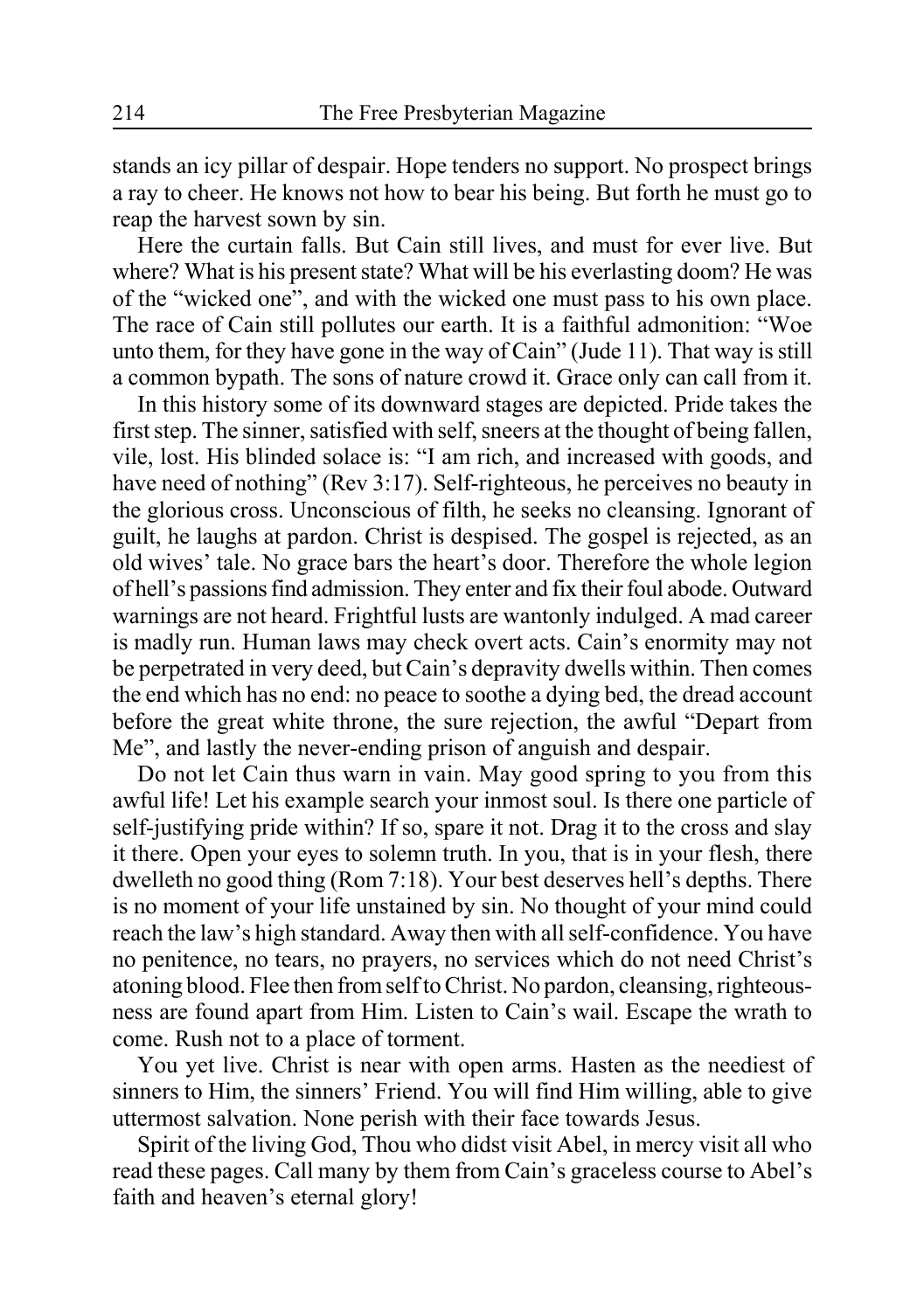stands an icy pillar of despair. Hope tenders no support. No prospect brings a ray to cheer. He knows not how to bear his being. But forth he must go to reap the harvest sown by sin.

Here the curtain falls. But Cain still lives, and must for ever live. But where? What is his present state? What will be his everlasting doom? He was of the "wicked one", and with the wicked one must pass to his own place. The race of Cain still pollutes our earth. It is a faithful admonition: "Woe unto them, for they have gone in the way of Cain" (Jude 11). That way is still a common bypath. The sons of nature crowd it. Grace only can call from it.

In this history some of its downward stages are depicted. Pride takes the first step. The sinner, satisfied with self, sneers at the thought of being fallen, vile, lost. His blinded solace is: "I am rich, and increased with goods, and have need of nothing" (Rev 3:17). Self-righteous, he perceives no beauty in the glorious cross. Unconscious of filth, he seeks no cleansing. Ignorant of guilt, he laughs at pardon. Christ is despised. The gospel is rejected, as an old wives' tale. No grace bars the heart's door. Therefore the whole legion of hell's passions find admission. They enter and fix their foul abode. Outward warnings are not heard. Frightful lusts are wantonly indulged. A mad career is madly run. Human laws may check overt acts. Cain's enormity may not be perpetrated in very deed, but Cain's depravity dwells within. Then comes the end which has no end: no peace to soothe a dying bed, the dread account before the great white throne, the sure rejection, the awful "Depart from Me", and lastly the never-ending prison of anguish and despair.

Do not let Cain thus warn in vain. May good spring to you from this awful life! Let his example search your inmost soul. Is there one particle of self-justifying pride within? If so, spare it not. Drag it to the cross and slay it there. Open your eyes to solemn truth. In you, that is in your flesh, there dwelleth no good thing (Rom 7:18). Your best deserves hell's depths. There is no moment of your life unstained by sin. No thought of your mind could reach the law's high standard. Away then with all self-confidence. You have no penitence, no tears, no prayers, no services which do not need Christ's atoning blood. Flee then from self to Christ. No pardon, cleansing, righteousness are found apart from Him. Listen to Cain's wail. Escape the wrath to come. Rush not to a place of torment.

You yet live. Christ is near with open arms. Hasten as the neediest of sinners to Him, the sinners' Friend. You will find Him willing, able to give uttermost salvation. None perish with their face towards Jesus.

Spirit of the living God, Thou who didst visit Abel, in mercy visit all who read these pages. Call many by them from Cain's graceless course to Abel's faith and heaven's eternal glory!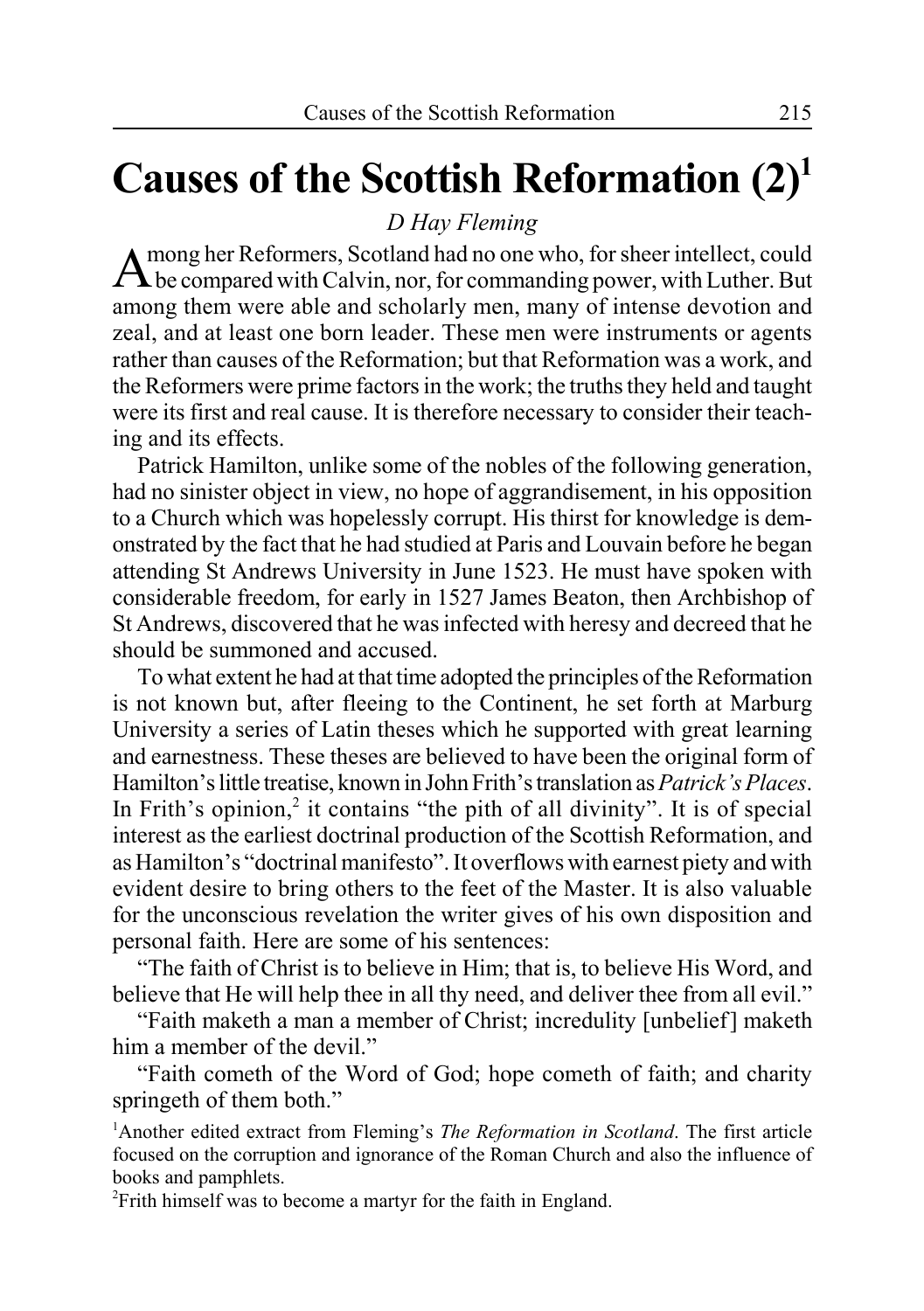# **Causes of the Scottish Reformation (2)1**

*D Hay Fleming*

A mong her Reformers, Scotland had no one who, for sheer intellect, could<br>A be compared with Calvin, nor, for commanding power, with Luther. But among them were able and scholarly men, many of intense devotion and zeal, and at least one born leader. These men were instruments or agents rather than causes of the Reformation; but that Reformation was a work, and the Reformers were prime factors in the work; the truths they held and taught were its first and real cause. It is therefore necessary to consider their teaching and its effects.

Patrick Hamilton, unlike some of the nobles of the following generation, had no sinister object in view, no hope of aggrandisement, in his opposition to a Church which was hopelessly corrupt. His thirst for knowledge is demonstrated by the fact that he had studied at Paris and Louvain before he began attending St Andrews University in June 1523. He must have spoken with considerable freedom, for early in 1527 James Beaton, then Archbishop of St Andrews, discovered that he was infected with heresy and decreed that he should be summoned and accused.

To what extent he had at that time adopted the principles of the Reformation is not known but, after fleeing to the Continent, he set forth at Marburg University a series of Latin theses which he supported with great learning and earnestness. These theses are believed to have been the original form of Hamilton's little treatise, known in John Frith's translation as *Patrick's Places*. In Frith's opinion,<sup>2</sup> it contains "the pith of all divinity". It is of special interest as the earliest doctrinal production of the Scottish Reformation, and as Hamilton's "doctrinal manifesto". It overflows with earnest piety and with evident desire to bring others to the feet of the Master. It is also valuable for the unconscious revelation the writer gives of his own disposition and personal faith. Here are some of his sentences:

"The faith of Christ is to believe in Him; that is, to believe His Word, and believe that He will help thee in all thy need, and deliver thee from all evil."

"Faith maketh a man a member of Christ; incredulity [unbelief] maketh him a member of the devil."

"Faith cometh of the Word of God; hope cometh of faith; and charity springeth of them both."

<sup>1</sup>Another edited extract from Fleming's *The Reformation in Scotland*. The first article focused on the corruption and ignorance of the Roman Church and also the influence of books and pamphlets.

2 Frith himself was to become a martyr for the faith in England.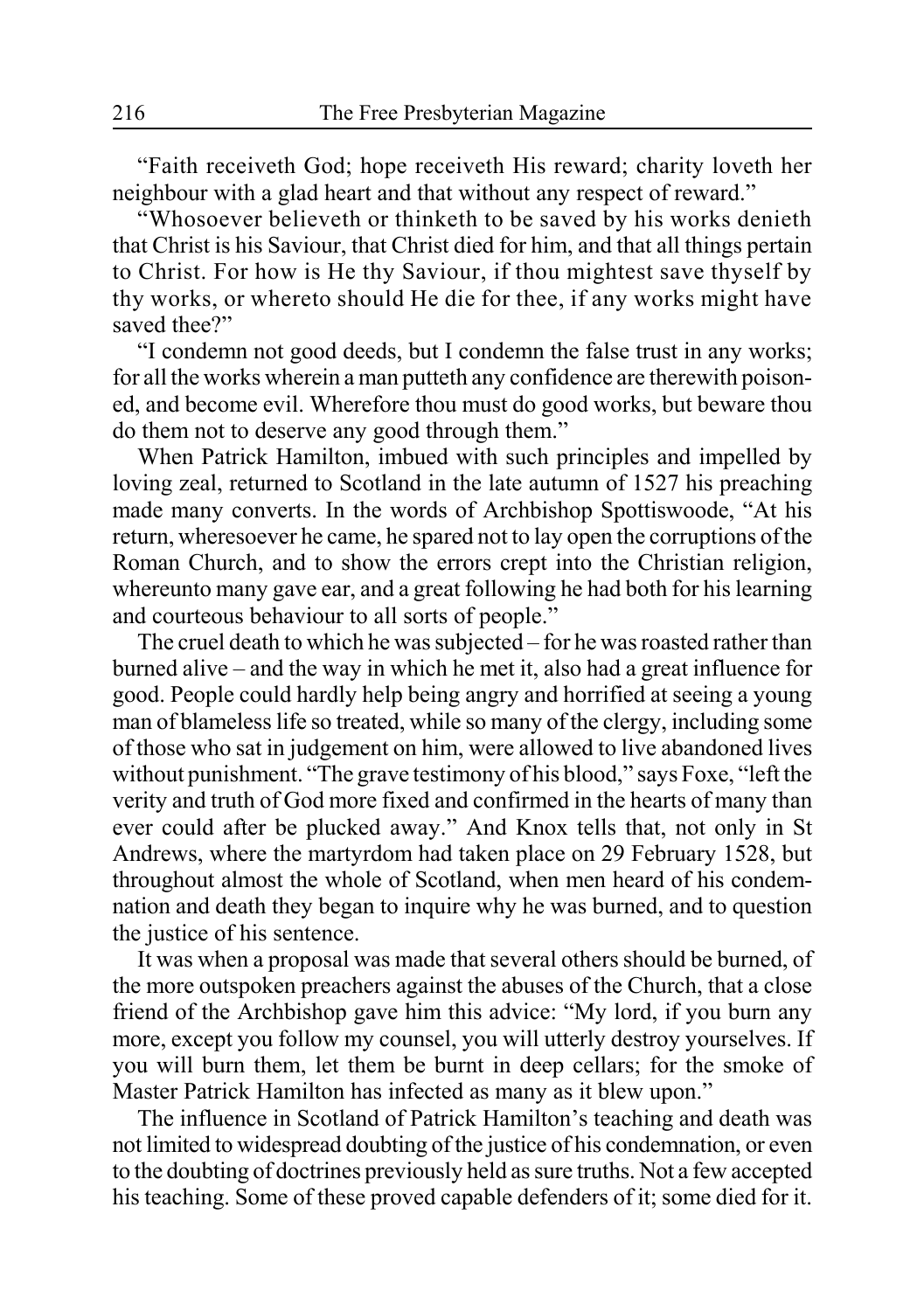"Faith receiveth God; hope receiveth His reward; charity loveth her neighbour with a glad heart and that without any respect of reward."

"Whosoever believeth or thinketh to be saved by his works denieth that Christ is his Saviour, that Christ died for him, and that all things pertain to Christ. For how is He thy Saviour, if thou mightest save thyself by thy works, or whereto should He die for thee, if any works might have saved thee?"

"I condemn not good deeds, but I condemn the false trust in any works; for all the works wherein a man putteth any confidence are therewith poisoned, and become evil. Wherefore thou must do good works, but beware thou do them not to deserve any good through them."

When Patrick Hamilton, imbued with such principles and impelled by loving zeal, returned to Scotland in the late autumn of 1527 his preaching made many converts. In the words of Archbishop Spottiswoode, "At his return, wheresoever he came, he spared not to lay open the corruptions of the Roman Church, and to show the errors crept into the Christian religion, whereunto many gave ear, and a great following he had both for his learning and courteous behaviour to all sorts of people."

The cruel death to which he was subjected – for he was roasted rather than burned alive – and the way in which he met it, also had a great influence for good. People could hardly help being angry and horrified at seeing a young man of blameless life so treated, while so many of the clergy, including some of those who sat in judgement on him, were allowed to live abandoned lives without punishment. "The grave testimony of his blood," says Foxe, "left the verity and truth of God more fixed and confirmed in the hearts of many than ever could after be plucked away." And Knox tells that, not only in St Andrews, where the martyrdom had taken place on 29 February 1528, but throughout almost the whole of Scotland, when men heard of his condemnation and death they began to inquire why he was burned, and to question the justice of his sentence.

It was when a proposal was made that several others should be burned, of the more outspoken preachers against the abuses of the Church, that a close friend of the Archbishop gave him this advice: "My lord, if you burn any more, except you follow my counsel, you will utterly destroy yourselves. If you will burn them, let them be burnt in deep cellars; for the smoke of Master Patrick Hamilton has infected as many as it blew upon."

The influence in Scotland of Patrick Hamilton's teaching and death was not limited to widespread doubting of the justice of his condemnation, or even to the doubting of doctrines previously held as sure truths. Not a few accepted his teaching. Some of these proved capable defenders of it; some died for it.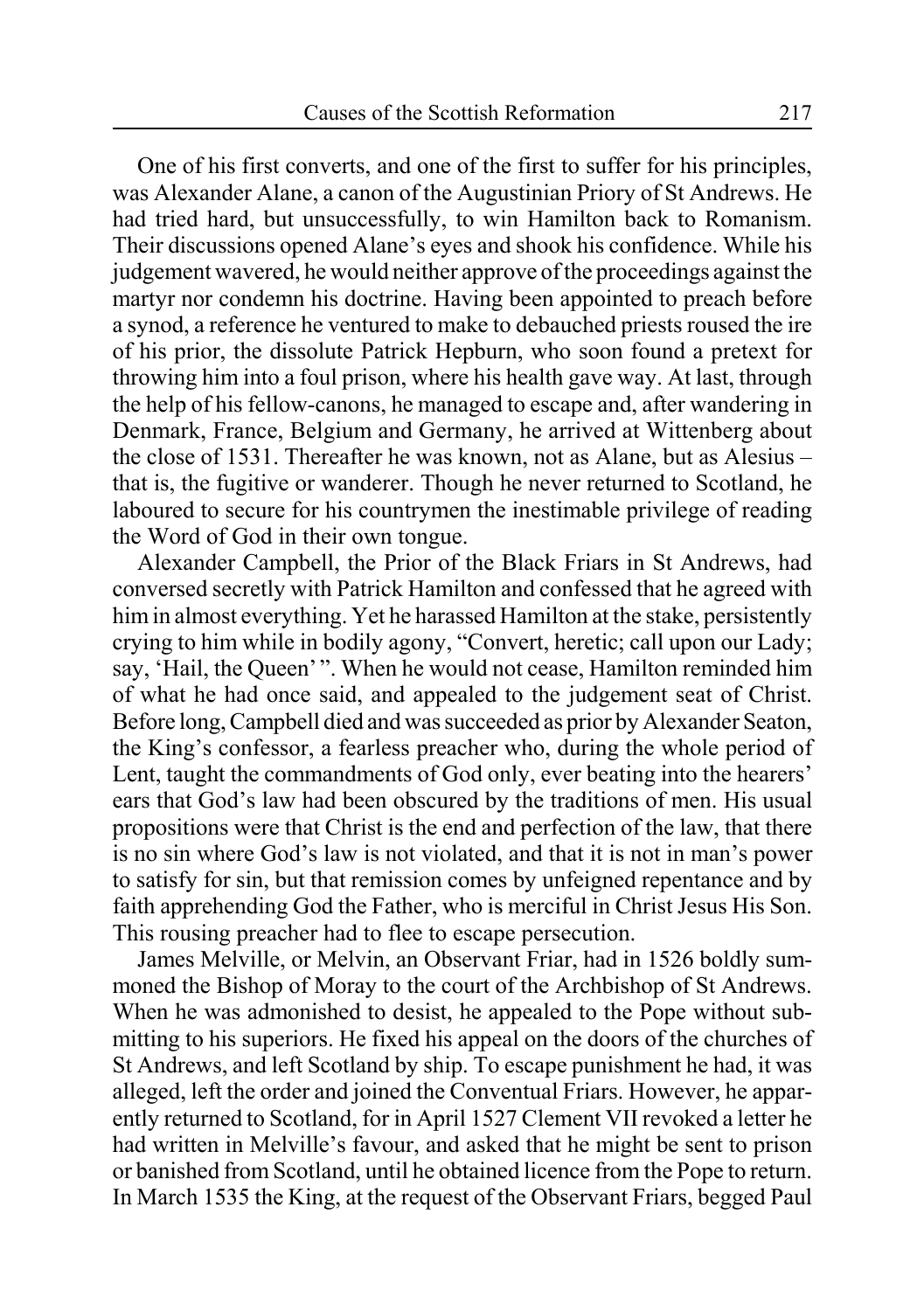One of his first converts, and one of the first to suffer for his principles, was Alexander Alane, a canon of the Augustinian Priory of St Andrews. He had tried hard, but unsuccessfully, to win Hamilton back to Romanism. Their discussions opened Alane's eyes and shook his confidence. While his judgement wavered, he would neither approve of the proceedings against the martyr nor condemn his doctrine. Having been appointed to preach before a synod, a reference he ventured to make to debauched priests roused the ire of his prior, the dissolute Patrick Hepburn, who soon found a pretext for throwing him into a foul prison, where his health gave way. At last, through the help of his fellow-canons, he managed to escape and, after wandering in Denmark, France, Belgium and Germany, he arrived at Wittenberg about the close of 1531. Thereafter he was known, not as Alane, but as Alesius – that is, the fugitive or wanderer. Though he never returned to Scotland, he laboured to secure for his countrymen the inestimable privilege of reading the Word of God in their own tongue.

Alexander Campbell, the Prior of the Black Friars in St Andrews, had conversed secretly with Patrick Hamilton and confessed that he agreed with him in almost everything. Yet he harassed Hamilton at the stake, persistently crying to him while in bodily agony, "Convert, heretic; call upon our Lady; say, 'Hail, the Queen' ". When he would not cease, Hamilton reminded him of what he had once said, and appealed to the judgement seat of Christ. Before long, Campbell died and was succeeded as prior by Alexander Seaton, the King's confessor, a fearless preacher who, during the whole period of Lent, taught the commandments of God only, ever beating into the hearers' ears that God's law had been obscured by the traditions of men. His usual propositions were that Christ is the end and perfection of the law, that there is no sin where God's law is not violated, and that it is not in man's power to satisfy for sin, but that remission comes by unfeigned repentance and by faith apprehending God the Father, who is merciful in Christ Jesus His Son. This rousing preacher had to flee to escape persecution.

James Melville, or Melvin, an Observant Friar, had in 1526 boldly summoned the Bishop of Moray to the court of the Archbishop of St Andrews. When he was admonished to desist, he appealed to the Pope without submitting to his superiors. He fixed his appeal on the doors of the churches of St Andrews, and left Scotland by ship. To escape punishment he had, it was alleged, left the order and joined the Conventual Friars. However, he apparently returned to Scotland, for in April 1527 Clement VII revoked a letter he had written in Melville's favour, and asked that he might be sent to prison or banished from Scotland, until he obtained licence from the Pope to return. In March 1535 the King, at the request of the Observant Friars, begged Paul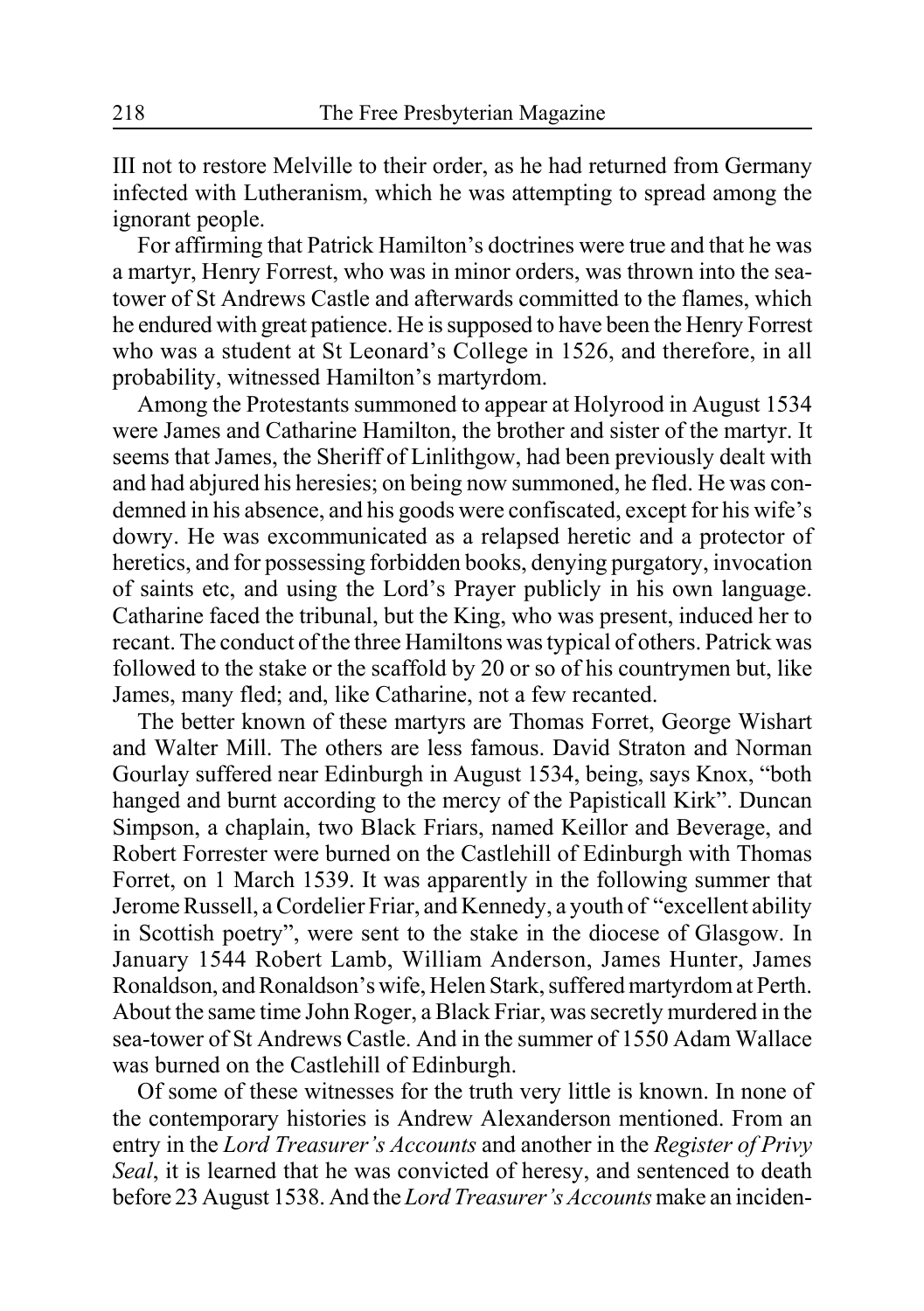III not to restore Melville to their order, as he had returned from Germany infected with Lutheranism, which he was attempting to spread among the ignorant people.

For affirming that Patrick Hamilton's doctrines were true and that he was a martyr, Henry Forrest, who was in minor orders, was thrown into the seatower of St Andrews Castle and afterwards committed to the flames, which he endured with great patience. He is supposed to have been the Henry Forrest who was a student at St Leonard's College in 1526, and therefore, in all probability, witnessed Hamilton's martyrdom.

Among the Protestants summoned to appear at Holyrood in August 1534 were James and Catharine Hamilton, the brother and sister of the martyr. It seems that James, the Sheriff of Linlithgow, had been previously dealt with and had abjured his heresies; on being now summoned, he fled. He was condemned in his absence, and his goods were confiscated, except for his wife's dowry. He was excommunicated as a relapsed heretic and a protector of heretics, and for possessing forbidden books, denying purgatory, invocation of saints etc, and using the Lord's Prayer publicly in his own language. Catharine faced the tribunal, but the King, who was present, induced her to recant. The conduct of the three Hamiltons was typical of others. Patrick was followed to the stake or the scaffold by 20 or so of his countrymen but, like James, many fled; and, like Catharine, not a few recanted.

The better known of these martyrs are Thomas Forret, George Wishart and Walter Mill. The others are less famous. David Straton and Norman Gourlay suffered near Edinburgh in August 1534, being, says Knox, "both hanged and burnt according to the mercy of the Papisticall Kirk". Duncan Simpson, a chaplain, two Black Friars, named Keillor and Beverage, and Robert Forrester were burned on the Castlehill of Edinburgh with Thomas Forret, on 1 March 1539. It was apparently in the following summer that Jerome Russell, a Cordelier Friar, and Kennedy, a youth of "excellent ability in Scottish poetry", were sent to the stake in the diocese of Glasgow. In January 1544 Robert Lamb, William Anderson, James Hunter, James Ronaldson, and Ronaldson's wife, Helen Stark, suffered martyrdom at Perth. About the same time John Roger, a Black Friar, was secretly murdered in the sea-tower of St Andrews Castle. And in the summer of 1550 Adam Wallace was burned on the Castlehill of Edinburgh.

Of some of these witnesses for the truth very little is known. In none of the contemporary histories is Andrew Alexanderson mentioned. From an entry in the *Lord Treasurer's Accounts* and another in the *Register of Privy Seal*, it is learned that he was convicted of heresy, and sentenced to death before 23 August 1538. And the *Lord Treasurer's Accounts* make an inciden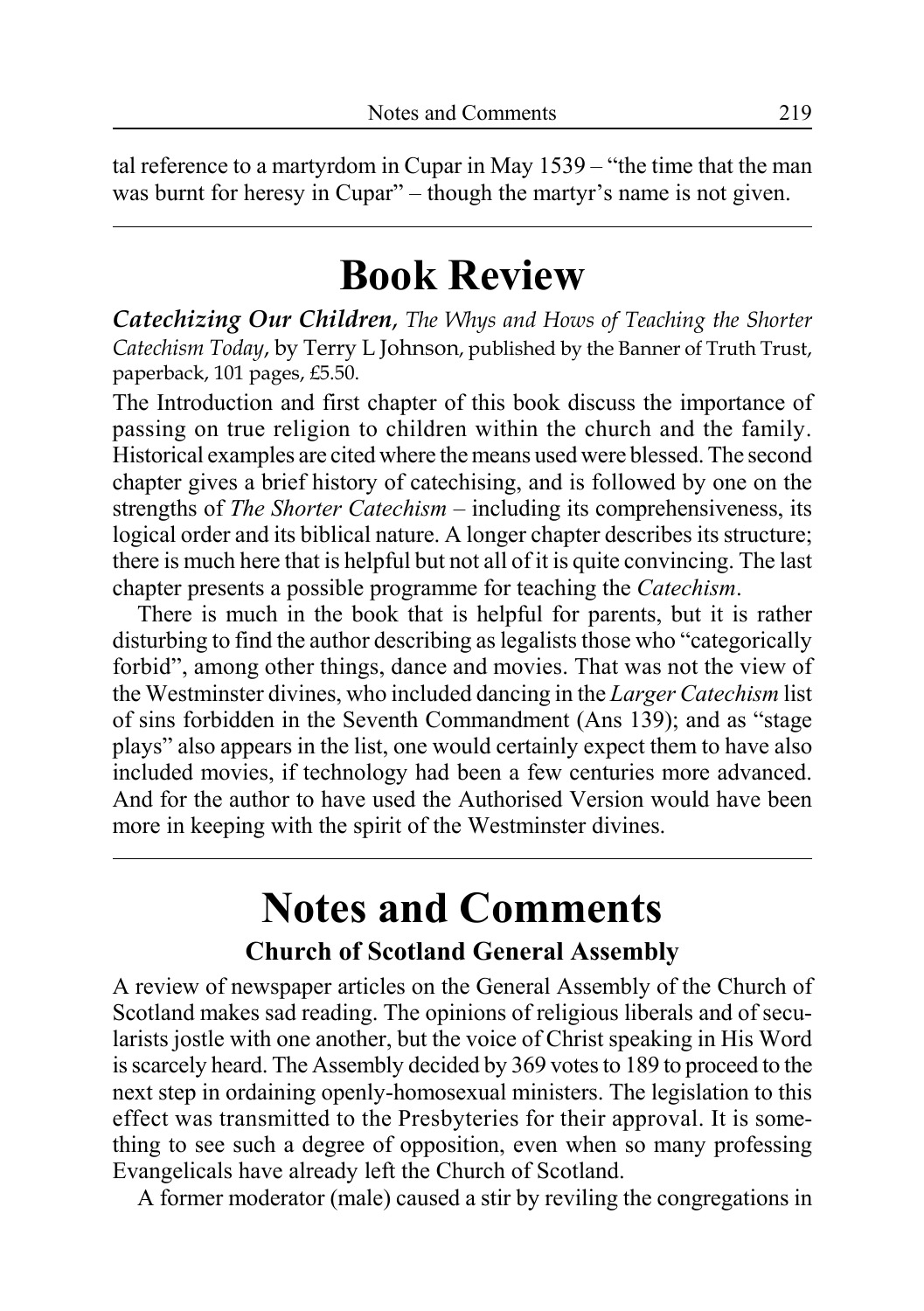tal reference to a martyrdom in Cupar in May 1539 – "the time that the man was burnt for heresy in Cupar" – though the martyr's name is not given.

# **Book Review**

*Catechizing Our Children*, *The Whys and Hows of Teaching the Shorter Catechism Today*, by Terry L Johnson, published by the Banner of Truth Trust, paperback, 101 pages, £5.50.

The Introduction and first chapter of this book discuss the importance of passing on true religion to children within the church and the family. Historical examples are cited where the means used were blessed. The second chapter gives a brief history of catechising, and is followed by one on the strengths of *The Shorter Catechism* – including its comprehensiveness, its logical order and its biblical nature. A longer chapter describes its structure; there is much here that is helpful but not all of it is quite convincing. The last chapter presents a possible programme for teaching the *Catechism*.

There is much in the book that is helpful for parents, but it is rather disturbing to find the author describing as legalists those who "categorically forbid", among other things, dance and movies. That was not the view of the Westminster divines, who included dancing in the *Larger Catechism* list of sins forbidden in the Seventh Commandment (Ans 139); and as "stage plays" also appears in the list, one would certainly expect them to have also included movies, if technology had been a few centuries more advanced. And for the author to have used the Authorised Version would have been more in keeping with the spirit of the Westminster divines.

# **Notes and Comments**

### **Church of Scotland General Assembly**

A review of newspaper articles on the General Assembly of the Church of Scotland makes sad reading. The opinions of religious liberals and of secularists jostle with one another, but the voice of Christ speaking in His Word is scarcely heard. The Assembly decided by 369 votes to 189 to proceed to the next step in ordaining openly-homosexual ministers. The legislation to this effect was transmitted to the Presbyteries for their approval. It is something to see such a degree of opposition, even when so many professing Evangelicals have already left the Church of Scotland.

A former moderator (male) caused a stir by reviling the congregations in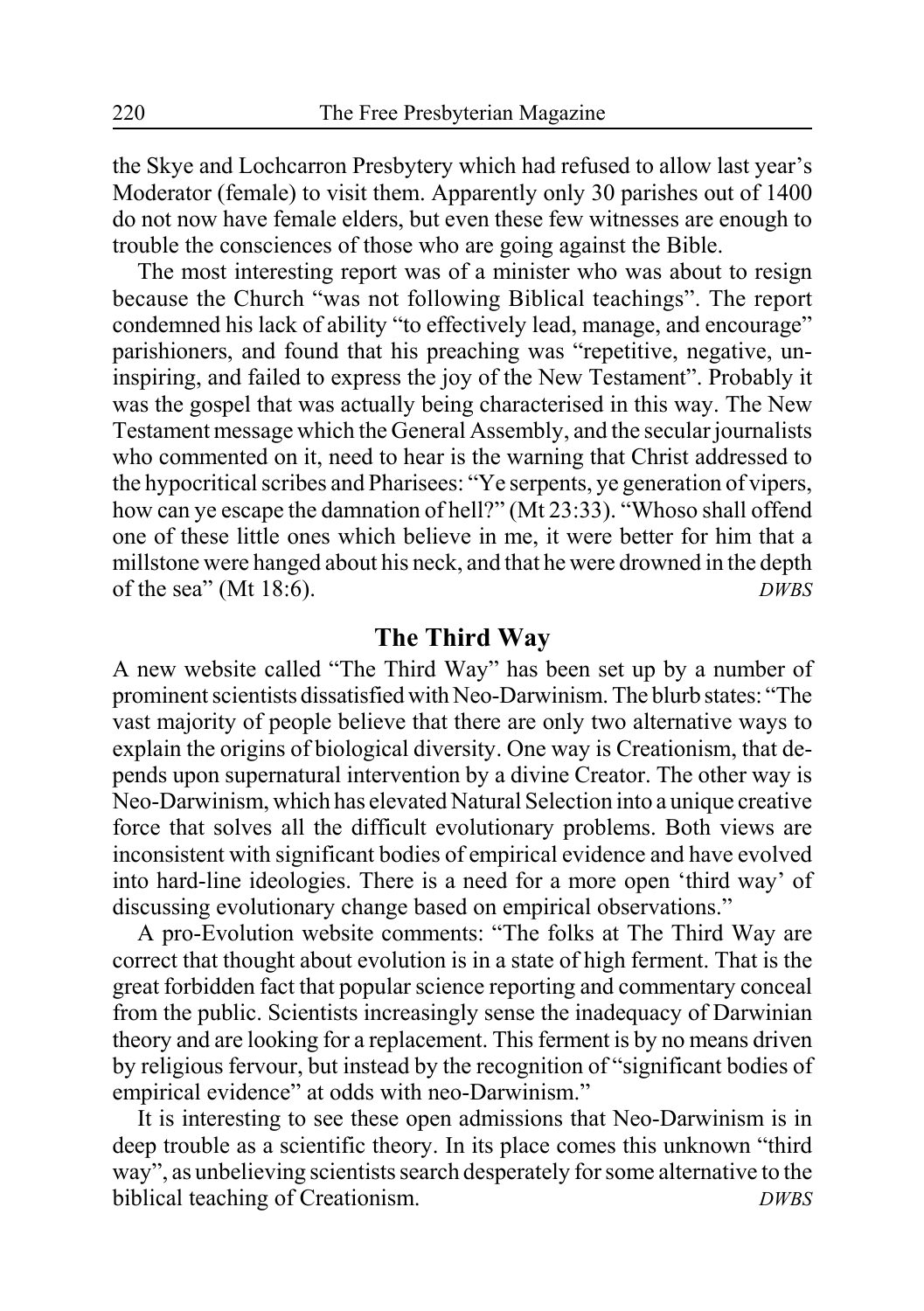the Skye and Lochcarron Presbytery which had refused to allow last year's Moderator (female) to visit them. Apparently only 30 parishes out of 1400 do not now have female elders, but even these few witnesses are enough to trouble the consciences of those who are going against the Bible.

The most interesting report was of a minister who was about to resign because the Church "was not following Biblical teachings". The report condemned his lack of ability "to effectively lead, manage, and encourage" parishioners, and found that his preaching was "repetitive, negative, uninspiring, and failed to express the joy of the New Testament". Probably it was the gospel that was actually being characterised in this way. The New Testament message which the General Assembly, and the secular journalists who commented on it, need to hear is the warning that Christ addressed to the hypocritical scribes and Pharisees: "Ye serpents, ye generation of vipers, how can ye escape the damnation of hell?" (Mt 23:33). "Whoso shall offend one of these little ones which believe in me, it were better for him that a millstone were hanged about his neck, and that he were drowned in the depth of the sea" (Mt 18:6). *DWBS*

### **The Third Way**

A new website called "The Third Way" has been set up by a number of prominent scientists dissatisfied with Neo-Darwinism. The blurb states: "The vast majority of people believe that there are only two alternative ways to explain the origins of biological diversity. One way is Creationism, that depends upon supernatural intervention by a divine Creator. The other way is Neo-Darwinism, which has elevated Natural Selection into a unique creative force that solves all the difficult evolutionary problems. Both views are inconsistent with significant bodies of empirical evidence and have evolved into hard-line ideologies. There is a need for a more open 'third way' of discussing evolutionary change based on empirical observations."

A pro-Evolution website comments: "The folks at The Third Way are correct that thought about evolution is in a state of high ferment. That is the great forbidden fact that popular science reporting and commentary conceal from the public. Scientists increasingly sense the inadequacy of Darwinian theory and are looking for a replacement. This ferment is by no means driven by religious fervour, but instead by the recognition of "significant bodies of empirical evidence" at odds with neo-Darwinism."

It is interesting to see these open admissions that Neo-Darwinism is in deep trouble as a scientific theory. In its place comes this unknown "third way", as unbelieving scientists search desperately for some alternative to the biblical teaching of Creationism. *DWBS*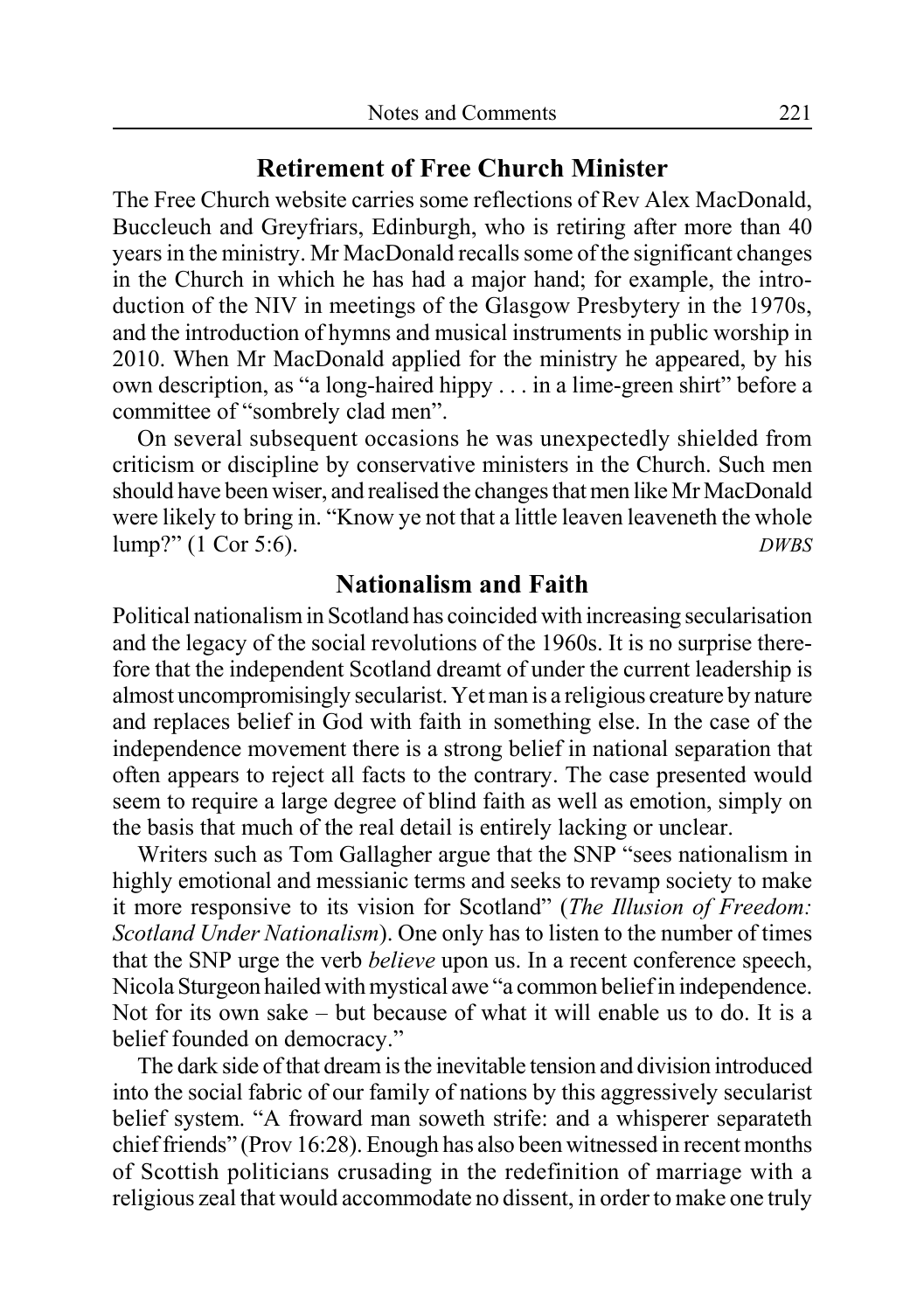### **Retirement of Free Church Minister**

The Free Church website carries some reflections of Rev Alex MacDonald, Buccleuch and Greyfriars, Edinburgh, who is retiring after more than 40 years in the ministry. Mr MacDonald recalls some of the significant changes in the Church in which he has had a major hand; for example, the introduction of the NIV in meetings of the Glasgow Presbytery in the 1970s, and the introduction of hymns and musical instruments in public worship in 2010. When Mr MacDonald applied for the ministry he appeared, by his own description, as "a long-haired hippy . . . in a lime-green shirt" before a committee of "sombrely clad men".

On several subsequent occasions he was unexpectedly shielded from criticism or discipline by conservative ministers in the Church. Such men should have been wiser, and realised the changes that men like Mr MacDonald were likely to bring in. "Know ye not that a little leaven leaveneth the whole lump?" (1 Cor 5:6). *DWBS*

### **Nationalism and Faith**

Political nationalism in Scotland has coincided with increasing secularisation and the legacy of the social revolutions of the 1960s. It is no surprise therefore that the independent Scotland dreamt of under the current leadership is almost uncompromisingly secularist. Yet man is a religious creature by nature and replaces belief in God with faith in something else. In the case of the independence movement there is a strong belief in national separation that often appears to reject all facts to the contrary. The case presented would seem to require a large degree of blind faith as well as emotion, simply on the basis that much of the real detail is entirely lacking or unclear.

Writers such as Tom Gallagher argue that the SNP "sees nationalism in highly emotional and messianic terms and seeks to revamp society to make it more responsive to its vision for Scotland" (*The Illusion of Freedom: Scotland Under Nationalism*). One only has to listen to the number of times that the SNP urge the verb *believe* upon us. In a recent conference speech, Nicola Sturgeon hailed with mystical awe "a common belief in independence. Not for its own sake – but because of what it will enable us to do. It is a belief founded on democracy."

The dark side of that dream is the inevitable tension and division introduced into the social fabric of our family of nations by this aggressively secularist belief system. "A froward man soweth strife: and a whisperer separateth chief friends" (Prov 16:28). Enough has also been witnessed in recent months of Scottish politicians crusading in the redefinition of marriage with a religious zeal that would accommodate no dissent, in order to make one truly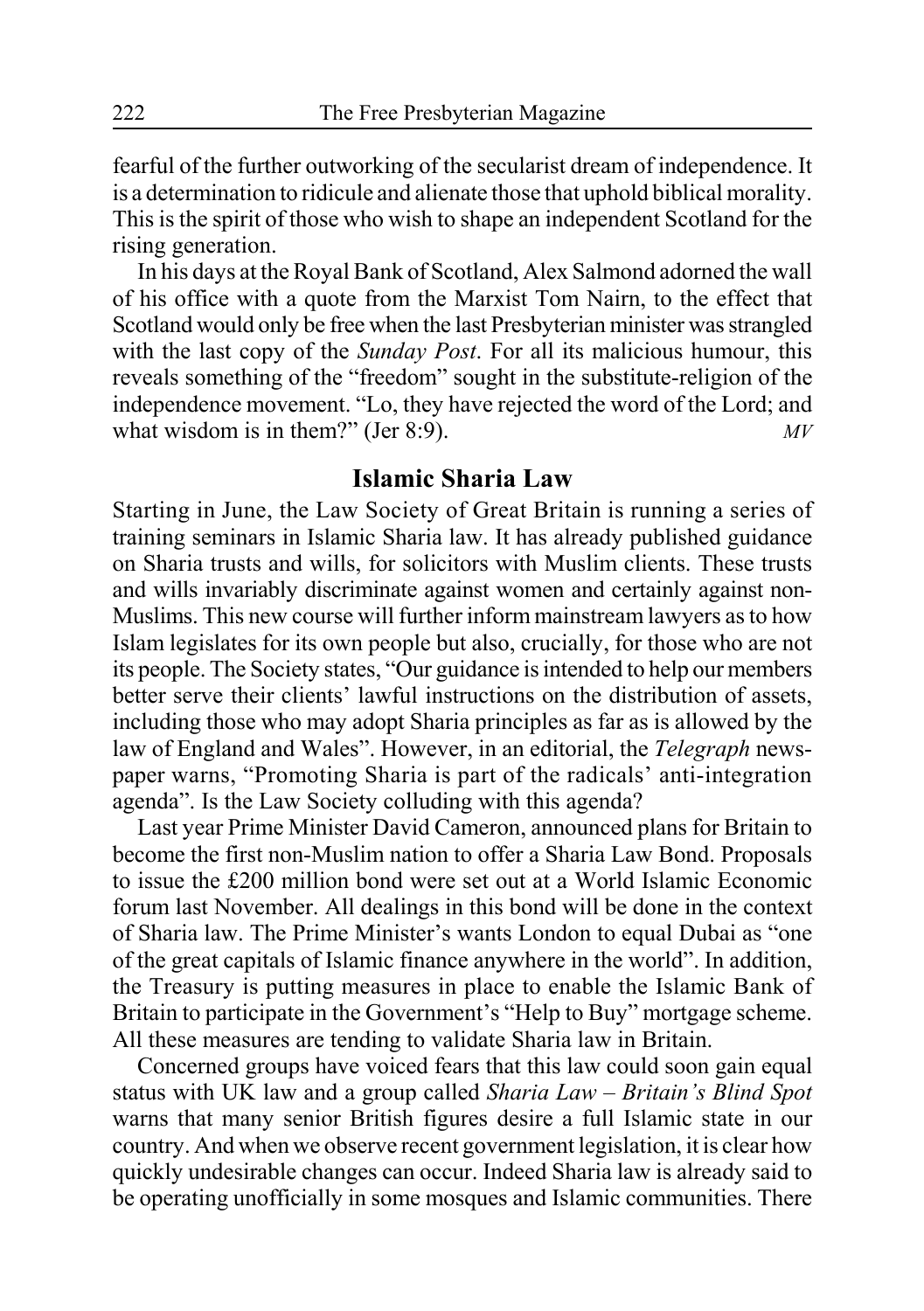fearful of the further outworking of the secularist dream of independence. It is a determination to ridicule and alienate those that uphold biblical morality. This is the spirit of those who wish to shape an independent Scotland for the rising generation.

In his days at the Royal Bank of Scotland, Alex Salmond adorned the wall of his office with a quote from the Marxist Tom Nairn, to the effect that Scotland would only be free when the last Presbyterian minister was strangled with the last copy of the *Sunday Post*. For all its malicious humour, this reveals something of the "freedom" sought in the substitute-religion of the independence movement. "Lo, they have rejected the word of the Lord; and what wisdom is in them?" (Jer 8:9).

### **Islamic Sharia Law**

Starting in June, the Law Society of Great Britain is running a series of training seminars in Islamic Sharia law. It has already published guidance on Sharia trusts and wills, for solicitors with Muslim clients. These trusts and wills invariably discriminate against women and certainly against non-Muslims. This new course will further inform mainstream lawyers as to how Islam legislates for its own people but also, crucially, for those who are not its people. The Society states, "Our guidance is intended to help our members better serve their clients' lawful instructions on the distribution of assets, including those who may adopt Sharia principles as far as is allowed by the law of England and Wales". However, in an editorial, the *Telegraph* newspaper warns, "Promoting Sharia is part of the radicals' anti-integration agenda". Is the Law Society colluding with this agenda?

Last year Prime Minister David Cameron, announced plans for Britain to become the first non-Muslim nation to offer a Sharia Law Bond. Proposals to issue the £200 million bond were set out at a World Islamic Economic forum last November. All dealings in this bond will be done in the context of Sharia law. The Prime Minister's wants London to equal Dubai as "one of the great capitals of Islamic finance anywhere in the world". In addition, the Treasury is putting measures in place to enable the Islamic Bank of Britain to participate in the Government's "Help to Buy" mortgage scheme. All these measures are tending to validate Sharia law in Britain.

Concerned groups have voiced fears that this law could soon gain equal status with UK law and a group called *Sharia Law – Britain's Blind Spot* warns that many senior British figures desire a full Islamic state in our country. And when we observe recent government legislation, it is clear how quickly undesirable changes can occur. Indeed Sharia law is already said to be operating unofficially in some mosques and Islamic communities. There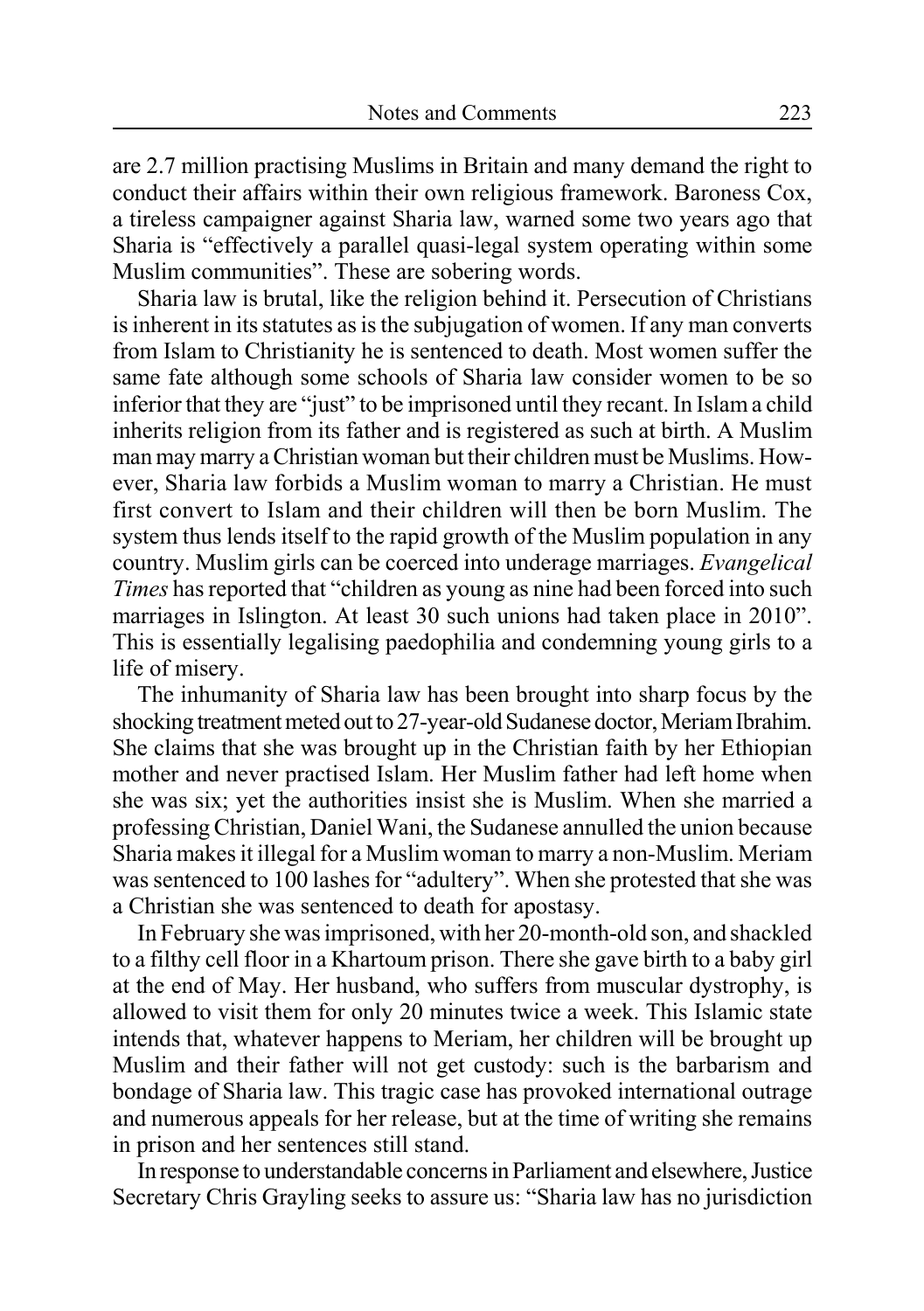are 2.7 million practising Muslims in Britain and many demand the right to conduct their affairs within their own religious framework. Baroness Cox, a tireless campaigner against Sharia law, warned some two years ago that Sharia is "effectively a parallel quasi-legal system operating within some Muslim communities". These are sobering words.

Sharia law is brutal, like the religion behind it. Persecution of Christians is inherent in its statutes as is the subjugation of women. If any man converts from Islam to Christianity he is sentenced to death. Most women suffer the same fate although some schools of Sharia law consider women to be so inferior that they are "just" to be imprisoned until they recant. In Islam a child inherits religion from its father and is registered as such at birth. A Muslim man may marry a Christian woman but their children must be Muslims. However, Sharia law forbids a Muslim woman to marry a Christian. He must first convert to Islam and their children will then be born Muslim. The system thus lends itself to the rapid growth of the Muslim population in any country. Muslim girls can be coerced into underage marriages. *Evangelical Times* has reported that "children as young as nine had been forced into such marriages in Islington. At least 30 such unions had taken place in 2010". This is essentially legalising paedophilia and condemning young girls to a life of misery.

The inhumanity of Sharia law has been brought into sharp focus by the shocking treatment meted out to 27-year-old Sudanese doctor, Meriam Ibrahim. She claims that she was brought up in the Christian faith by her Ethiopian mother and never practised Islam. Her Muslim father had left home when she was six; yet the authorities insist she is Muslim. When she married a professing Christian, Daniel Wani, the Sudanese annulled the union because Sharia makes it illegal for a Muslim woman to marry a non-Muslim. Meriam was sentenced to 100 lashes for "adultery". When she protested that she was a Christian she was sentenced to death for apostasy.

In February she was imprisoned, with her 20-month-old son, and shackled to a filthy cell floor in a Khartoum prison. There she gave birth to a baby girl at the end of May. Her husband, who suffers from muscular dystrophy, is allowed to visit them for only 20 minutes twice a week. This Islamic state intends that, whatever happens to Meriam, her children will be brought up Muslim and their father will not get custody: such is the barbarism and bondage of Sharia law. This tragic case has provoked international outrage and numerous appeals for her release, but at the time of writing she remains in prison and her sentences still stand.

In response to understandable concerns in Parliament and elsewhere, Justice Secretary Chris Grayling seeks to assure us: "Sharia law has no jurisdiction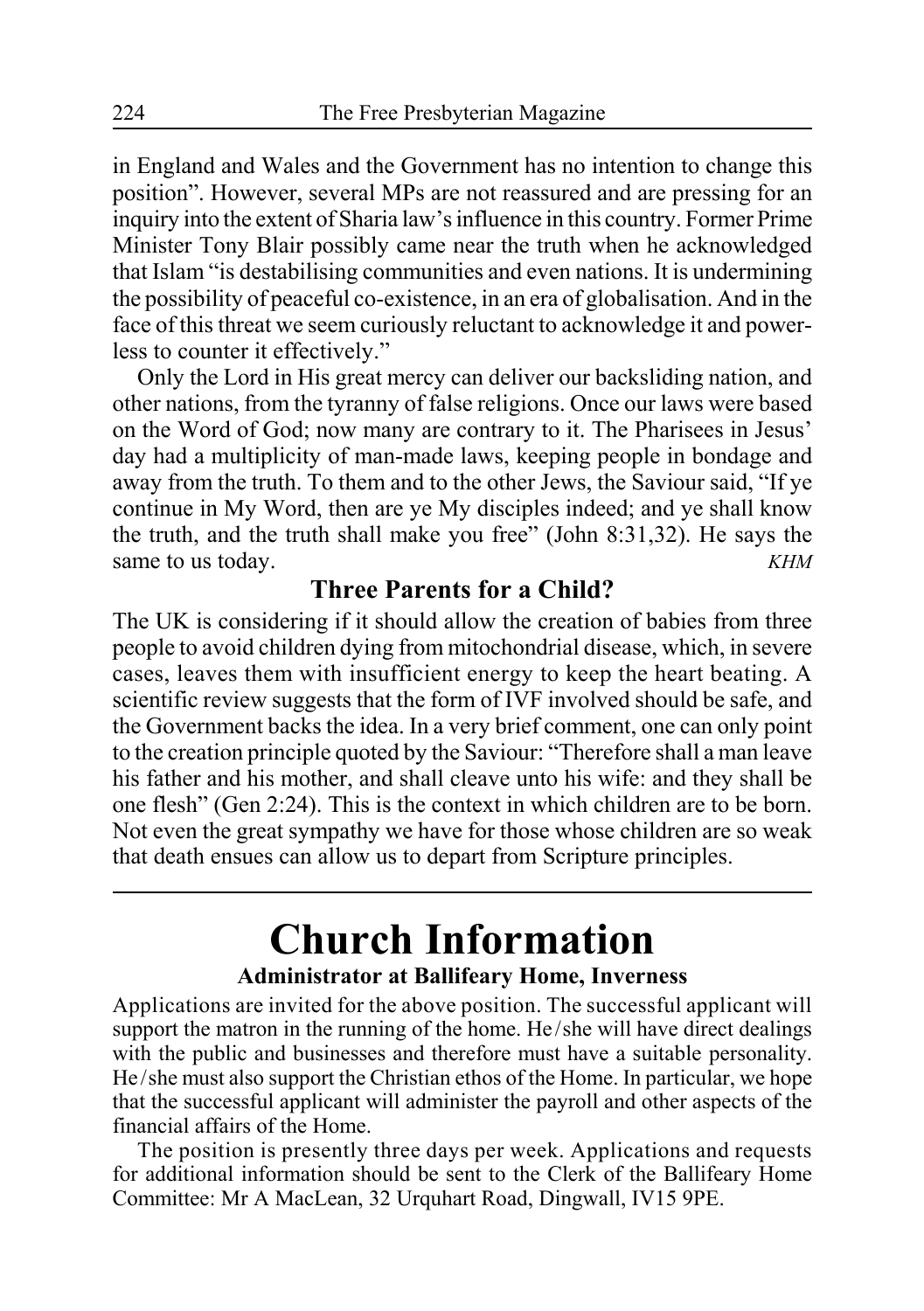in England and Wales and the Government has no intention to change this position". However, several MPs are not reassured and are pressing for an inquiry into the extent of Sharia law's influence in this country. Former Prime Minister Tony Blair possibly came near the truth when he acknowledged that Islam "is destabilising communities and even nations. It is undermining the possibility of peaceful co-existence, in an era of globalisation. And in the face of this threat we seem curiously reluctant to acknowledge it and powerless to counter it effectively."

Only the Lord in His great mercy can deliver our backsliding nation, and other nations, from the tyranny of false religions. Once our laws were based on the Word of God; now many are contrary to it. The Pharisees in Jesus' day had a multiplicity of man-made laws, keeping people in bondage and away from the truth. To them and to the other Jews, the Saviour said, "If ye continue in My Word, then are ye My disciples indeed; and ye shall know the truth, and the truth shall make you free" (John 8:31,32). He says the same to us today. *KHM* 

### **Three Parents for a Child?**

The UK is considering if it should allow the creation of babies from three people to avoid children dying from mitochondrial disease, which, in severe cases, leaves them with insufficient energy to keep the heart beating. A scientific review suggests that the form of IVF involved should be safe, and the Government backs the idea. In a very brief comment, one can only point to the creation principle quoted by the Saviour: "Therefore shall a man leave his father and his mother, and shall cleave unto his wife: and they shall be one flesh" (Gen 2:24). This is the context in which children are to be born. Not even the great sympathy we have for those whose children are so weak that death ensues can allow us to depart from Scripture principles.

### **Church Information Administrator at Ballifeary Home, Inverness**

Applications are invited for the above position. The successful applicant will support the matron in the running of the home. He/she will have direct dealings with the public and businesses and therefore must have a suitable personality. He/she must also support the Christian ethos of the Home. In particular, we hope that the successful applicant will administer the payroll and other aspects of the financial affairs of the Home.

The position is presently three days per week. Applications and requests for additional information should be sent to the Clerk of the Ballifeary Home Committee: Mr A MacLean, 32 Urquhart Road, Dingwall, IV15 9PE.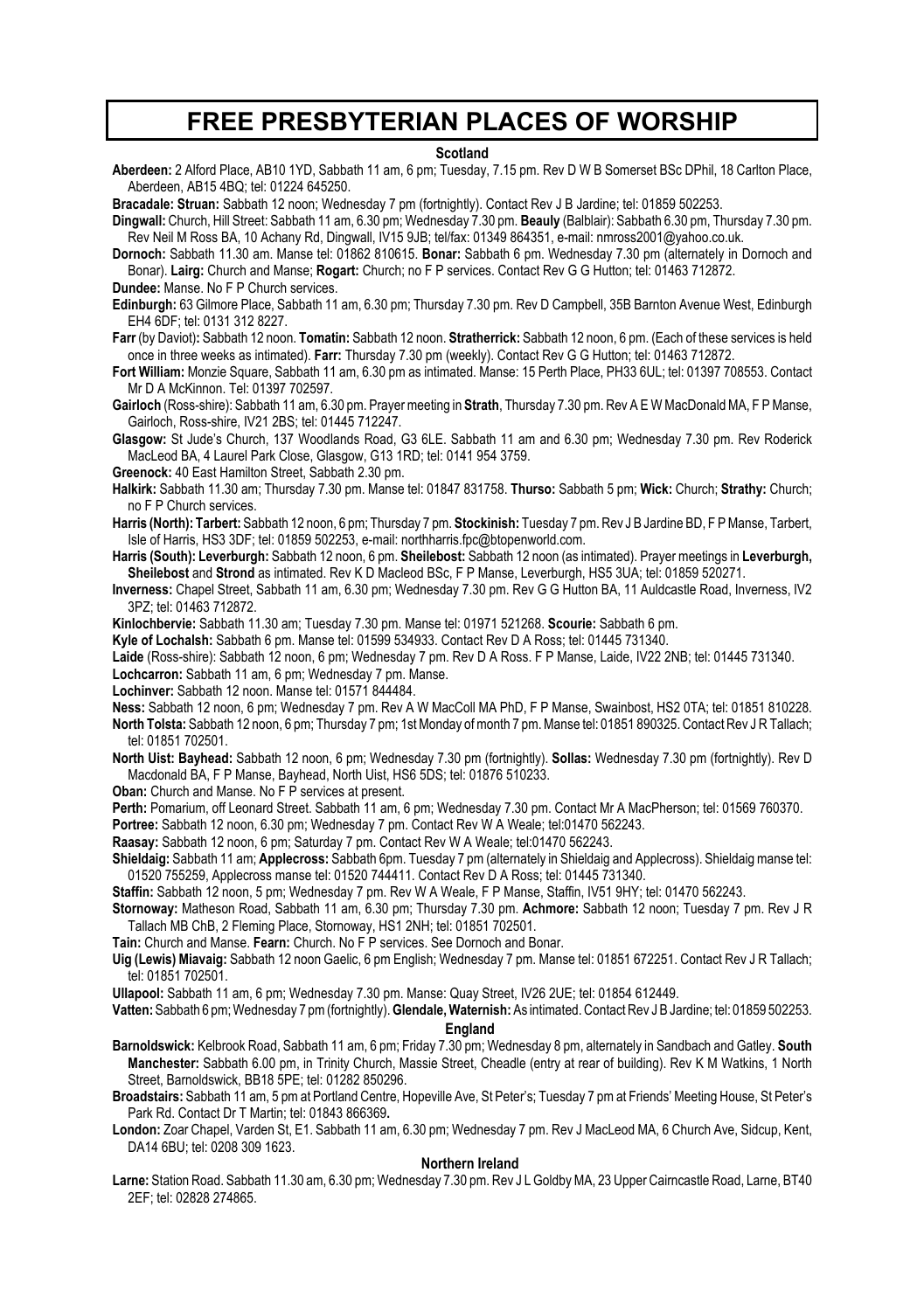### **FREE PRESBYTERIAN PLACES OF WORSHIP**

#### **Scotland**

**Aberdeen:** 2 Alford Place, AB10 1YD, Sabbath 11 am, 6 pm; Tuesday, 7.15 pm. Rev D W B Somerset BSc DPhil, 18 Carlton Place, Aberdeen, AB15 4BQ; tel: 01224 645250.

**Bracadale: Struan:** Sabbath 12 noon; Wednesday 7 pm (fortnightly). Contact Rev J B Jardine; tel: 01859 502253.

**Dingwall:** Church, Hill Street: Sabbath 11 am, 6.30 pm; Wednesday 7.30 pm. **Beauly** (Balblair): Sabbath 6.30 pm, Thursday 7.30 pm. Rev Neil M Ross BA, 10 Achany Rd, Dingwall, IV15 9JB; tel/fax: 01349 864351, e-mail: nmross2001@yahoo.co.uk.

**Dornoch:** Sabbath 11.30 am. Manse tel: 01862 810615. **Bonar:** Sabbath 6 pm. Wednesday 7.30 pm (alternately in Dornoch and Bonar). **Lairg:** Church and Manse; **Rogart:** Church; no F P services. Contact Rev G G Hutton; tel: 01463 712872. **Dundee:** Manse. No F P Church services.

**Edinburgh:** 63 Gilmore Place, Sabbath 11 am, 6.30 pm; Thursday 7.30 pm. Rev D Campbell, 35B Barnton Avenue West, Edinburgh EH4 6DF; tel: 0131 312 8227.

**Farr** (by Daviot)**:** Sabbath 12 noon. **Tomatin:** Sabbath 12 noon. **Stratherrick:** Sabbath 12 noon, 6 pm. (Each of these services is held once in three weeks as intimated). **Farr:** Thursday 7.30 pm (weekly). Contact Rev G G Hutton; tel: 01463 712872.

**Fort William:** Monzie Square, Sabbath 11 am, 6.30 pm as intimated. Manse: 15 Perth Place, PH33 6UL; tel: 01397 708553. Contact Mr D A McKinnon. Tel: 01397 702597.

**Gairloch** (Ross-shire): Sabbath 11 am, 6.30 pm. Prayer meeting in **Strath**, Thursday 7.30 pm. Rev A E W MacDonald MA, F P Manse, Gairloch, Ross-shire, IV21 2BS; tel: 01445 712247.

**Glasgow:** St Jude's Church, 137 Woodlands Road, G3 6LE. Sabbath 11 am and 6.30 pm; Wednesday 7.30 pm. Rev Roderick MacLeod BA, 4 Laurel Park Close, Glasgow, G13 1RD; tel: 0141 954 3759.

**Greenock:** 40 East Hamilton Street, Sabbath 2.30 pm.

**Halkirk:** Sabbath 11.30 am; Thursday 7.30 pm. Manse tel: 01847 831758. **Thurso:** Sabbath 5 pm; **Wick:** Church; **Strathy:** Church; no F P Church services.

**Harris (North): Tarbert:** Sabbath 12 noon, 6 pm; Thursday 7 pm. **Stockinish:** Tuesday 7 pm. Rev J B Jardine BD, F P Manse, Tarbert, Isle of Harris, HS3 3DF; tel: 01859 502253, e-mail: northharris.fpc@btopenworld.com.

**Harris (South): Leverburgh:** Sabbath 12 noon, 6 pm. **Sheilebost:** Sabbath 12 noon (as intimated). Prayer meetings in **Leverburgh, Sheilebost** and **Strond** as intimated. Rev K D Macleod BSc, F P Manse, Leverburgh, HS5 3UA; tel: 01859 520271.

**Inverness:** Chapel Street, Sabbath 11 am, 6.30 pm; Wednesday 7.30 pm. Rev G G Hutton BA, 11 Auldcastle Road, Inverness, IV2 3PZ; tel: 01463 712872.

**Kinlochbervie:** Sabbath 11.30 am; Tuesday 7.30 pm. Manse tel: 01971 521268. **Scourie:** Sabbath 6 pm.

**Kyle of Lochalsh:** Sabbath 6 pm. Manse tel: 01599 534933. Contact Rev D A Ross; tel: 01445 731340.

**Laide** (Ross-shire): Sabbath 12 noon, 6 pm; Wednesday 7 pm. Rev D A Ross. F P Manse, Laide, IV22 2NB; tel: 01445 731340.

**Lochcarron:** Sabbath 11 am, 6 pm; Wednesday 7 pm. Manse.

**Lochinver:** Sabbath 12 noon. Manse tel: 01571 844484.

**Ness:** Sabbath 12 noon, 6 pm; Wednesday 7 pm. Rev A W MacColl MA PhD, F P Manse, Swainbost, HS2 0TA; tel: 01851 810228. **North Tolsta:** Sabbath 12 noon, 6 pm; Thursday 7 pm; 1st Monday of month 7 pm. Manse tel: 01851 890325. Contact Rev J R Tallach; tel: 01851 702501.

**North Uist: Bayhead:** Sabbath 12 noon, 6 pm; Wednesday 7.30 pm (fortnightly). **Sollas:** Wednesday 7.30 pm (fortnightly). Rev D Macdonald BA, F P Manse, Bayhead, North Uist, HS6 5DS; tel: 01876 510233.

**Oban:** Church and Manse. No F P services at present.

**Perth:** Pomarium, off Leonard Street. Sabbath 11 am, 6 pm; Wednesday 7.30 pm. Contact Mr A MacPherson; tel: 01569 760370.

**Portree:** Sabbath 12 noon, 6.30 pm; Wednesday 7 pm. Contact Rev W A Weale; tel:01470 562243.

**Raasay:** Sabbath 12 noon, 6 pm; Saturday 7 pm. Contact Rev W A Weale; tel:01470 562243.

**Shieldaig:** Sabbath 11 am; **Applecross:** Sabbath 6pm. Tuesday 7 pm (alternately in Shieldaig and Applecross). Shieldaig manse tel: 01520 755259, Applecross manse tel: 01520 744411. Contact Rev D A Ross; tel: 01445 731340.

**Staffin:** Sabbath 12 noon, 5 pm; Wednesday 7 pm. Rev W A Weale, F P Manse, Staffin, IV51 9HY; tel: 01470 562243.

**Stornoway:** Matheson Road, Sabbath 11 am, 6.30 pm; Thursday 7.30 pm. **Achmore:** Sabbath 12 noon; Tuesday 7 pm. Rev J R Tallach MB ChB, 2 Fleming Place, Stornoway, HS1 2NH; tel: 01851 702501.

**Tain:** Church and Manse. **Fearn:** Church. No F P services. See Dornoch and Bonar.

**Uig (Lewis) Miavaig:** Sabbath 12 noon Gaelic, 6 pm English; Wednesday 7 pm. Manse tel: 01851 672251. Contact Rev J R Tallach; tel: 01851 702501.

**Ullapool:** Sabbath 11 am, 6 pm; Wednesday 7.30 pm. Manse: Quay Street, IV26 2UE; tel: 01854 612449.

**Vatten:** Sabbath 6 pm; Wednesday 7 pm (fortnightly). **Glendale, Waternish:** As intimated.Contact Rev J B Jardine; tel: 01859 502253. **England**

**Barnoldswick:** Kelbrook Road, Sabbath 11 am, 6 pm; Friday 7.30 pm; Wednesday 8 pm, alternately in Sandbach and Gatley. **South Manchester:** Sabbath 6.00 pm, in Trinity Church, Massie Street, Cheadle (entry at rear of building). Rev K M Watkins, 1 North Street, Barnoldswick, BB18 5PE; tel: 01282 850296.

**Broadstairs:** Sabbath 11 am, 5 pm at Portland Centre, Hopeville Ave, St Peter's; Tuesday 7 pm at Friends' Meeting House, St Peter's Park Rd. Contact Dr T Martin; tel: 01843 866369**.**

**London:** Zoar Chapel, Varden St, E1. Sabbath 11 am, 6.30 pm; Wednesday 7 pm. Rev J MacLeod MA, 6 Church Ave, Sidcup, Kent, DA14 6BU; tel: 0208 309 1623.

#### **Northern Ireland**

**Larne:** Station Road. Sabbath 11.30 am, 6.30 pm; Wednesday 7.30 pm. Rev J L Goldby MA, 23 Upper Cairncastle Road, Larne, BT40 2EF; tel: 02828 274865.